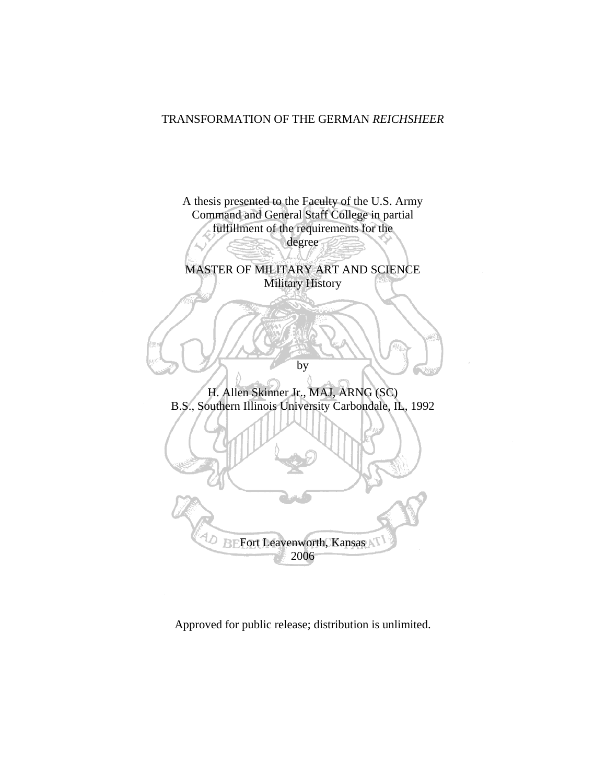## TRANSFORMATION OF THE GERMAN *REICHSHEER*



Approved for public release; distribution is unlimited.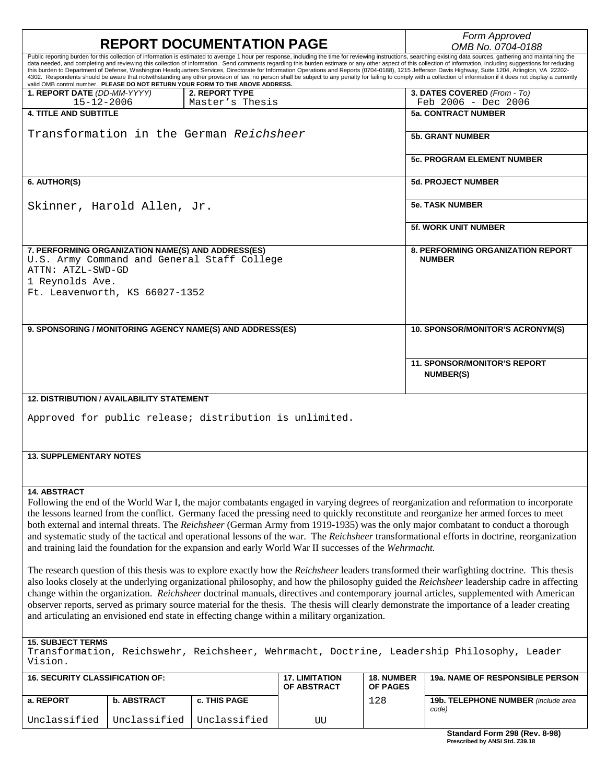| <b>REPORT DOCUMENTATION PAGE</b>                                                                                                                                                                                                                                                                                                                                                                                                                                                                                                                                                                                                                                                                       |                 |                                      |                               | Form Approved                                                                                                                                                                                                                                          |  |  |
|--------------------------------------------------------------------------------------------------------------------------------------------------------------------------------------------------------------------------------------------------------------------------------------------------------------------------------------------------------------------------------------------------------------------------------------------------------------------------------------------------------------------------------------------------------------------------------------------------------------------------------------------------------------------------------------------------------|-----------------|--------------------------------------|-------------------------------|--------------------------------------------------------------------------------------------------------------------------------------------------------------------------------------------------------------------------------------------------------|--|--|
| Public reporting burden for this collection of information is estimated to average 1 hour per response, including the time for reviewing instructions, searching existing data sources, gathering and maintaining the                                                                                                                                                                                                                                                                                                                                                                                                                                                                                  |                 |                                      |                               | OMB No. 0704-0188                                                                                                                                                                                                                                      |  |  |
| data needed, and completing and reviewing this collection of information. Send comments regarding this burden estimate or any other aspect of this collection of information, including suggestions for reducing<br>this burden to Department of Defense, Washington Headquarters Services, Directorate for Information Operations and Reports (0704-0188), 1215 Jefferson Davis Highway, Suite 1204, Arlington, VA 22202-<br>valid OMB control number. PLEASE DO NOT RETURN YOUR FORM TO THE ABOVE ADDRESS.<br>1. REPORT DATE (DD-MM-YYYY)                                                                                                                                                            | 2. REPORT TYPE  |                                      |                               | 4302. Respondents should be aware that notwithstanding any other provision of law, no person shall be subject to any penalty for failing to comply with a collection of information if it does not display a currently<br>3. DATES COVERED (From - To) |  |  |
| $15 - 12 - 2006$                                                                                                                                                                                                                                                                                                                                                                                                                                                                                                                                                                                                                                                                                       | Master's Thesis |                                      |                               | Feb $2006 - Dec 2006$                                                                                                                                                                                                                                  |  |  |
| <b>4. TITLE AND SUBTITLE</b>                                                                                                                                                                                                                                                                                                                                                                                                                                                                                                                                                                                                                                                                           |                 |                                      |                               | <b>5a. CONTRACT NUMBER</b>                                                                                                                                                                                                                             |  |  |
| Transformation in the German Reichsheer                                                                                                                                                                                                                                                                                                                                                                                                                                                                                                                                                                                                                                                                |                 |                                      |                               | <b>5b. GRANT NUMBER</b>                                                                                                                                                                                                                                |  |  |
|                                                                                                                                                                                                                                                                                                                                                                                                                                                                                                                                                                                                                                                                                                        |                 |                                      |                               | <b>5c. PROGRAM ELEMENT NUMBER</b>                                                                                                                                                                                                                      |  |  |
| 6. AUTHOR(S)                                                                                                                                                                                                                                                                                                                                                                                                                                                                                                                                                                                                                                                                                           |                 |                                      |                               | <b>5d. PROJECT NUMBER</b>                                                                                                                                                                                                                              |  |  |
| Skinner, Harold Allen, Jr.                                                                                                                                                                                                                                                                                                                                                                                                                                                                                                                                                                                                                                                                             |                 |                                      |                               | <b>5e. TASK NUMBER</b>                                                                                                                                                                                                                                 |  |  |
|                                                                                                                                                                                                                                                                                                                                                                                                                                                                                                                                                                                                                                                                                                        |                 |                                      |                               | <b>5f. WORK UNIT NUMBER</b>                                                                                                                                                                                                                            |  |  |
| 7. PERFORMING ORGANIZATION NAME(S) AND ADDRESS(ES)<br>U.S. Army Command and General Staff College<br>ATTN: ATZL-SWD-GD                                                                                                                                                                                                                                                                                                                                                                                                                                                                                                                                                                                 |                 |                                      |                               | <b>8. PERFORMING ORGANIZATION REPORT</b><br><b>NUMBER</b>                                                                                                                                                                                              |  |  |
| 1 Reynolds Ave.                                                                                                                                                                                                                                                                                                                                                                                                                                                                                                                                                                                                                                                                                        |                 |                                      |                               |                                                                                                                                                                                                                                                        |  |  |
| Ft. Leavenworth, KS 66027-1352                                                                                                                                                                                                                                                                                                                                                                                                                                                                                                                                                                                                                                                                         |                 |                                      |                               |                                                                                                                                                                                                                                                        |  |  |
|                                                                                                                                                                                                                                                                                                                                                                                                                                                                                                                                                                                                                                                                                                        |                 |                                      |                               |                                                                                                                                                                                                                                                        |  |  |
| 9. SPONSORING / MONITORING AGENCY NAME(S) AND ADDRESS(ES)                                                                                                                                                                                                                                                                                                                                                                                                                                                                                                                                                                                                                                              |                 |                                      |                               | 10. SPONSOR/MONITOR'S ACRONYM(S)                                                                                                                                                                                                                       |  |  |
|                                                                                                                                                                                                                                                                                                                                                                                                                                                                                                                                                                                                                                                                                                        |                 |                                      |                               |                                                                                                                                                                                                                                                        |  |  |
|                                                                                                                                                                                                                                                                                                                                                                                                                                                                                                                                                                                                                                                                                                        |                 |                                      |                               | <b>11. SPONSOR/MONITOR'S REPORT</b><br><b>NUMBER(S)</b>                                                                                                                                                                                                |  |  |
| <b>12. DISTRIBUTION / AVAILABILITY STATEMENT</b>                                                                                                                                                                                                                                                                                                                                                                                                                                                                                                                                                                                                                                                       |                 |                                      |                               |                                                                                                                                                                                                                                                        |  |  |
| Approved for public release; distribution is unlimited.                                                                                                                                                                                                                                                                                                                                                                                                                                                                                                                                                                                                                                                |                 |                                      |                               |                                                                                                                                                                                                                                                        |  |  |
| <b>13. SUPPLEMENTARY NOTES</b>                                                                                                                                                                                                                                                                                                                                                                                                                                                                                                                                                                                                                                                                         |                 |                                      |                               |                                                                                                                                                                                                                                                        |  |  |
|                                                                                                                                                                                                                                                                                                                                                                                                                                                                                                                                                                                                                                                                                                        |                 |                                      |                               |                                                                                                                                                                                                                                                        |  |  |
| <b>14. ABSTRACT</b><br>Following the end of the World War I, the major combatants engaged in varying degrees of reorganization and reformation to incorporate<br>the lessons learned from the conflict. Germany faced the pressing need to quickly reconstitute and reorganize her armed forces to meet<br>both external and internal threats. The Reichsheer (German Army from 1919-1935) was the only major combatant to conduct a thorough<br>and systematic study of the tactical and operational lessons of the war. The Reichsheer transformational efforts in doctrine, reorganization<br>and training laid the foundation for the expansion and early World War II successes of the Wehrmacht. |                 |                                      |                               |                                                                                                                                                                                                                                                        |  |  |
| The research question of this thesis was to explore exactly how the Reichsheer leaders transformed their warfighting doctrine. This thesis<br>also looks closely at the underlying organizational philosophy, and how the philosophy guided the Reichsheer leadership cadre in affecting<br>change within the organization. Reichsheer doctrinal manuals, directives and contemporary journal articles, supplemented with American<br>observer reports, served as primary source material for the thesis. The thesis will clearly demonstrate the importance of a leader creating<br>and articulating an envisioned end state in effecting change within a military organization.                      |                 |                                      |                               |                                                                                                                                                                                                                                                        |  |  |
| <b>15. SUBJECT TERMS</b><br>Transformation, Reichswehr, Reichsheer, Wehrmacht, Doctrine, Leadership Philosophy, Leader<br>Vision.                                                                                                                                                                                                                                                                                                                                                                                                                                                                                                                                                                      |                 |                                      |                               |                                                                                                                                                                                                                                                        |  |  |
| <b>16. SECURITY CLASSIFICATION OF:</b>                                                                                                                                                                                                                                                                                                                                                                                                                                                                                                                                                                                                                                                                 |                 | <b>17. LIMITATION</b><br>OF ABSTRACT | 18. NUMBER<br><b>OF PAGES</b> | 19a. NAME OF RESPONSIBLE PERSON                                                                                                                                                                                                                        |  |  |
| a. REPORT<br>b. ABSTRACT                                                                                                                                                                                                                                                                                                                                                                                                                                                                                                                                                                                                                                                                               | c. THIS PAGE    |                                      | 128                           | 19b. TELEPHONE NUMBER (include area                                                                                                                                                                                                                    |  |  |

Unclassified

Unclassified

Unclassified UU

*code)*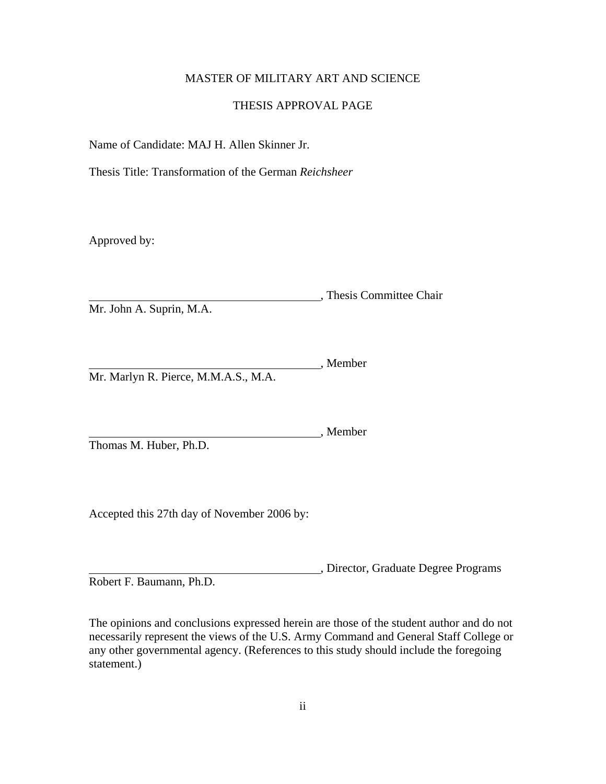## MASTER OF MILITARY ART AND SCIENCE

## THESIS APPROVAL PAGE

<span id="page-2-0"></span>Name of Candidate: MAJ H. Allen Skinner Jr.

Thesis Title: Transformation of the German *Reichsheer* 

Approved by:

**Marshall**, Thesis Committee Chair Mr. John A. Suprin, M.A.

, Member Mr. Marlyn R. Pierce, M.M.A.S., M.A.

Member Thomas M. Huber, Ph.D.

Accepted this 27th day of November 2006 by:

, Director, Graduate Degree Programs Robert F. Baumann, Ph.D.

The opinions and conclusions expressed herein are those of the student author and do not necessarily represent the views of the U.S. Army Command and General Staff College or any other governmental agency. (References to this study should include the foregoing statement.)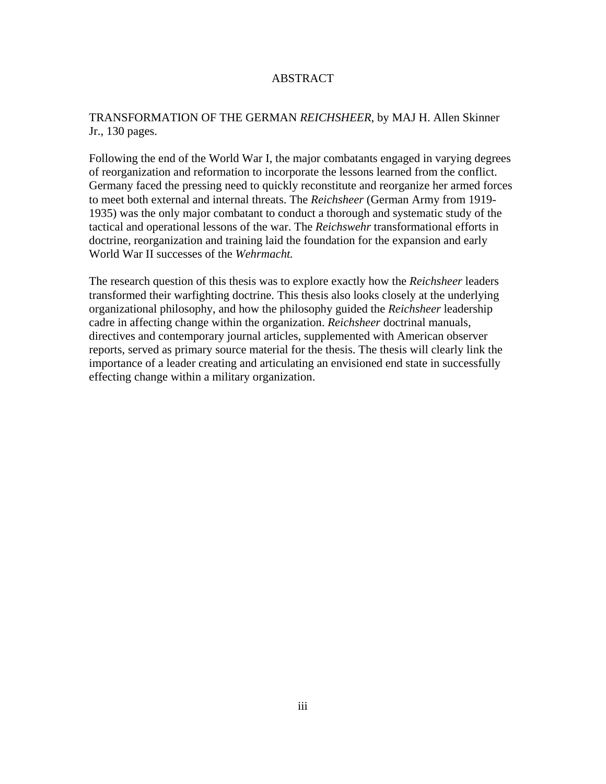### ABSTRACT

## <span id="page-3-0"></span>TRANSFORMATION OF THE GERMAN *REICHSHEER*, by MAJ H. Allen Skinner Jr., 130 pages.

Following the end of the World War I, the major combatants engaged in varying degrees of reorganization and reformation to incorporate the lessons learned from the conflict. Germany faced the pressing need to quickly reconstitute and reorganize her armed forces to meet both external and internal threats. The *Reichsheer* (German Army from 1919- 1935) was the only major combatant to conduct a thorough and systematic study of the tactical and operational lessons of the war. The *Reichswehr* transformational efforts in doctrine, reorganization and training laid the foundation for the expansion and early World War II successes of the *Wehrmacht.* 

The research question of this thesis was to explore exactly how the *Reichsheer* leaders transformed their warfighting doctrine. This thesis also looks closely at the underlying organizational philosophy, and how the philosophy guided the *Reichsheer* leadership cadre in affecting change within the organization. *Reichsheer* doctrinal manuals, directives and contemporary journal articles, supplemented with American observer reports, served as primary source material for the thesis. The thesis will clearly link the importance of a leader creating and articulating an envisioned end state in successfully effecting change within a military organization.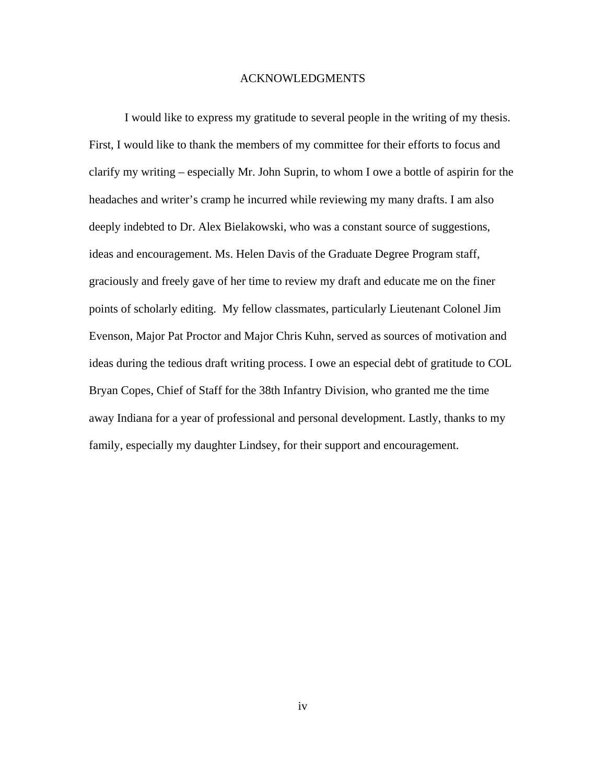#### ACKNOWLEDGMENTS

<span id="page-4-0"></span>I would like to express my gratitude to several people in the writing of my thesis. First, I would like to thank the members of my committee for their efforts to focus and clarify my writing – especially Mr. John Suprin, to whom I owe a bottle of aspirin for the headaches and writer's cramp he incurred while reviewing my many drafts. I am also deeply indebted to Dr. Alex Bielakowski, who was a constant source of suggestions, ideas and encouragement. Ms. Helen Davis of the Graduate Degree Program staff, graciously and freely gave of her time to review my draft and educate me on the finer points of scholarly editing. My fellow classmates, particularly Lieutenant Colonel Jim Evenson, Major Pat Proctor and Major Chris Kuhn, served as sources of motivation and ideas during the tedious draft writing process. I owe an especial debt of gratitude to COL Bryan Copes, Chief of Staff for the 38th Infantry Division, who granted me the time away Indiana for a year of professional and personal development. Lastly, thanks to my family, especially my daughter Lindsey, for their support and encouragement.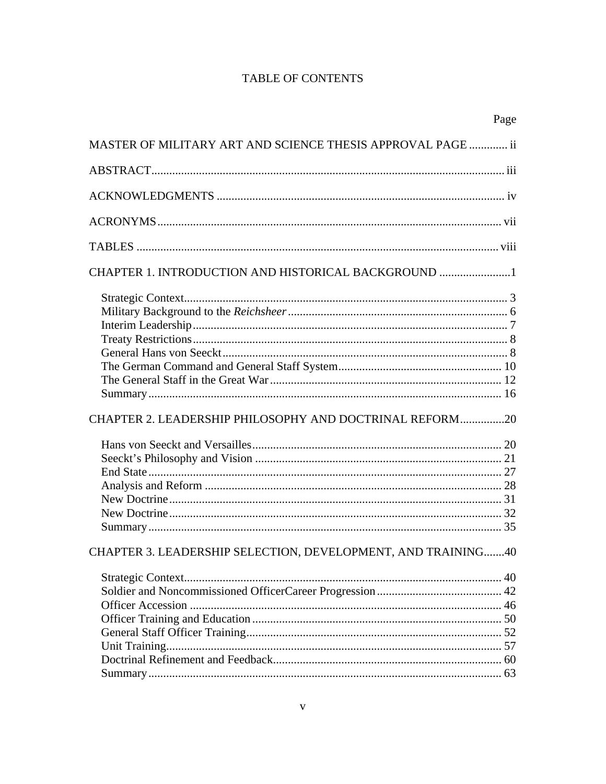## TABLE OF CONTENTS

|                                                              | Page |
|--------------------------------------------------------------|------|
| MASTER OF MILITARY ART AND SCIENCE THESIS APPROVAL PAGE  ii  |      |
|                                                              |      |
|                                                              |      |
|                                                              |      |
|                                                              |      |
| CHAPTER 1. INTRODUCTION AND HISTORICAL BACKGROUND 1          |      |
|                                                              |      |
|                                                              |      |
|                                                              |      |
|                                                              |      |
|                                                              |      |
|                                                              |      |
|                                                              |      |
|                                                              |      |
| CHAPTER 2. LEADERSHIP PHILOSOPHY AND DOCTRINAL REFORM20      |      |
|                                                              |      |
|                                                              |      |
|                                                              |      |
|                                                              |      |
|                                                              |      |
|                                                              |      |
|                                                              |      |
| CHAPTER 3. LEADERSHIP SELECTION, DEVELOPMENT, AND TRAINING40 |      |
|                                                              |      |
|                                                              |      |
|                                                              |      |
|                                                              |      |
|                                                              |      |
|                                                              |      |
|                                                              |      |
|                                                              | 63   |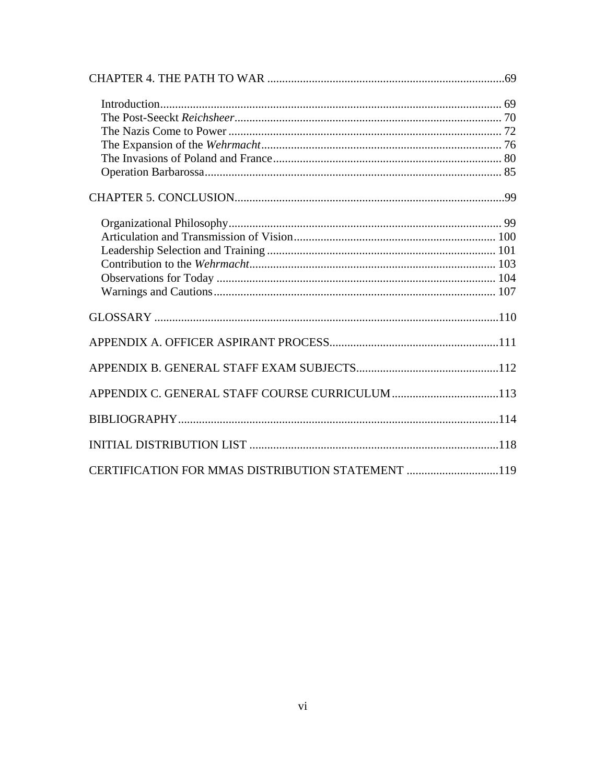| CERTIFICATION FOR MMAS DISTRIBUTION STATEMENT 119 |  |  |
|---------------------------------------------------|--|--|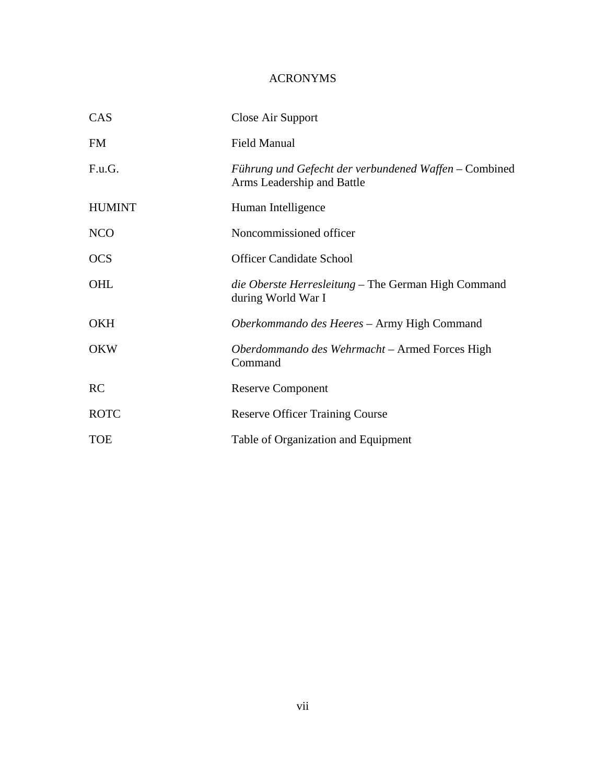## ACRONYMS

<span id="page-7-0"></span>

| CAS           | Close Air Support                                                                   |
|---------------|-------------------------------------------------------------------------------------|
| <b>FM</b>     | <b>Field Manual</b>                                                                 |
| F.u.G.        | Führung und Gefecht der verbundened Waffen – Combined<br>Arms Leadership and Battle |
| <b>HUMINT</b> | Human Intelligence                                                                  |
| <b>NCO</b>    | Noncommissioned officer                                                             |
| <b>OCS</b>    | <b>Officer Candidate School</b>                                                     |
| OHL           | <i>die Oberste Herresleitung</i> – The German High Command<br>during World War I    |
| <b>OKH</b>    | Oberkommando des Heeres - Army High Command                                         |
| <b>OKW</b>    | Oberdommando des Wehrmacht - Armed Forces High<br>Command                           |
| <b>RC</b>     | <b>Reserve Component</b>                                                            |
| <b>ROTC</b>   | <b>Reserve Officer Training Course</b>                                              |
| <b>TOE</b>    | Table of Organization and Equipment                                                 |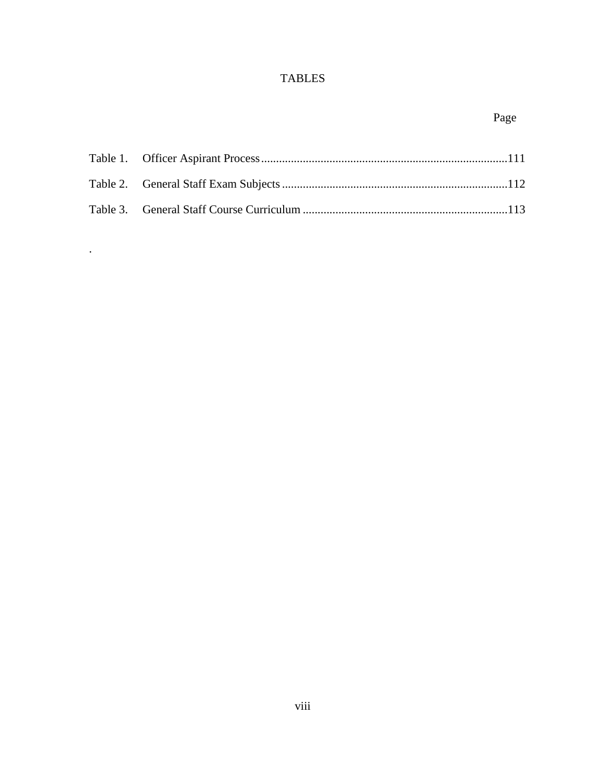## TABLES

# Page

<span id="page-8-0"></span>

.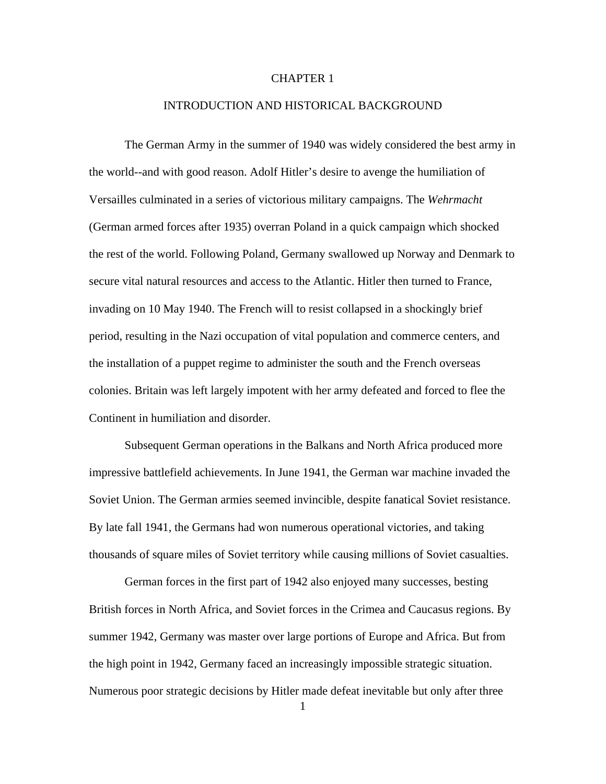#### CHAPTER 1

#### INTRODUCTION AND HISTORICAL BACKGROUND

<span id="page-9-0"></span>The German Army in the summer of 1940 was widely considered the best army in the world--and with good reason. Adolf Hitler's desire to avenge the humiliation of Versailles culminated in a series of victorious military campaigns. The *Wehrmacht*  (German armed forces after 1935) overran Poland in a quick campaign which shocked the rest of the world. Following Poland, Germany swallowed up Norway and Denmark to secure vital natural resources and access to the Atlantic. Hitler then turned to France, invading on 10 May 1940. The French will to resist collapsed in a shockingly brief period, resulting in the Nazi occupation of vital population and commerce centers, and the installation of a puppet regime to administer the south and the French overseas colonies. Britain was left largely impotent with her army defeated and forced to flee the Continent in humiliation and disorder.

Subsequent German operations in the Balkans and North Africa produced more impressive battlefield achievements. In June 1941, the German war machine invaded the Soviet Union. The German armies seemed invincible, despite fanatical Soviet resistance. By late fall 1941, the Germans had won numerous operational victories, and taking thousands of square miles of Soviet territory while causing millions of Soviet casualties.

German forces in the first part of 1942 also enjoyed many successes, besting British forces in North Africa, and Soviet forces in the Crimea and Caucasus regions. By summer 1942, Germany was master over large portions of Europe and Africa. But from the high point in 1942, Germany faced an increasingly impossible strategic situation. Numerous poor strategic decisions by Hitler made defeat inevitable but only after three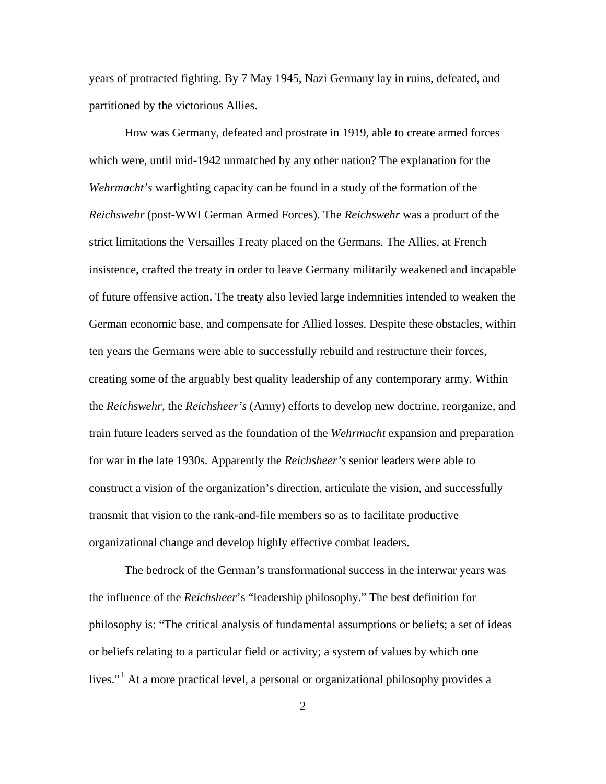years of protracted fighting. By 7 May 1945, Nazi Germany lay in ruins, defeated, and partitioned by the victorious Allies.

How was Germany, defeated and prostrate in 1919, able to create armed forces which were, until mid-1942 unmatched by any other nation? The explanation for the *Wehrmacht's* warfighting capacity can be found in a study of the formation of the *Reichswehr* (post-WWI German Armed Forces). The *Reichswehr* was a product of the strict limitations the Versailles Treaty placed on the Germans. The Allies, at French insistence, crafted the treaty in order to leave Germany militarily weakened and incapable of future offensive action. The treaty also levied large indemnities intended to weaken the German economic base, and compensate for Allied losses. Despite these obstacles, within ten years the Germans were able to successfully rebuild and restructure their forces, creating some of the arguably best quality leadership of any contemporary army. Within the *Reichswehr*, the *Reichsheer's* (Army) efforts to develop new doctrine, reorganize, and train future leaders served as the foundation of the *Wehrmacht* expansion and preparation for war in the late 1930s. Apparently the *Reichsheer's* senior leaders were able to construct a vision of the organization's direction, articulate the vision, and successfully transmit that vision to the rank-and-file members so as to facilitate productive organizational change and develop highly effective combat leaders.

The bedrock of the German's transformational success in the interwar years was the influence of the *Reichsheer*'s "leadership philosophy." The best definition for philosophy is: "The critical analysis of fundamental assumptions or beliefs; a set of ideas or beliefs relating to a particular field or activity; a system of values by which one lives."<sup>[1](#page-128-0)</sup> At a more practical level, a personal or organizational philosophy provides a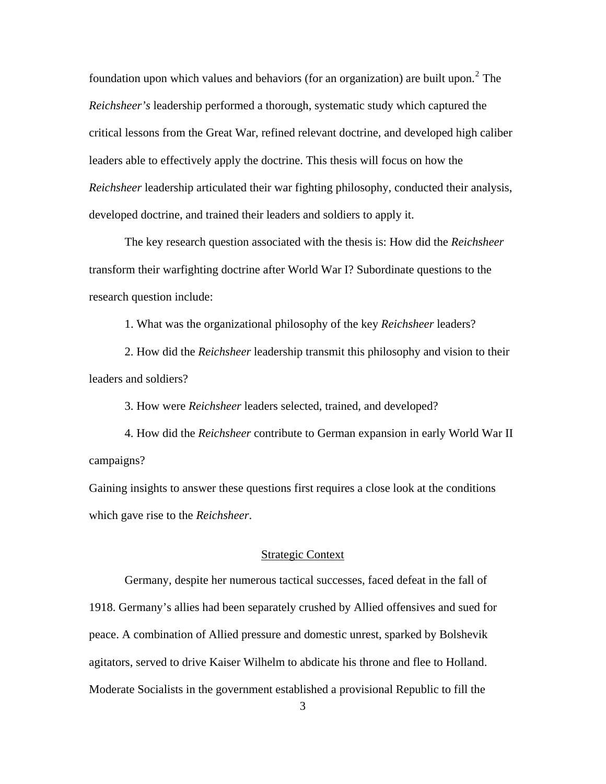<span id="page-11-0"></span>, *Reichsheer* leadership articulated their war fighting philosophy, conducted their analysis developed doctrine, and trained their leaders and soldiers to apply it. foundation upon which values and behaviors (for an organization) are built upon.<sup>[2](#page-128-1)</sup> The *Reichsheer's* leadership performed a thorough, systematic study which captured the critical lessons from the Great War, refined relevant doctrine, and developed high caliber leaders able to effectively apply the doctrine. This thesis will focus on how the

The key research question associated with the thesis is: How did the *Reichsheer* transform their warfighting doctrine after World War I? Subordinate questions to the research question include:

1. What was the organizational philosophy of the key *Reichsheer* leaders?

2. How did the *Reichsheer* leadership transmit this philosophy and vision to their leaders and soldiers?

3. How were *Reichsheer* leaders selected, trained, and developed?

4. How did the *Reichsheer* contribute to German expansion in early World War II campaigns?

Gaining insights to answer these questions first requires a close look at the conditions which gave rise to the *Reichsheer*.

#### Strategic Context

Germany, despite her numerous tactical successes, faced defeat in the fall of 1918. Germany's allies had been separately crushed by Allied offensives and sued for peace. A combination of Allied pressure and domestic unrest, sparked by Bolshevik agitators, served to drive Kaiser Wilhelm to abdicate his throne and flee to Holland. Moderate Socialists in the government established a provisional Republic to fill the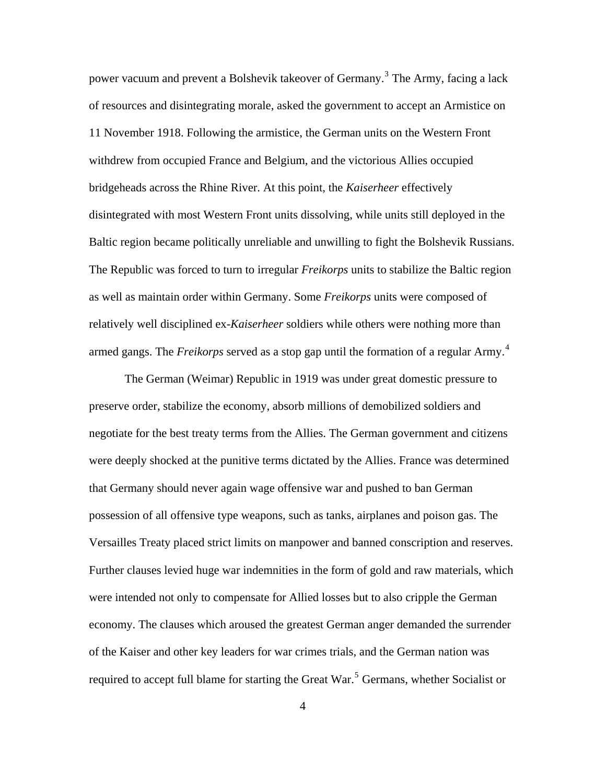power vacuum and prevent a Bolshevik takeover of Germany.<sup>[3](#page-128-1)</sup> The Army, facing a lack of resources and disintegrating morale, asked the government to accept an Armistice on 11 November 1918. Following the armistice, the German units on the Western Front withdrew from occupied France and Belgium, and the victorious Allies occupied bridgeheads across the Rhine River. At this point, the *Kaiserheer* effectively disintegrated with most Western Front units dissolving, while units still deployed in the Baltic region became politically unreliable and unwilling to fight the Bolshevik Russians. The Republic was forced to turn to irregular *Freikorps* units to stabilize the Baltic region as well as maintain order within Germany. Some *Freikorps* units were composed of relatively well disciplined ex-*Kaiserheer* soldiers while others were nothing more than armed gangs. The *Freikorps* served as a stop gap until the formation of a regular Army.<sup>[4](#page-128-1)</sup>

The German (Weimar) Republic in 1919 was under great domestic pressure to preserve order, stabilize the economy, absorb millions of demobilized soldiers and negotiate for the best treaty terms from the Allies. The German government and citizens were deeply shocked at the punitive terms dictated by the Allies. France was determined that Germany should never again wage offensive war and pushed to ban German possession of all offensive type weapons, such as tanks, airplanes and poison gas. The Versailles Treaty placed strict limits on manpower and banned conscription and reserves. Further clauses levied huge war indemnities in the form of gold and raw materials, which were intended not only to compensate for Allied losses but to also cripple the German economy. The clauses which aroused the greatest German anger demanded the surrender of the Kaiser and other key leaders for war crimes trials, and the German nation was required to accept full blame for starting the Great War.<sup>[5](#page-128-1)</sup> Germans, whether Socialist or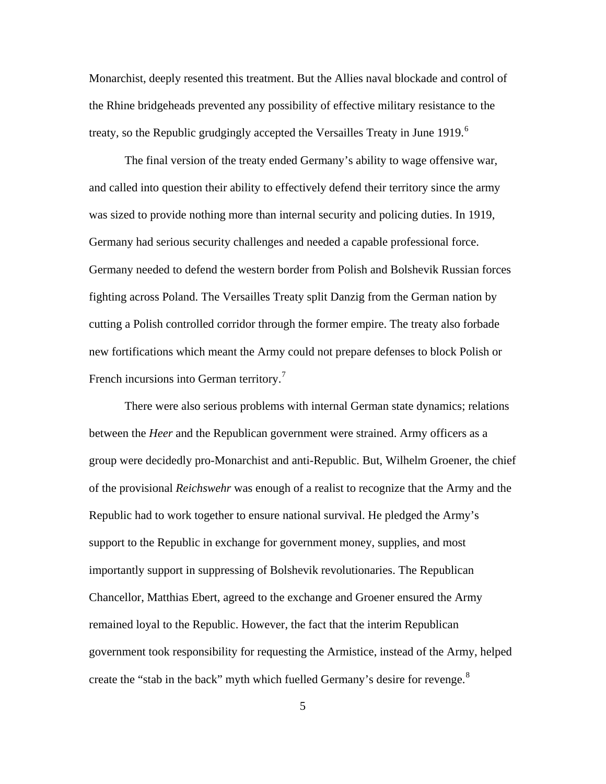Monarchist, deeply resented this treatment. But the Allies naval blockade and control of the Rhine bridgeheads prevented any possibility of effective military resistance to the treaty, so the Republic grudgingly accepted the Versailles Treaty in June 1919.<sup>[6](#page-128-1)</sup>

The final version of the treaty ended Germany's ability to wage offensive war, and called into question their ability to effectively defend their territory since the army was sized to provide nothing more than internal security and policing duties. In 1919, Germany had serious security challenges and needed a capable professional force. Germany needed to defend the western border from Polish and Bolshevik Russian forces fighting across Poland. The Versailles Treaty split Danzig from the German nation by cutting a Polish controlled corridor through the former empire. The treaty also forbade new fortifications which meant the Army could not prepare defenses to block Polish or French incursions into German territory.<sup>[7](#page-128-1)</sup>

There were also serious problems with internal German state dynamics; relations between the *Heer* and the Republican government were strained. Army officers as a group were decidedly pro-Monarchist and anti-Republic. But, Wilhelm Groener, the chief of the provisional *Reichswehr* was enough of a realist to recognize that the Army and the Republic had to work together to ensure national survival. He pledged the Army's support to the Republic in exchange for government money, supplies, and most importantly support in suppressing of Bolshevik revolutionaries. The Republican Chancellor, Matthias Ebert, agreed to the exchange and Groener ensured the Army remained loyal to the Republic. However, the fact that the interim Republican government took responsibility for requesting the Armistice, instead of the Army, helped create the "stab in the back" myth which fuelled Germany's desire for revenge.<sup>[8](#page-128-1)</sup>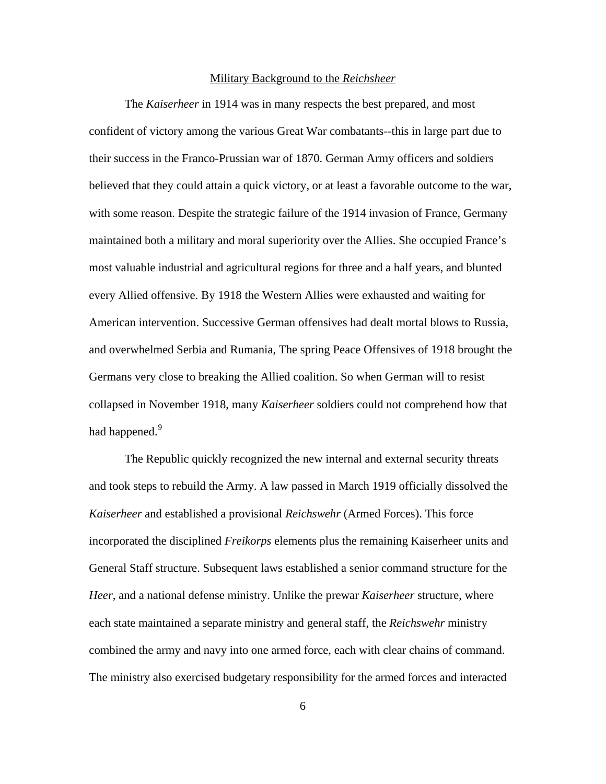#### Military Background to the *Reichsheer*

<span id="page-14-0"></span>The *Kaiserheer* in 1914 was in many respects the best prepared, and most confident of victory among the various Great War combatants--this in large part due to their success in the Franco-Prussian war of 1870. German Army officers and soldiers believed that they could attain a quick victory, or at least a favorable outcome to the war, with some reason. Despite the strategic failure of the 1914 invasion of France, Germany maintained both a military and moral superiority over the Allies. She occupied France's most valuable industrial and agricultural regions for three and a half years, and blunted every Allied offensive. By 1918 the Western Allies were exhausted and waiting for American intervention. Successive German offensives had dealt mortal blows to Russia, and overwhelmed Serbia and Rumania, The spring Peace Offensives of 1918 brought the Germans very close to breaking the Allied coalition. So when German will to resist collapsed in November 1918, many *Kaiserheer* soldiers could not comprehend how that had happened.<sup>[9](#page-128-1)</sup>

The Republic quickly recognized the new internal and external security threats and took steps to rebuild the Army. A law passed in March 1919 officially dissolved the *Kaiserheer* and established a provisional *Reichswehr* (Armed Forces). This force incorporated the disciplined *Freikorps* elements plus the remaining Kaiserheer units and General Staff structure. Subsequent laws established a senior command structure for the *Heer*, and a national defense ministry. Unlike the prewar *Kaiserheer* structure, where each state maintained a separate ministry and general staff, the *Reichswehr* ministry combined the army and navy into one armed force, each with clear chains of command. The ministry also exercised budgetary responsibility for the armed forces and interacted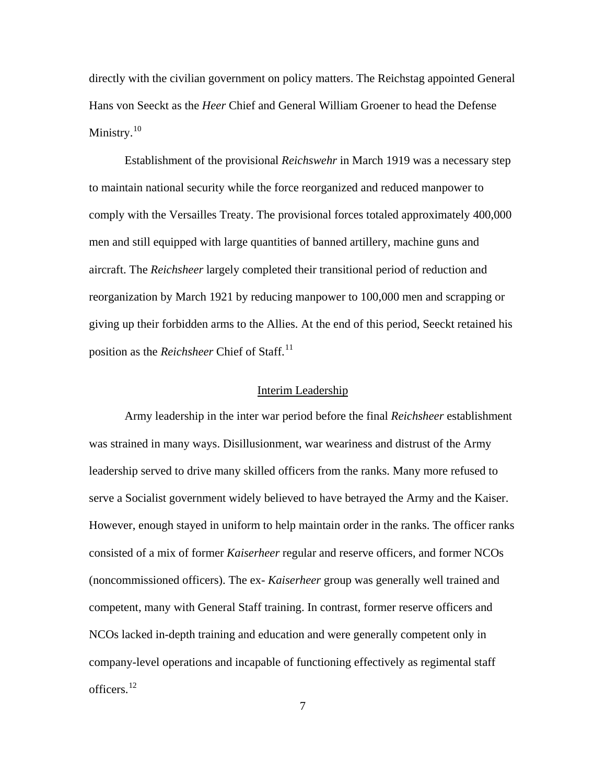<span id="page-15-0"></span>directly with the civilian government on policy matters. The Reichstag appointed General Hans von Seeckt as the *Heer* Chief and General William Groener to head the Defense Ministry.<sup>[10](#page-128-1)</sup>

Establishment of the provisional *Reichswehr* in March 1919 was a necessary step to maintain national security while the force reorganized and reduced manpower to comply with the Versailles Treaty. The provisional forces totaled approximately 400,000 men and still equipped with large quantities of banned artillery, machine guns and aircraft. The *Reichsheer* largely completed their transitional period of reduction and reorganization by March 1921 by reducing manpower to 100,000 men and scrapping or giving up their forbidden arms to the Allies. At the end of this period, Seeckt retained his position as the *Reichsheer* Chief of Staff.<sup>[11](#page-128-1)</sup>

#### Interim Leadership

Army leadership in the inter war period before the final *Reichsheer* establishment was strained in many ways. Disillusionment, war weariness and distrust of the Army leadership served to drive many skilled officers from the ranks. Many more refused to serve a Socialist government widely believed to have betrayed the Army and the Kaiser. However, enough stayed in uniform to help maintain order in the ranks. The officer ranks consisted of a mix of former *Kaiserheer* regular and reserve officers, and former NCOs (noncommissioned officers). The ex- *Kaiserheer* group was generally well trained and competent, many with General Staff training. In contrast, former reserve officers and NCOs lacked in-depth training and education and were generally competent only in company-level operations and incapable of functioning effectively as regimental staff officers.[12](#page-128-1)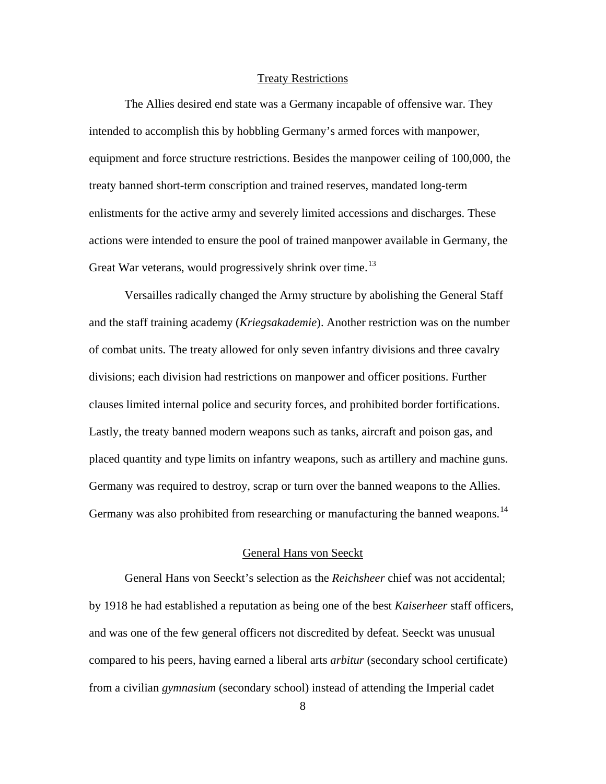#### Treaty Restrictions

<span id="page-16-0"></span>The Allies desired end state was a Germany incapable of offensive war. They intended to accomplish this by hobbling Germany's armed forces with manpower, equipment and force structure restrictions. Besides the manpower ceiling of 100,000, the treaty banned short-term conscription and trained reserves, mandated long-term enlistments for the active army and severely limited accessions and discharges. These actions were intended to ensure the pool of trained manpower available in Germany, the Great War veterans, would progressively shrink over time.<sup>[13](#page-128-1)</sup>

Versailles radically changed the Army structure by abolishing the General Staff and the staff training academy (*Kriegsakademie*). Another restriction was on the number of combat units. The treaty allowed for only seven infantry divisions and three cavalry divisions; each division had restrictions on manpower and officer positions. Further clauses limited internal police and security forces, and prohibited border fortifications. Lastly, the treaty banned modern weapons such as tanks, aircraft and poison gas, and placed quantity and type limits on infantry weapons, such as artillery and machine guns. Germany was required to destroy, scrap or turn over the banned weapons to the Allies. Germany was also prohibited from researching or manufacturing the banned weapons.<sup>[14](#page-128-1)</sup>

#### General Hans von Seeckt

General Hans von Seeckt's selection as the *Reichsheer* chief was not accidental; by 1918 he had established a reputation as being one of the best *Kaiserheer* staff officers, and was one of the few general officers not discredited by defeat. Seeckt was unusual compared to his peers, having earned a liberal arts *arbitur* (secondary school certificate) from a civilian *gymnasium* (secondary school) instead of attending the Imperial cadet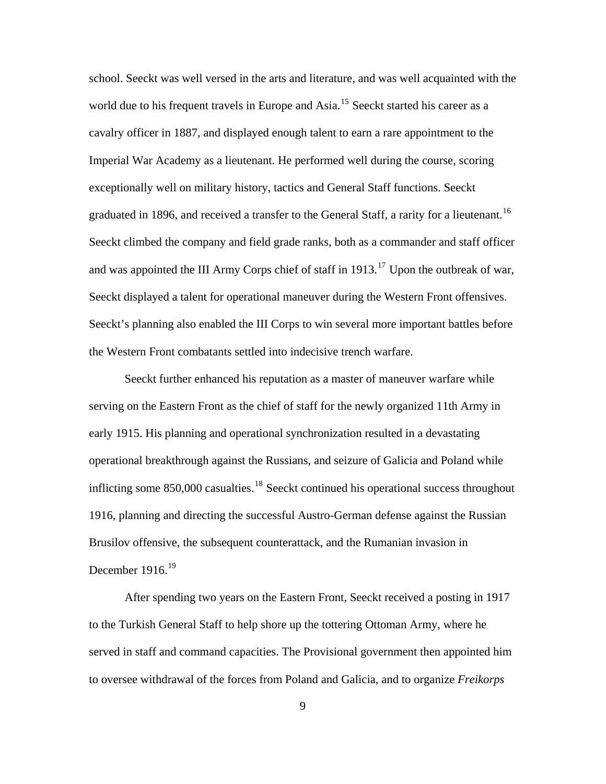school. Seeckt was well versed in the arts and literature, and was well acquainted with the world due to his frequent travels in Europe and Asia.<sup>[15](#page-128-1)</sup> Seeckt started his career as a cavalry officer in 1887, and displayed enough talent to earn a rare appointment to the Imperial War Academy as a lieutenant. He performed well during the course, scoring exceptionally well on military history, tactics and General Staff functions. Seeckt graduated in 1896, and received a transfer to the General Staff, a rarity for a lieutenant.<sup>[16](#page-128-1)</sup> Seeckt climbed the company and field grade ranks, both as a commander and staff officer and was appointed the III Army Corps chief of staff in  $1913$ <sup>[17](#page-128-1)</sup> Upon the outbreak of war, Seeckt displayed a talent for operational maneuver during the Western Front offensives. Seeckt's planning also enabled the III Corps to win several more important battles before the Western Front combatants settled into indecisive trench warfare.

Seeckt further enhanced his reputation as a master of maneuver warfare while serving on the Eastern Front as the chief of staff for the newly organized 11th Army in early 1915. His planning and operational synchronization resulted in a devastating operational breakthrough against the Russians, and seizure of Galicia and Poland while inflicting some  $850,000$  casualties.<sup>[18](#page-128-1)</sup> Seeckt continued his operational success throughout 1916, planning and directing the successful Austro-German defense against the Russian Brusilov offensive, the subsequent counterattack, and the Rumanian invasion in December  $1916.<sup>19</sup>$  $1916.<sup>19</sup>$ 

After spending two years on the Eastern Front, Seeckt received a posting in 1917 to the Turkish General Staff to help shore up the tottering Ottoman Army, where he served in staff and command capacities. The Provisional government then appointed him to oversee withdrawal of the forces from Poland and Galicia, and to organize *Freikorps*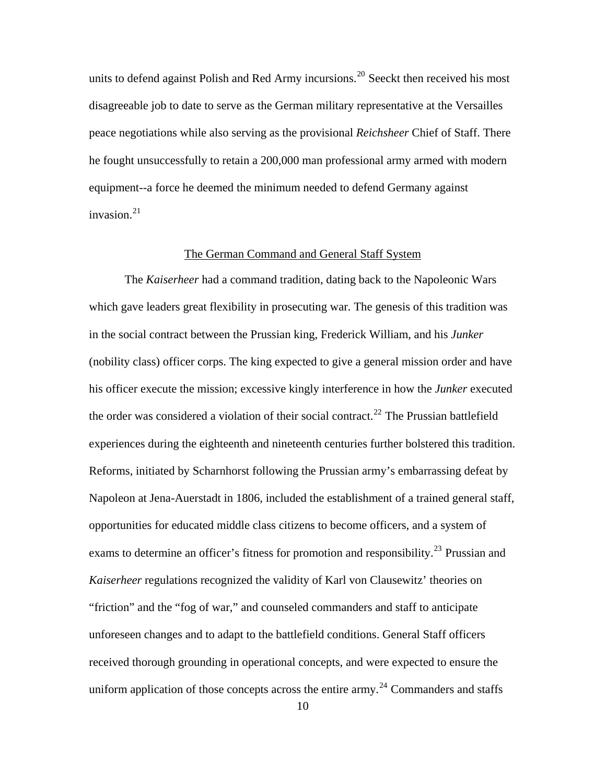<span id="page-18-0"></span>units to defend against Polish and Red Army incursions.<sup>[20](#page-128-1)</sup> Seeckt then received his most disagreeable job to date to serve as the German military representative at the Versailles peace negotiations while also serving as the provisional *Reichsheer* Chief of Staff. There he fought unsuccessfully to retain a 200,000 man professional army armed with modern equipment--a force he deemed the minimum needed to defend Germany against invasion.<sup>[21](#page-128-1)</sup>

#### The German Command and General Staff System

The *Kaiserheer* had a command tradition, dating back to the Napoleonic Wars which gave leaders great flexibility in prosecuting war. The genesis of this tradition was in the social contract between the Prussian king, Frederick William, and his *Junker*  (nobility class) officer corps. The king expected to give a general mission order and have his officer execute the mission; excessive kingly interference in how the *Junker* executed the order was considered a violation of their social contract.<sup>[22](#page-128-1)</sup> The Prussian battlefield experiences during the eighteenth and nineteenth centuries further bolstered this tradition. Reforms, initiated by Scharnhorst following the Prussian army's embarrassing defeat by Napoleon at Jena-Auerstadt in 1806, included the establishment of a trained general staff, opportunities for educated middle class citizens to become officers, and a system of exams to determine an officer's fitness for promotion and responsibility.<sup>[23](#page-128-1)</sup> Prussian and *Kaiserheer* regulations recognized the validity of Karl von Clausewitz' theories on "friction" and the "fog of war," and counseled commanders and staff to anticipate unforeseen changes and to adapt to the battlefield conditions. General Staff officers received thorough grounding in operational concepts, and were expected to ensure the uniform application of those concepts across the entire army.<sup>[24](#page-128-1)</sup> Commanders and staffs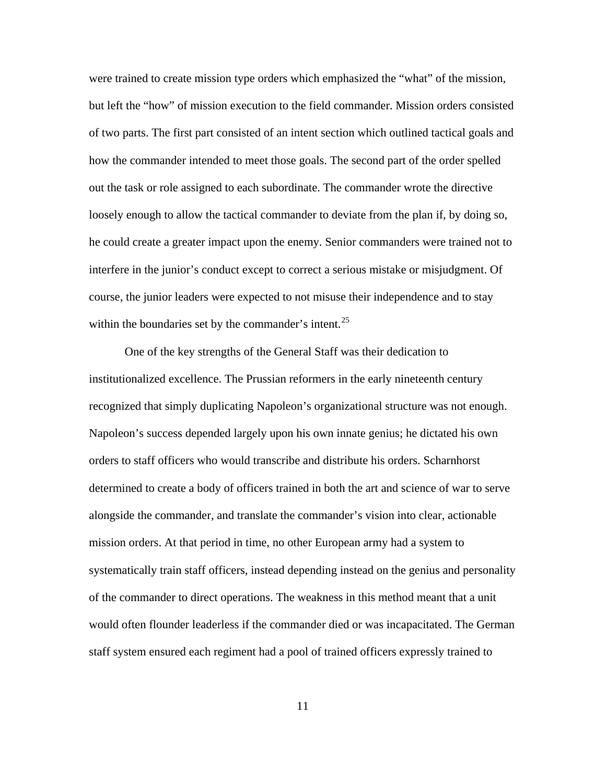were trained to create mission type orders which emphasized the "what" of the mission, but left the "how" of mission execution to the field commander. Mission orders consisted of two parts. The first part consisted of an intent section which outlined tactical goals and how the commander intended to meet those goals. The second part of the order spelled out the task or role assigned to each subordinate. The commander wrote the directive loosely enough to allow the tactical commander to deviate from the plan if, by doing so, he could create a greater impact upon the enemy. Senior commanders were trained not to interfere in the junior's conduct except to correct a serious mistake or misjudgment. Of course, the junior leaders were expected to not misuse their independence and to stay within the boundaries set by the commander's intent.<sup>[25](#page-128-1)</sup>

One of the key strengths of the General Staff was their dedication to institutionalized excellence. The Prussian reformers in the early nineteenth century recognized that simply duplicating Napoleon's organizational structure was not enough. Napoleon's success depended largely upon his own innate genius; he dictated his own orders to staff officers who would transcribe and distribute his orders. Scharnhorst determined to create a body of officers trained in both the art and science of war to serve alongside the commander, and translate the commander's vision into clear, actionable mission orders. At that period in time, no other European army had a system to systematically train staff officers, instead depending instead on the genius and personality of the commander to direct operations. The weakness in this method meant that a unit would often flounder leaderless if the commander died or was incapacitated. The German staff system ensured each regiment had a pool of trained officers expressly trained to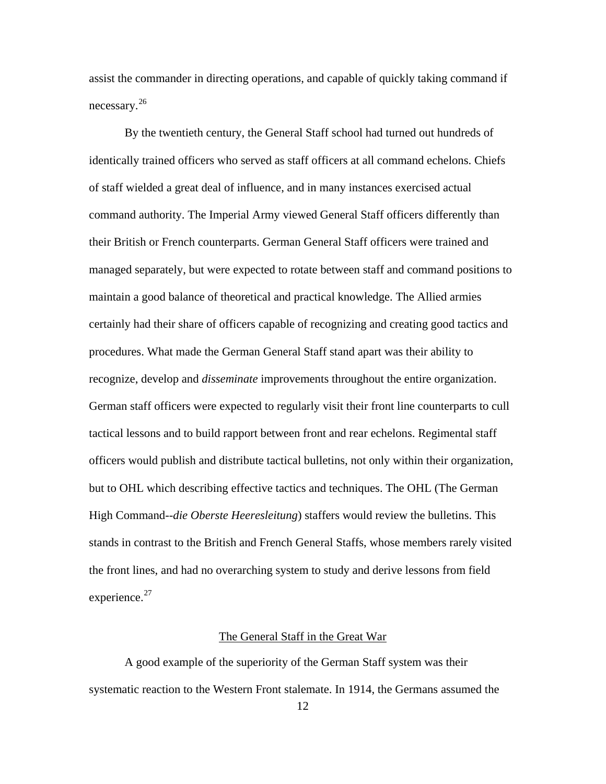<span id="page-20-0"></span>assist the commander in directing operations, and capable of quickly taking command if necessary.[26](#page-128-1)

By the twentieth century, the General Staff school had turned out hundreds of identically trained officers who served as staff officers at all command echelons. Chiefs of staff wielded a great deal of influence, and in many instances exercised actual command authority. The Imperial Army viewed General Staff officers differently than their British or French counterparts. German General Staff officers were trained and managed separately, but were expected to rotate between staff and command positions to maintain a good balance of theoretical and practical knowledge. The Allied armies certainly had their share of officers capable of recognizing and creating good tactics and procedures. What made the German General Staff stand apart was their ability to recognize, develop and *disseminate* improvements throughout the entire organization. German staff officers were expected to regularly visit their front line counterparts to cull tactical lessons and to build rapport between front and rear echelons. Regimental staff officers would publish and distribute tactical bulletins, not only within their organization, but to OHL which describing effective tactics and techniques. The OHL (The German High Command--*die Oberste Heeresleitung*) staffers would review the bulletins. This stands in contrast to the British and French General Staffs, whose members rarely visited the front lines, and had no overarching system to study and derive lessons from field experience.<sup>[27](#page-128-1)</sup>

### The General Staff in the Great War

A good example of the superiority of the German Staff system was their systematic reaction to the Western Front stalemate. In 1914, the Germans assumed the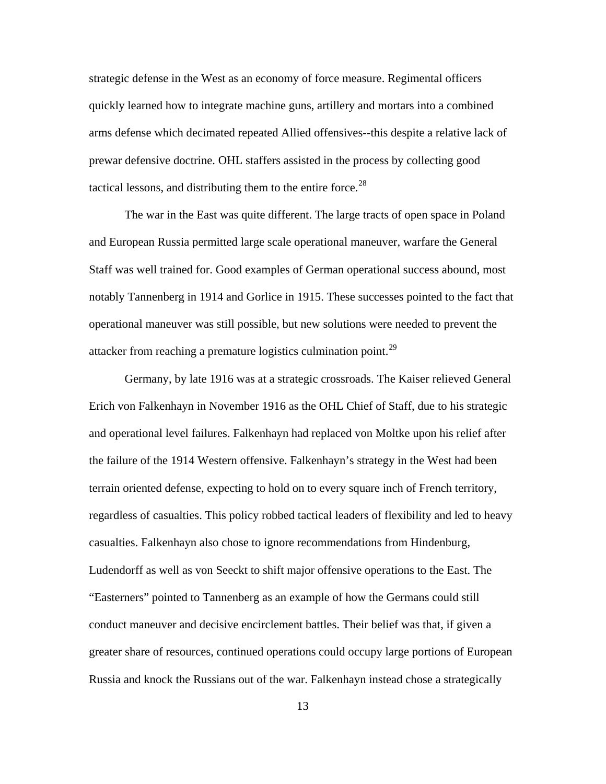strategic defense in the West as an economy of force measure. Regimental officers quickly learned how to integrate machine guns, artillery and mortars into a combined arms defense which decimated repeated Allied offensives--this despite a relative lack of prewar defensive doctrine. OHL staffers assisted in the process by collecting good tactical lessons, and distributing them to the entire force.<sup>[28](#page-128-1)</sup>

The war in the East was quite different. The large tracts of open space in Poland and European Russia permitted large scale operational maneuver, warfare the General Staff was well trained for. Good examples of German operational success abound, most notably Tannenberg in 1914 and Gorlice in 1915. These successes pointed to the fact that operational maneuver was still possible, but new solutions were needed to prevent the attacker from reaching a premature logistics culmination point.[29](#page-128-1)

Germany, by late 1916 was at a strategic crossroads. The Kaiser relieved General Erich von Falkenhayn in November 1916 as the OHL Chief of Staff, due to his strategic and operational level failures. Falkenhayn had replaced von Moltke upon his relief after the failure of the 1914 Western offensive. Falkenhayn's strategy in the West had been terrain oriented defense, expecting to hold on to every square inch of French territory, regardless of casualties. This policy robbed tactical leaders of flexibility and led to heavy casualties. Falkenhayn also chose to ignore recommendations from Hindenburg, Ludendorff as well as von Seeckt to shift major offensive operations to the East. The "Easterners" pointed to Tannenberg as an example of how the Germans could still conduct maneuver and decisive encirclement battles. Their belief was that, if given a greater share of resources, continued operations could occupy large portions of European Russia and knock the Russians out of the war. Falkenhayn instead chose a strategically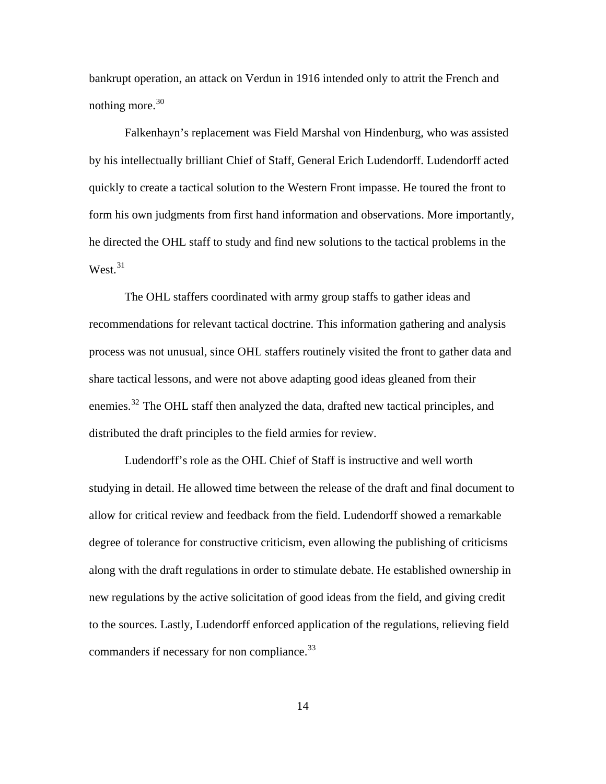bankrupt operation, an attack on Verdun in 1916 intended only to attrit the French and nothing more. $30$ 

Falkenhayn's replacement was Field Marshal von Hindenburg, who was assisted by his intellectually brilliant Chief of Staff, General Erich Ludendorff. Ludendorff acted quickly to create a tactical solution to the Western Front impasse. He toured the front to form his own judgments from first hand information and observations. More importantly, he directed the OHL staff to study and find new solutions to the tactical problems in the West $^{31}$  $^{31}$  $^{31}$ 

The OHL staffers coordinated with army group staffs to gather ideas and recommendations for relevant tactical doctrine. This information gathering and analysis process was not unusual, since OHL staffers routinely visited the front to gather data and share tactical lessons, and were not above adapting good ideas gleaned from their enemies.<sup>[32](#page-128-1)</sup> The OHL staff then analyzed the data, drafted new tactical principles, and distributed the draft principles to the field armies for review.

Ludendorff's role as the OHL Chief of Staff is instructive and well worth studying in detail. He allowed time between the release of the draft and final document to allow for critical review and feedback from the field. Ludendorff showed a remarkable degree of tolerance for constructive criticism, even allowing the publishing of criticisms along with the draft regulations in order to stimulate debate. He established ownership in new regulations by the active solicitation of good ideas from the field, and giving credit to the sources. Lastly, Ludendorff enforced application of the regulations, relieving field commanders if necessary for non compliance.<sup>[33](#page-128-1)</sup>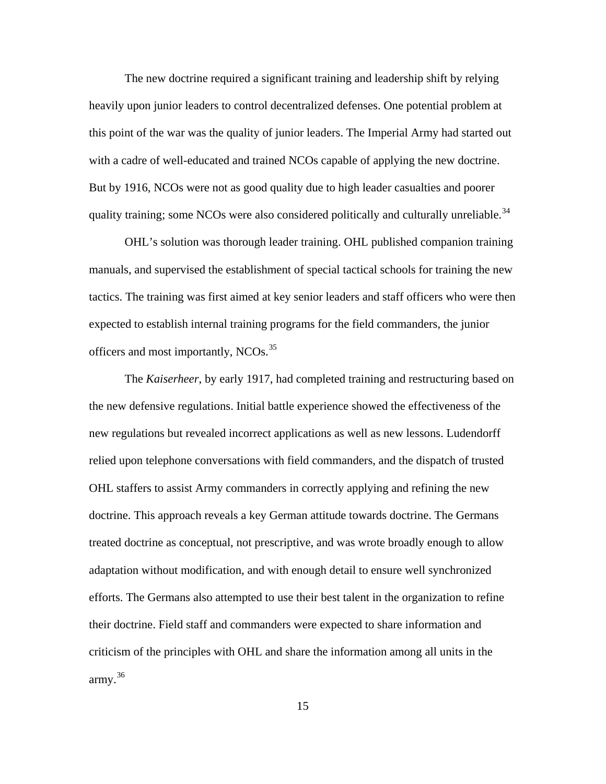The new doctrine required a significant training and leadership shift by relying heavily upon junior leaders to control decentralized defenses. One potential problem at this point of the war was the quality of junior leaders. The Imperial Army had started out with a cadre of well-educated and trained NCOs capable of applying the new doctrine. But by 1916, NCOs were not as good quality due to high leader casualties and poorer quality training; some NCOs were also considered politically and culturally unreliable.<sup>[34](#page-128-1)</sup>

OHL's solution was thorough leader training. OHL published companion training manuals, and supervised the establishment of special tactical schools for training the new tactics. The training was first aimed at key senior leaders and staff officers who were then expected to establish internal training programs for the field commanders, the junior officers and most importantly, NCOs.<sup>[35](#page-128-1)</sup>

The *Kaiserheer*, by early 1917, had completed training and restructuring based on the new defensive regulations. Initial battle experience showed the effectiveness of the new regulations but revealed incorrect applications as well as new lessons. Ludendorff relied upon telephone conversations with field commanders, and the dispatch of trusted OHL staffers to assist Army commanders in correctly applying and refining the new doctrine. This approach reveals a key German attitude towards doctrine. The Germans treated doctrine as conceptual, not prescriptive, and was wrote broadly enough to allow adaptation without modification, and with enough detail to ensure well synchronized efforts. The Germans also attempted to use their best talent in the organization to refine their doctrine. Field staff and commanders were expected to share information and criticism of the principles with OHL and share the information among all units in the army. $36$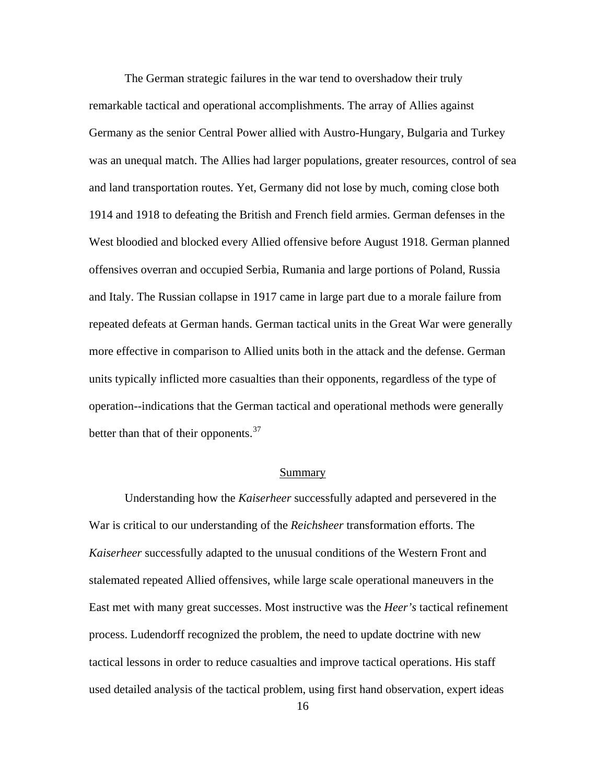<span id="page-24-0"></span>The German strategic failures in the war tend to overshadow their truly remarkable tactical and operational accomplishments. The array of Allies against Germany as the senior Central Power allied with Austro-Hungary, Bulgaria and Turkey was an unequal match. The Allies had larger populations, greater resources, control of sea and land transportation routes. Yet, Germany did not lose by much, coming close both 1914 and 1918 to defeating the British and French field armies. German defenses in the West bloodied and blocked every Allied offensive before August 1918. German planned offensives overran and occupied Serbia, Rumania and large portions of Poland, Russia and Italy. The Russian collapse in 1917 came in large part due to a morale failure from repeated defeats at German hands. German tactical units in the Great War were generally more effective in comparison to Allied units both in the attack and the defense. German units typically inflicted more casualties than their opponents, regardless of the type of operation--indications that the German tactical and operational methods were generally better than that of their opponents. $37$ 

#### Summary

Understanding how the *Kaiserheer* successfully adapted and persevered in the War is critical to our understanding of the *Reichsheer* transformation efforts. The *Kaiserheer* successfully adapted to the unusual conditions of the Western Front and stalemated repeated Allied offensives, while large scale operational maneuvers in the East met with many great successes. Most instructive was the *Heer's* tactical refinement process. Ludendorff recognized the problem, the need to update doctrine with new tactical lessons in order to reduce casualties and improve tactical operations. His staff used detailed analysis of the tactical problem, using first hand observation, expert ideas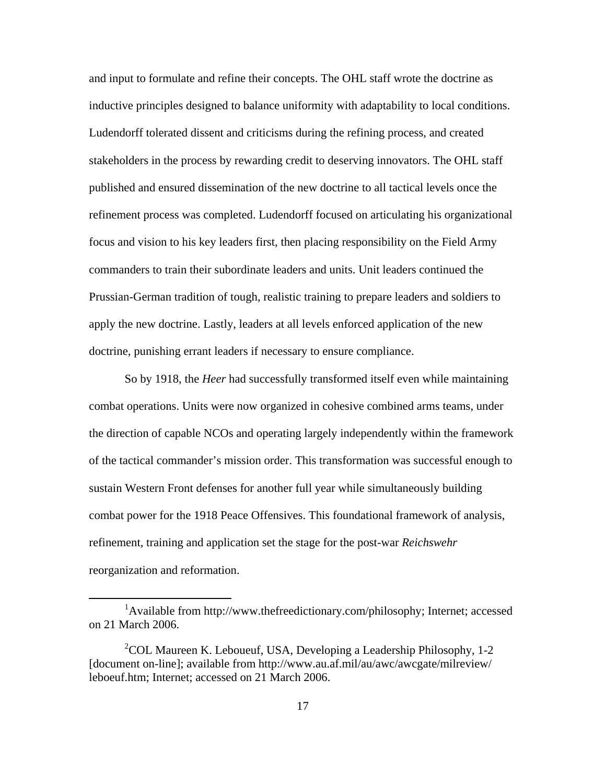and input to formulate and refine their concepts. The OHL staff wrote the doctrine as inductive principles designed to balance uniformity with adaptability to local conditions. Ludendorff tolerated dissent and criticisms during the refining process, and created stakeholders in the process by rewarding credit to deserving innovators. The OHL staff published and ensured dissemination of the new doctrine to all tactical levels once the refinement process was completed. Ludendorff focused on articulating his organizational focus and vision to his key leaders first, then placing responsibility on the Field Army commanders to train their subordinate leaders and units. Unit leaders continued the Prussian-German tradition of tough, realistic training to prepare leaders and soldiers to apply the new doctrine. Lastly, leaders at all levels enforced application of the new doctrine, punishing errant leaders if necessary to ensure compliance.

So by 1918, the *Heer* had successfully transformed itself even while maintaining combat operations. Units were now organized in cohesive combined arms teams, under the direction of capable NCOs and operating largely independently within the framework of the tactical commander's mission order. This transformation was successful enough to sustain Western Front defenses for another full year while simultaneously building combat power for the 1918 Peace Offensives. This foundational framework of analysis, refinement, training and application set the stage for the post-war *Reichswehr* reorganization and reformation.

 $\overline{a}$ 

<sup>&</sup>lt;sup>1</sup>Available from http://www.thefreedictionary.com/philosophy; Internet; accessed on 21 March 2006.

<sup>&</sup>lt;sup>2</sup>COL Maureen K. Leboueuf, USA, Developing a Leadership Philosophy, 1-2 [document on-line]; available from [http://www.au.af.mil/au/awc/awcgate/milreview/](http://www.au.af.mil/au/awc/awcgate/milreview/leboeuf.htm)  [leboeuf.htm;](http://www.au.af.mil/au/awc/awcgate/milreview/leboeuf.htm) Internet; accessed on 21 March 2006.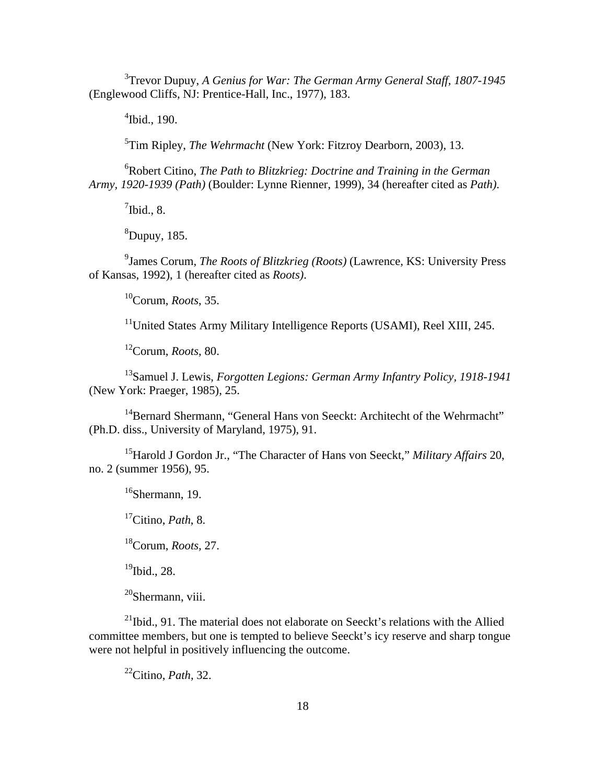<sup>3</sup> Trevor Dupuy, *A Genius for War: The German Army General Staff, 1807-1945* (Englewood Cliffs, NJ: Prentice-Hall, Inc., 1977), 183.

4 Ibid., 190.

5 Tim Ripley, *The Wehrmacht* (New York: Fitzroy Dearborn, 2003), 13.

6 Robert Citino, *The Path to Blitzkrieg: Doctrine and Training in the German Army, 1920-1939 (Path)* (Boulder: Lynne Rienner, 1999), 34 (hereafter cited as *Path)*.

 $7$ Ibid., 8.

 ${}^{8}$ Dupuy, 185.

9 James Corum, *The Roots of Blitzkrieg (Roots)* (Lawrence, KS: University Press of Kansas, 1992), 1 (hereafter cited as *Roots)*.

10Corum, *Roots*, 35.

<sup>11</sup>United States Army Military Intelligence Reports (USAMI), Reel XIII, 245.

12Corum, *Roots*, 80.

13Samuel J. Lewis, *Forgotten Legions: German Army Infantry Policy, 1918-1941* (New York: Praeger, 1985), 25.

<sup>14</sup>Bernard Shermann, "General Hans von Seeckt: Architecht of the Wehrmacht" (Ph.D. diss., University of Maryland, 1975), 91.

15Harold J Gordon Jr., "The Character of Hans von Seeckt," *Military Affairs* 20, no. 2 (summer 1956), 95.

 $16$ Shermann, 19.

17Citino, *Path*, 8.

18Corum, *Roots,* 27.

 $19$ Ibid., 28.

 $^{20}$ Shermann, viii.

 $^{21}$ Ibid., 91. The material does not elaborate on Seeckt's relations with the Allied committee members, but one is tempted to believe Seeckt's icy reserve and sharp tongue were not helpful in positively influencing the outcome.

22Citino, *Path,* 32.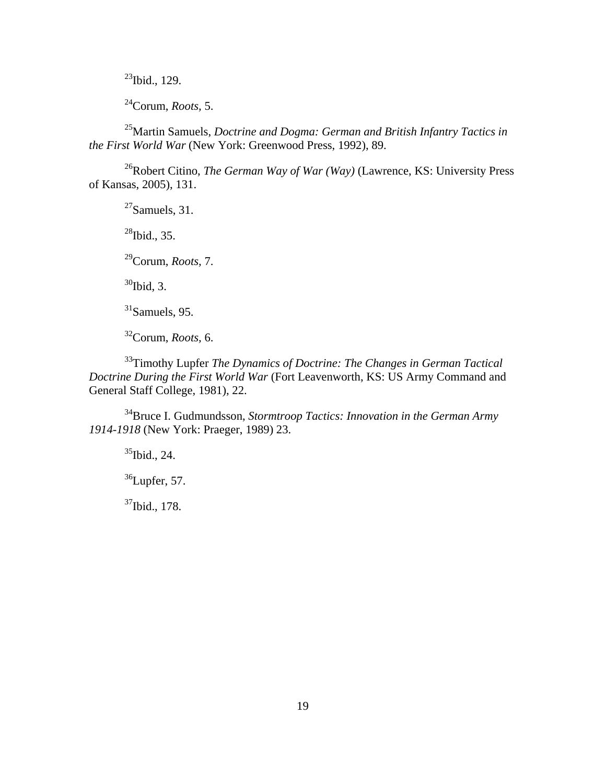$23$ Ibid., 129.

24Corum, *Roots,* 5.

25Martin Samuels, *Doctrine and Dogma: German and British Infantry Tactics in the First World War* (New York: Greenwood Press, 1992), 89.

26Robert Citino, *The German Way of War (Way)* (Lawrence, KS: University Press of Kansas, 2005), 131.

 $27$ Samuels, 31.

 $^{28}$ Ibid., 35.

29Corum, *Roots,* 7.

 $30$ Ibid, 3.

 $31$ Samuels, 95.

32Corum, *Roots,* 6.

33Timothy Lupfer *The Dynamics of Doctrine: The Changes in German Tactical Doctrine During the First World War* (Fort Leavenworth, KS: US Army Command and General Staff College, 1981), 22.

34Bruce I. Gudmundsson, *Stormtroop Tactics: Innovation in the German Army 1914-1918* (New York: Praeger, 1989) 23.

 $35$ Ibid., 24.

 $36$ Lupfer, 57.

37Ibid., 178.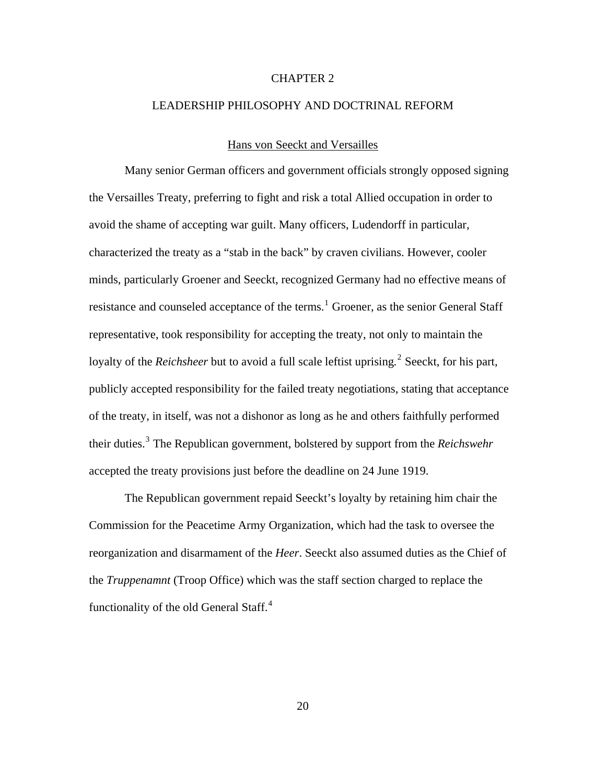#### CHAPTER 2

### <span id="page-28-0"></span>LEADERSHIP PHILOSOPHY AND DOCTRINAL REFORM

#### Hans von Seeckt and Versailles

Many senior German officers and government officials strongly opposed signing the Versailles Treaty, preferring to fight and risk a total Allied occupation in order to avoid the shame of accepting war guilt. Many officers, Ludendorff in particular, characterized the treaty as a "stab in the back" by craven civilians. However, cooler minds, particularly Groener and Seeckt, recognized Germany had no effective means of resistance and counseled acceptance of the terms.<sup>[1](#page-128-1)</sup> Groener, as the senior General Staff representative, took responsibility for accepting the treaty, not only to maintain the loyalty of the *Reichsheer* but to avoid a full scale leftist uprising.<sup>[2](#page-128-1)</sup> Seeckt, for his part, publicly accepted responsibility for the failed treaty negotiations, stating that acceptance of the treaty, in itself, was not a dishonor as long as he and others faithfully performed their duties.[3](#page-128-2) The Republican government, bolstered by support from the *Reichswehr*  accepted the treaty provisions just before the deadline on 24 June 1919.

The Republican government repaid Seeckt's loyalty by retaining him chair the Commission for the Peacetime Army Organization, which had the task to oversee the reorganization and disarmament of the *Heer*. Seeckt also assumed duties as the Chief of the *Truppenamnt* (Troop Office) which was the staff section charged to replace the functionality of the old General Staff.<sup>[4](#page-128-1)</sup>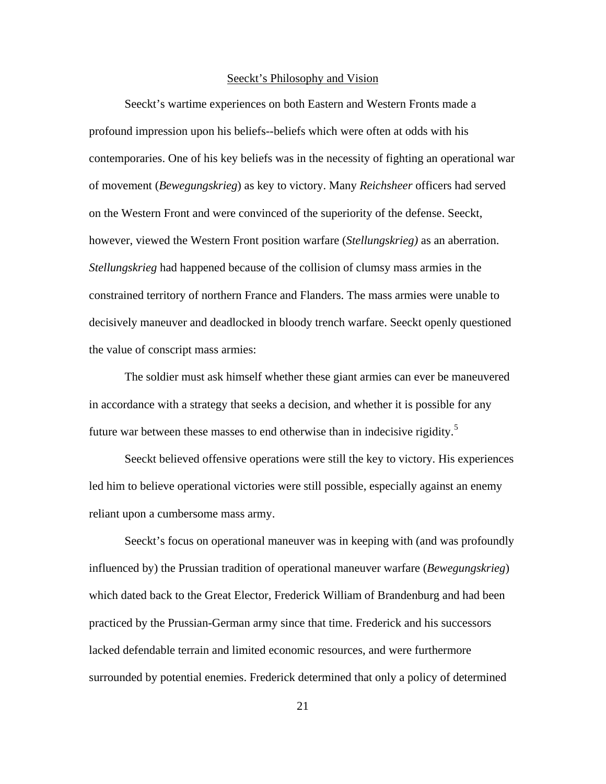#### Seeckt's Philosophy and Vision

<span id="page-29-0"></span>Seeckt's wartime experiences on both Eastern and Western Fronts made a profound impression upon his beliefs--beliefs which were often at odds with his contemporaries. One of his key beliefs was in the necessity of fighting an operational war of movement (*Bewegungskrieg*) as key to victory. Many *Reichsheer* officers had served on the Western Front and were convinced of the superiority of the defense. Seeckt, however, viewed the Western Front position warfare (*Stellungskrieg)* as an aberration. *Stellungskrieg* had happened because of the collision of clumsy mass armies in the constrained territory of northern France and Flanders. The mass armies were unable to decisively maneuver and deadlocked in bloody trench warfare. Seeckt openly questioned the value of conscript mass armies:

The soldier must ask himself whether these giant armies can ever be maneuvered in accordance with a strategy that seeks a decision, and whether it is possible for any future war between these masses to end otherwise than in indecisive rigidity.<sup>[5](#page-128-1)</sup>

Seeckt believed offensive operations were still the key to victory. His experiences led him to believe operational victories were still possible, especially against an enemy reliant upon a cumbersome mass army.

Seeckt's focus on operational maneuver was in keeping with (and was profoundly influenced by) the Prussian tradition of operational maneuver warfare (*Bewegungskrieg*) which dated back to the Great Elector, Frederick William of Brandenburg and had been practiced by the Prussian-German army since that time. Frederick and his successors lacked defendable terrain and limited economic resources, and were furthermore surrounded by potential enemies. Frederick determined that only a policy of determined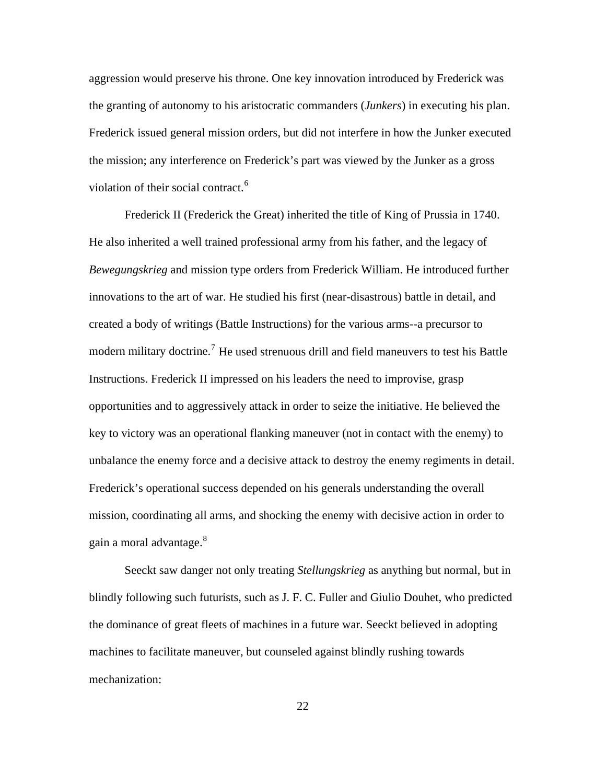aggression would preserve his throne. One key innovation introduced by Frederick was the granting of autonomy to his aristocratic commanders (*Junkers*) in executing his plan. Frederick issued general mission orders, but did not interfere in how the Junker executed the mission; any interference on Frederick's part was viewed by the Junker as a gross violation of their social contract.<sup>[6](#page-128-1)</sup>

Frederick II (Frederick the Great) inherited the title of King of Prussia in 1740. He also inherited a well trained professional army from his father, and the legacy of *Bewegungskrieg* and mission type orders from Frederick William. He introduced further innovations to the art of war. He studied his first (near-disastrous) battle in detail, and created a body of writings (Battle Instructions) for the various arms--a precursor to modern military doctrine.<sup>[7](#page-128-1)</sup> He used strenuous drill and field maneuvers to test his Battle Instructions. Frederick II impressed on his leaders the need to improvise, grasp opportunities and to aggressively attack in order to seize the initiative. He believed the key to victory was an operational flanking maneuver (not in contact with the enemy) to unbalance the enemy force and a decisive attack to destroy the enemy regiments in detail. Frederick's operational success depended on his generals understanding the overall mission, coordinating all arms, and shocking the enemy with decisive action in order to gain a moral advantage.<sup>[8](#page-128-1)</sup>

Seeckt saw danger not only treating *Stellungskrieg* as anything but normal, but in blindly following such futurists, such as J. F. C. Fuller and Giulio Douhet, who predicted the dominance of great fleets of machines in a future war. Seeckt believed in adopting machines to facilitate maneuver, but counseled against blindly rushing towards mechanization: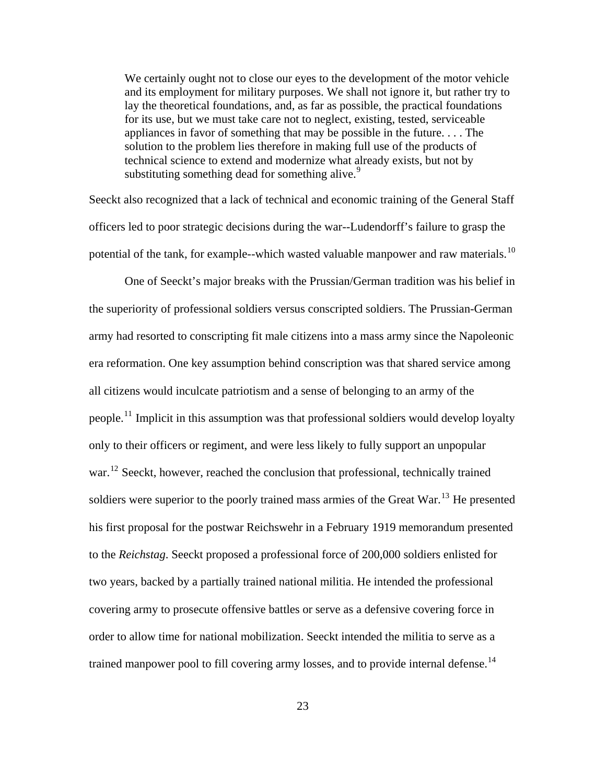We certainly ought not to close our eyes to the development of the motor vehicle and its employment for military purposes. We shall not ignore it, but rather try to lay the theoretical foundations, and, as far as possible, the practical foundations for its use, but we must take care not to neglect, existing, tested, serviceable appliances in favor of something that may be possible in the future. . . . The solution to the problem lies therefore in making full use of the products of technical science to extend and modernize what already exists, but not by substituting something dead for something alive.<sup>[9](#page-128-1)</sup>

Seeckt also recognized that a lack of technical and economic training of the General Staff officers led to poor strategic decisions during the war--Ludendorff's failure to grasp the potential of the tank, for example--which wasted valuable manpower and raw materials.<sup>[10](#page-128-1)</sup>

One of Seeckt's major breaks with the Prussian/German tradition was his belief in the superiority of professional soldiers versus conscripted soldiers. The Prussian-German army had resorted to conscripting fit male citizens into a mass army since the Napoleonic era reformation. One key assumption behind conscription was that shared service among all citizens would inculcate patriotism and a sense of belonging to an army of the people.<sup>[11](#page-128-1)</sup> Implicit in this assumption was that professional soldiers would develop loyalty only to their officers or regiment, and were less likely to fully support an unpopular war.<sup>[12](#page-128-1)</sup> Seeckt, however, reached the conclusion that professional, technically trained soldiers were superior to the poorly trained mass armies of the Great War.<sup>[13](#page-128-1)</sup> He presented his first proposal for the postwar Reichswehr in a February 1919 memorandum presented to the *Reichstag*. Seeckt proposed a professional force of 200,000 soldiers enlisted for two years, backed by a partially trained national militia. He intended the professional covering army to prosecute offensive battles or serve as a defensive covering force in order to allow time for national mobilization. Seeckt intended the militia to serve as a trained manpower pool to fill covering army losses, and to provide internal defense.<sup>[14](#page-128-1)</sup>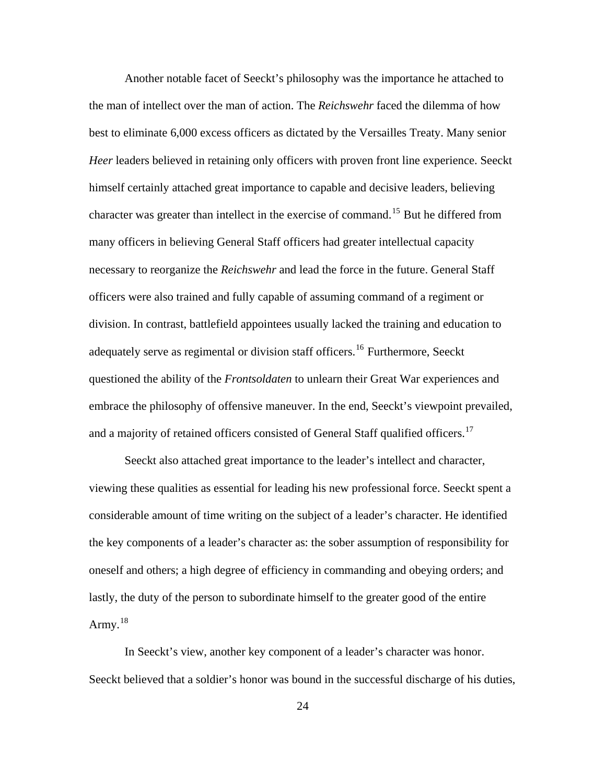Another notable facet of Seeckt's philosophy was the importance he attached to the man of intellect over the man of action. The *Reichswehr* faced the dilemma of how best to eliminate 6,000 excess officers as dictated by the Versailles Treaty. Many senior *Heer* leaders believed in retaining only officers with proven front line experience. Seeckt himself certainly attached great importance to capable and decisive leaders, believing character was greater than intellect in the exercise of command.<sup>[15](#page-128-1)</sup> But he differed from many officers in believing General Staff officers had greater intellectual capacity necessary to reorganize the *Reichswehr* and lead the force in the future. General Staff officers were also trained and fully capable of assuming command of a regiment or division. In contrast, battlefield appointees usually lacked the training and education to adequately serve as regimental or division staff officers.<sup>[16](#page-128-1)</sup> Furthermore, Seeckt questioned the ability of the *Frontsoldaten* to unlearn their Great War experiences and embrace the philosophy of offensive maneuver. In the end, Seeckt's viewpoint prevailed, and a majority of retained officers consisted of General Staff qualified officers.<sup>[17](#page-128-1)</sup>

Seeckt also attached great importance to the leader's intellect and character, viewing these qualities as essential for leading his new professional force. Seeckt spent a considerable amount of time writing on the subject of a leader's character. He identified the key components of a leader's character as: the sober assumption of responsibility for oneself and others; a high degree of efficiency in commanding and obeying orders; and lastly, the duty of the person to subordinate himself to the greater good of the entire Army. $18$ 

In Seeckt's view, another key component of a leader's character was honor. Seeckt believed that a soldier's honor was bound in the successful discharge of his duties,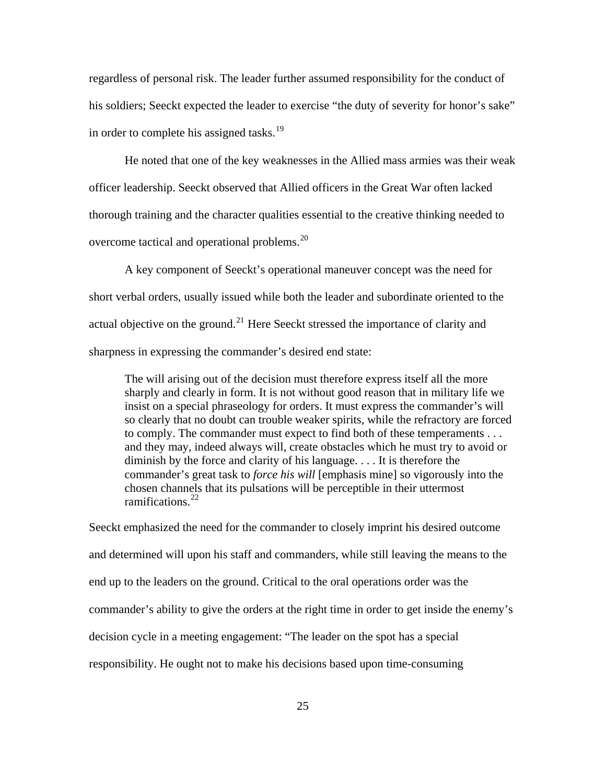regardless of personal risk. The leader further assumed responsibility for the conduct of his soldiers; Seeckt expected the leader to exercise "the duty of severity for honor's sake" in order to complete his assigned tasks.<sup>[19](#page-128-1)</sup>

He noted that one of the key weaknesses in the Allied mass armies was their weak officer leadership. Seeckt observed that Allied officers in the Great War often lacked thorough training and the character qualities essential to the creative thinking needed to overcome tactical and operational problems.<sup>[20](#page-128-1)</sup>

A key component of Seeckt's operational maneuver concept was the need for short verbal orders, usually issued while both the leader and subordinate oriented to the actual objective on the ground.<sup>[21](#page-128-1)</sup> Here Seeckt stressed the importance of clarity and sharpness in expressing the commander's desired end state:

The will arising out of the decision must therefore express itself all the more sharply and clearly in form. It is not without good reason that in military life we insist on a special phraseology for orders. It must express the commander's will so clearly that no doubt can trouble weaker spirits, while the refractory are forced to comply. The commander must expect to find both of these temperaments . . . and they may, indeed always will, create obstacles which he must try to avoid or diminish by the force and clarity of his language. . . . It is therefore the commander's great task to *force his will* [emphasis mine] so vigorously into the chosen channels that its pulsations will be perceptible in their uttermost ramifications. $^{22}$  $^{22}$  $^{22}$ 

Seeckt emphasized the need for the commander to closely imprint his desired outcome and determined will upon his staff and commanders, while still leaving the means to the end up to the leaders on the ground. Critical to the oral operations order was the commander's ability to give the orders at the right time in order to get inside the enemy's decision cycle in a meeting engagement: "The leader on the spot has a special responsibility. He ought not to make his decisions based upon time-consuming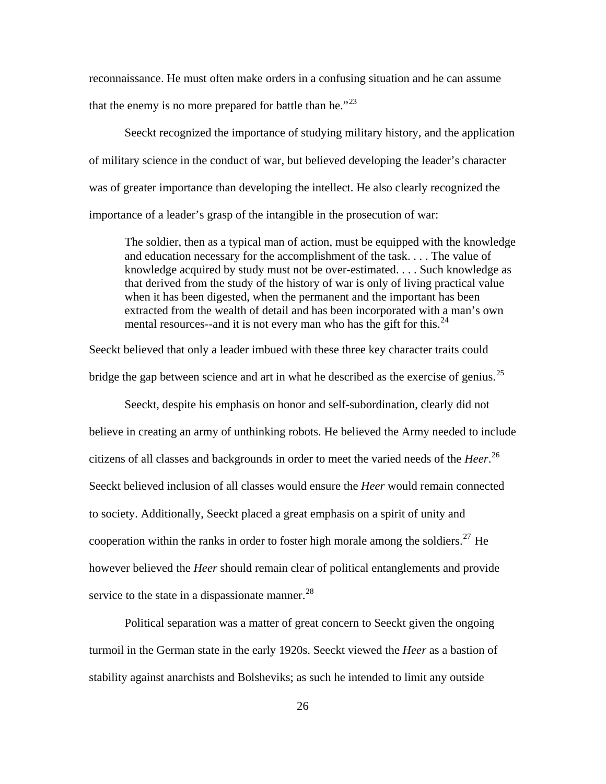reconnaissance. He must often make orders in a confusing situation and he can assume that the enemy is no more prepared for battle than he. $"^{23}$  $"^{23}$  $"^{23}$ 

Seeckt recognized the importance of studying military history, and the application of military science in the conduct of war, but believed developing the leader's character was of greater importance than developing the intellect. He also clearly recognized the importance of a leader's grasp of the intangible in the prosecution of war:

The soldier, then as a typical man of action, must be equipped with the knowledge and education necessary for the accomplishment of the task. . . . The value of knowledge acquired by study must not be over-estimated. . . . Such knowledge as that derived from the study of the history of war is only of living practical value when it has been digested, when the permanent and the important has been extracted from the wealth of detail and has been incorporated with a man's own mental resources--and it is not every man who has the gift for this.<sup>[24](#page-128-1)</sup>

Seeckt believed that only a leader imbued with these three key character traits could bridge the gap between science and art in what he described as the exercise of genius.<sup>[25](#page-128-1)</sup>

Seeckt, despite his emphasis on honor and self-subordination, clearly did not believe in creating an army of unthinking robots. He believed the Army needed to include citizens of all classes and backgrounds in order to meet the varied needs of the *Heer*. [26](#page-128-1) Seeckt believed inclusion of all classes would ensure the *Heer* would remain connected to society. Additionally, Seeckt placed a great emphasis on a spirit of unity and cooperation within the ranks in order to foster high morale among the soldiers.<sup>[27](#page-128-1)</sup> He however believed the *Heer* should remain clear of political entanglements and provide service to the state in a dispassionate manner. $^{28}$  $^{28}$  $^{28}$ 

Political separation was a matter of great concern to Seeckt given the ongoing turmoil in the German state in the early 1920s. Seeckt viewed the *Heer* as a bastion of stability against anarchists and Bolsheviks; as such he intended to limit any outside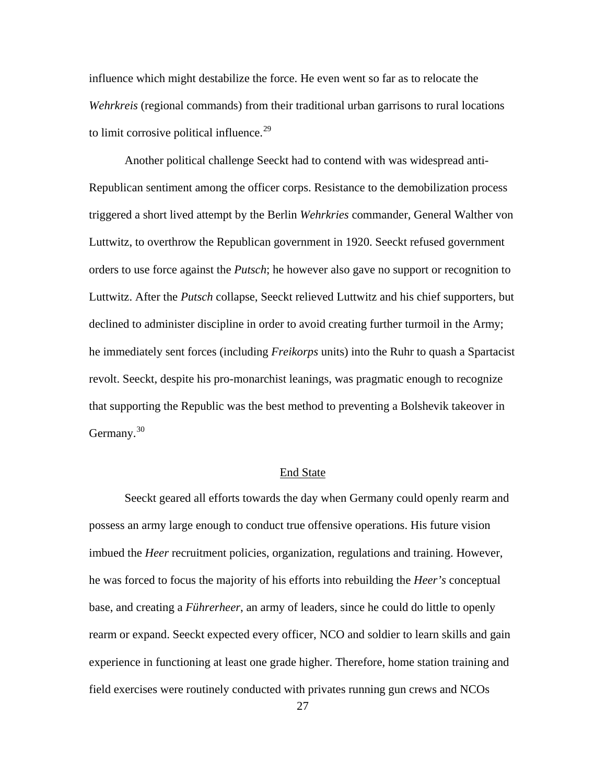<span id="page-35-0"></span>influence which might destabilize the force. He even went so far as to relocate the *Wehrkreis* (regional commands) from their traditional urban garrisons to rural locations to limit corrosive political influence.<sup>[29](#page-128-1)</sup>

Another political challenge Seeckt had to contend with was widespread anti-Republican sentiment among the officer corps. Resistance to the demobilization process triggered a short lived attempt by the Berlin *Wehrkries* commander, General Walther von Luttwitz, to overthrow the Republican government in 1920. Seeckt refused government orders to use force against the *Putsch*; he however also gave no support or recognition to Luttwitz. After the *Putsch* collapse, Seeckt relieved Luttwitz and his chief supporters, but declined to administer discipline in order to avoid creating further turmoil in the Army; he immediately sent forces (including *Freikorps* units) into the Ruhr to quash a Spartacist revolt. Seeckt, despite his pro-monarchist leanings, was pragmatic enough to recognize that supporting the Republic was the best method to preventing a Bolshevik takeover in Germany. $30$ 

#### End State

Seeckt geared all efforts towards the day when Germany could openly rearm and possess an army large enough to conduct true offensive operations. His future vision imbued the *Heer* recruitment policies, organization, regulations and training. However, he was forced to focus the majority of his efforts into rebuilding the *Heer's* conceptual base, and creating a *Führerheer*, an army of leaders, since he could do little to openly rearm or expand. Seeckt expected every officer, NCO and soldier to learn skills and gain experience in functioning at least one grade higher. Therefore, home station training and field exercises were routinely conducted with privates running gun crews and NCOs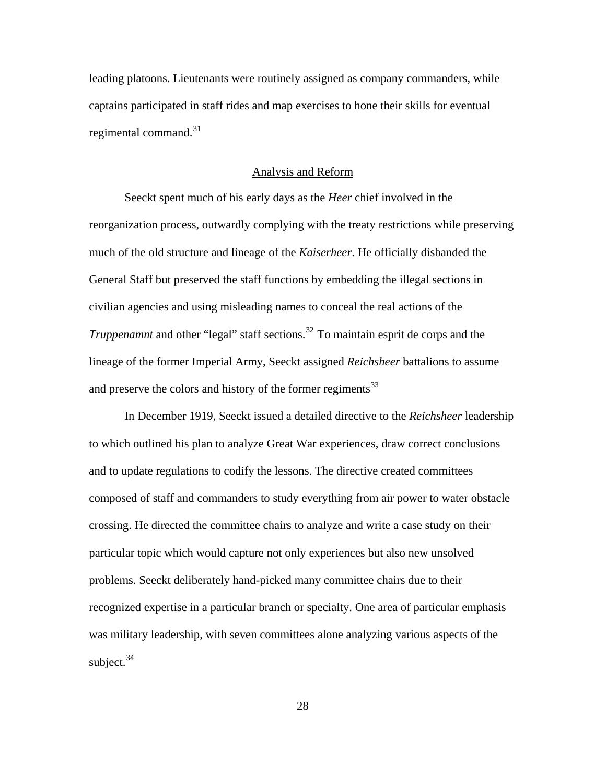leading platoons. Lieutenants were routinely assigned as company commanders, while captains participated in staff rides and map exercises to hone their skills for eventual regimental command. $31$ 

### Analysis and Reform

Seeckt spent much of his early days as the *Heer* chief involved in the reorganization process, outwardly complying with the treaty restrictions while preserving much of the old structure and lineage of the *Kaiserheer*. He officially disbanded the General Staff but preserved the staff functions by embedding the illegal sections in civilian agencies and using misleading names to conceal the real actions of the *Truppenamnt* and other "legal" staff sections.<sup>[32](#page-128-0)</sup> To maintain esprit de corps and the lineage of the former Imperial Army, Seeckt assigned *Reichsheer* battalions to assume and preserve the colors and history of the former regiments<sup>[33](#page-128-0)</sup>

In December 1919, Seeckt issued a detailed directive to the *Reichsheer* leadership to which outlined his plan to analyze Great War experiences, draw correct conclusions and to update regulations to codify the lessons. The directive created committees composed of staff and commanders to study everything from air power to water obstacle crossing. He directed the committee chairs to analyze and write a case study on their particular topic which would capture not only experiences but also new unsolved problems. Seeckt deliberately hand-picked many committee chairs due to their recognized expertise in a particular branch or specialty. One area of particular emphasis was military leadership, with seven committees alone analyzing various aspects of the subject. $34$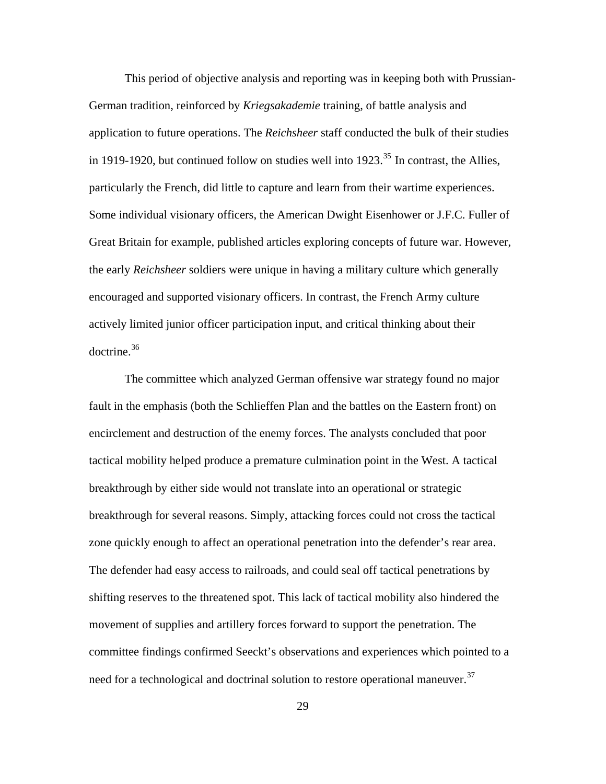This period of objective analysis and reporting was in keeping both with Prussian-German tradition, reinforced by *Kriegsakademie* training, of battle analysis and application to future operations. The *Reichsheer* staff conducted the bulk of their studies in 1919-1920, but continued follow on studies well into  $1923$ <sup>[35](#page-128-0)</sup> In contrast, the Allies, particularly the French, did little to capture and learn from their wartime experiences. Some individual visionary officers, the American Dwight Eisenhower or J.F.C. Fuller of Great Britain for example, published articles exploring concepts of future war. However, the early *Reichsheer* soldiers were unique in having a military culture which generally encouraged and supported visionary officers. In contrast, the French Army culture actively limited junior officer participation input, and critical thinking about their doctrine.[36](#page-128-0)

The committee which analyzed German offensive war strategy found no major fault in the emphasis (both the Schlieffen Plan and the battles on the Eastern front) on encirclement and destruction of the enemy forces. The analysts concluded that poor tactical mobility helped produce a premature culmination point in the West. A tactical breakthrough by either side would not translate into an operational or strategic breakthrough for several reasons. Simply, attacking forces could not cross the tactical zone quickly enough to affect an operational penetration into the defender's rear area. The defender had easy access to railroads, and could seal off tactical penetrations by shifting reserves to the threatened spot. This lack of tactical mobility also hindered the movement of supplies and artillery forces forward to support the penetration. The committee findings confirmed Seeckt's observations and experiences which pointed to a need for a technological and doctrinal solution to restore operational maneuver.<sup>[37](#page-128-0)</sup>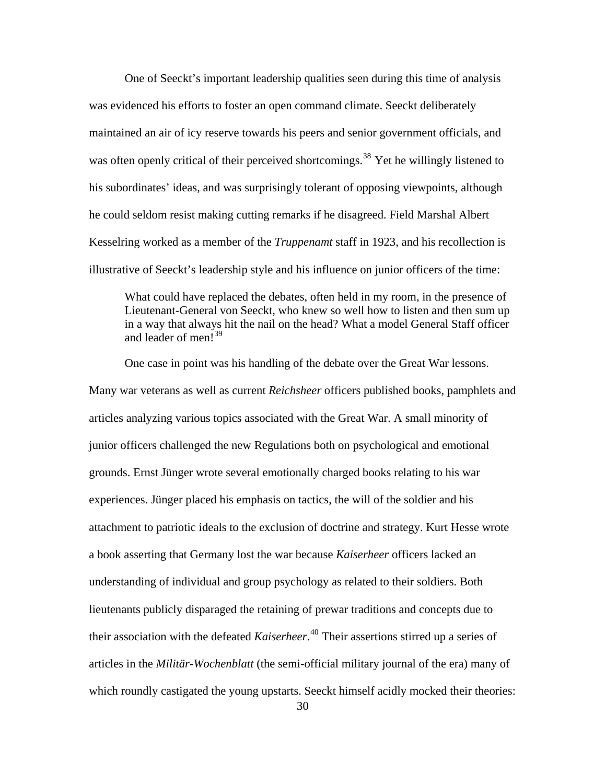One of Seeckt's important leadership qualities seen during this time of analysis was evidenced his efforts to foster an open command climate. Seeckt deliberately maintained an air of icy reserve towards his peers and senior government officials, and was often openly critical of their perceived shortcomings.<sup>[38](#page-128-0)</sup> Yet he willingly listened to his subordinates' ideas, and was surprisingly tolerant of opposing viewpoints, although he could seldom resist making cutting remarks if he disagreed. Field Marshal Albert Kesselring worked as a member of the *Truppenamt* staff in 1923, and his recollection is illustrative of Seeckt's leadership style and his influence on junior officers of the time:

What could have replaced the debates, often held in my room, in the presence of Lieutenant-General von Seeckt, who knew so well how to listen and then sum up in a way that always hit the nail on the head? What a model General Staff officer and leader of men<sup>1[39](#page-128-0)</sup>

One case in point was his handling of the debate over the Great War lessons. Many war veterans as well as current *Reichsheer* officers published books, pamphlets and articles analyzing various topics associated with the Great War. A small minority of junior officers challenged the new Regulations both on psychological and emotional grounds. Ernst Jünger wrote several emotionally charged books relating to his war experiences. Jünger placed his emphasis on tactics, the will of the soldier and his attachment to patriotic ideals to the exclusion of doctrine and strategy. Kurt Hesse wrote a book asserting that Germany lost the war because *Kaiserheer* officers lacked an understanding of individual and group psychology as related to their soldiers. Both lieutenants publicly disparaged the retaining of prewar traditions and concepts due to their association with the defeated *Kaiserheer*. [40](#page-128-0) Their assertions stirred up a series of articles in the *Militär-Wochenblatt* (the semi-official military journal of the era) many of which roundly castigated the young upstarts. Seeckt himself acidly mocked their theories: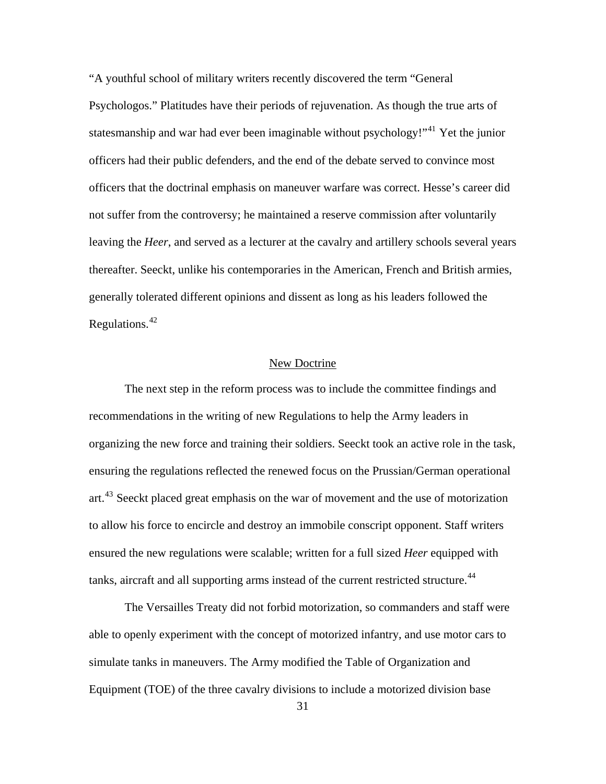"A youthful school of military writers recently discovered the term "General Psychologos." Platitudes have their periods of rejuvenation. As though the true arts of statesmanship and war had ever been imaginable without psychology!"<sup>[41](#page-128-0)</sup> Yet the junior officers had their public defenders, and the end of the debate served to convince most officers that the doctrinal emphasis on maneuver warfare was correct. Hesse's career did not suffer from the controversy; he maintained a reserve commission after voluntarily leaving the *Heer*, and served as a lecturer at the cavalry and artillery schools several years thereafter. Seeckt, unlike his contemporaries in the American, French and British armies, generally tolerated different opinions and dissent as long as his leaders followed the Regulations.[42](#page-128-0)

## New Doctrine

The next step in the reform process was to include the committee findings and recommendations in the writing of new Regulations to help the Army leaders in organizing the new force and training their soldiers. Seeckt took an active role in the task, ensuring the regulations reflected the renewed focus on the Prussian/German operational art.<sup>[43](#page-128-0)</sup> Seeckt placed great emphasis on the war of movement and the use of motorization to allow his force to encircle and destroy an immobile conscript opponent. Staff writers ensured the new regulations were scalable; written for a full sized *Heer* equipped with tanks, aircraft and all supporting arms instead of the current restricted structure.<sup>[44](#page-128-0)</sup>

The Versailles Treaty did not forbid motorization, so commanders and staff were able to openly experiment with the concept of motorized infantry, and use motor cars to simulate tanks in maneuvers. The Army modified the Table of Organization and Equipment (TOE) of the three cavalry divisions to include a motorized division base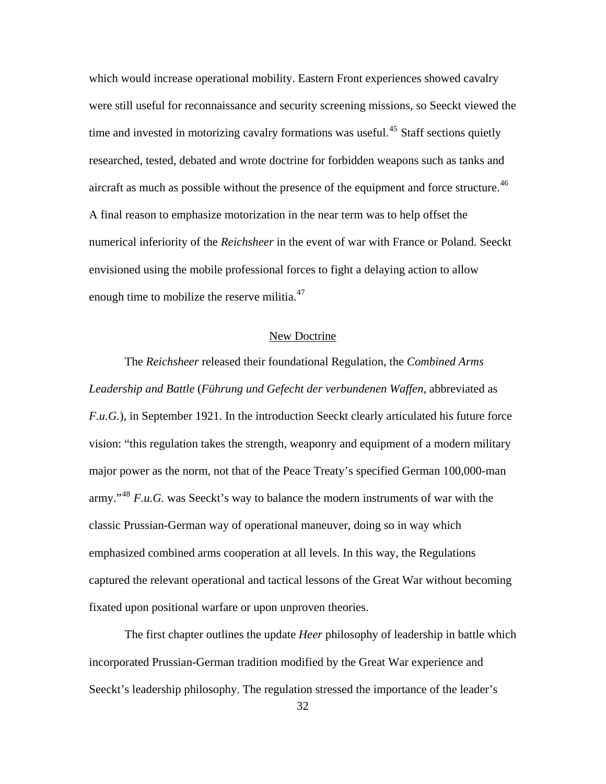which would increase operational mobility. Eastern Front experiences showed cavalry were still useful for reconnaissance and security screening missions, so Seeckt viewed the time and invested in motorizing cavalry formations was useful.<sup>[45](#page-128-0)</sup> Staff sections quietly researched, tested, debated and wrote doctrine for forbidden weapons such as tanks and aircraft as much as possible without the presence of the equipment and force structure.<sup>[46](#page-128-0)</sup> A final reason to emphasize motorization in the near term was to help offset the numerical inferiority of the *Reichsheer* in the event of war with France or Poland. Seeckt envisioned using the mobile professional forces to fight a delaying action to allow enough time to mobilize the reserve militia.<sup>[47](#page-128-0)</sup>

### New Doctrine

The *Reichsheer* released their foundational Regulation, the *Combined Arms Leadership and Battle* (*Führung und Gefecht der verbundenen Waffen*, abbreviated as *F.u.G.*), in September 1921. In the introduction Seeckt clearly articulated his future force vision: "this regulation takes the strength, weaponry and equipment of a modern military major power as the norm, not that of the Peace Treaty's specified German 100,000-man army."<sup>[48](#page-128-0)</sup> *F.u.G.* was Seeckt's way to balance the modern instruments of war with the classic Prussian-German way of operational maneuver, doing so in way which emphasized combined arms cooperation at all levels. In this way, the Regulations captured the relevant operational and tactical lessons of the Great War without becoming fixated upon positional warfare or upon unproven theories.

The first chapter outlines the update *Heer* philosophy of leadership in battle which incorporated Prussian-German tradition modified by the Great War experience and Seeckt's leadership philosophy. The regulation stressed the importance of the leader's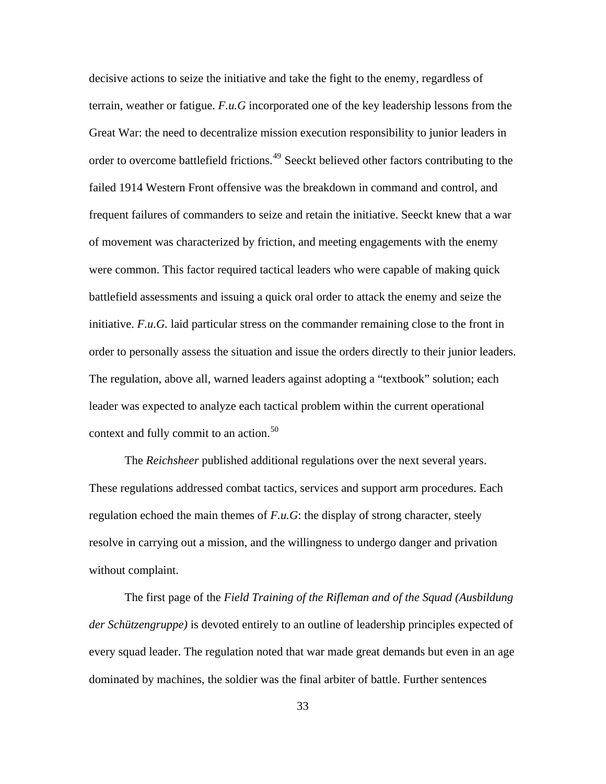decisive actions to seize the initiative and take the fight to the enemy, regardless of terrain, weather or fatigue. *F.u.G* incorporated one of the key leadership lessons from the Great War: the need to decentralize mission execution responsibility to junior leaders in order to overcome battlefield frictions.<sup>[49](#page-128-0)</sup> Seeckt believed other factors contributing to the failed 1914 Western Front offensive was the breakdown in command and control, and frequent failures of commanders to seize and retain the initiative. Seeckt knew that a war of movement was characterized by friction, and meeting engagements with the enemy were common. This factor required tactical leaders who were capable of making quick battlefield assessments and issuing a quick oral order to attack the enemy and seize the initiative. *F.u.G.* laid particular stress on the commander remaining close to the front in order to personally assess the situation and issue the orders directly to their junior leaders. The regulation, above all, warned leaders against adopting a "textbook" solution; each leader was expected to analyze each tactical problem within the current operational context and fully commit to an action. $50$ 

The *Reichsheer* published additional regulations over the next several years. These regulations addressed combat tactics, services and support arm procedures. Each regulation echoed the main themes of *F.u.G*: the display of strong character, steely resolve in carrying out a mission, and the willingness to undergo danger and privation without complaint.

The first page of the *Field Training of the Rifleman and of the Squad (Ausbildung der Schützengruppe)* is devoted entirely to an outline of leadership principles expected of every squad leader. The regulation noted that war made great demands but even in an age dominated by machines, the soldier was the final arbiter of battle. Further sentences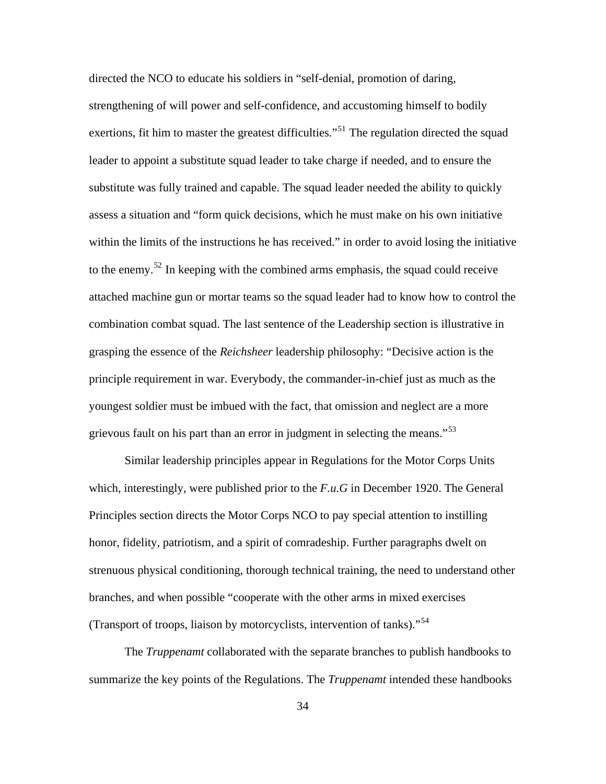directed the NCO to educate his soldiers in "self-denial, promotion of daring, strengthening of will power and self-confidence, and accustoming himself to bodily exertions, fit him to master the greatest difficulties."<sup>[51](#page-128-0)</sup> The regulation directed the squad leader to appoint a substitute squad leader to take charge if needed, and to ensure the substitute was fully trained and capable. The squad leader needed the ability to quickly assess a situation and "form quick decisions, which he must make on his own initiative within the limits of the instructions he has received." in order to avoid losing the initiative to the enemy.<sup>[52](#page-128-0)</sup> In keeping with the combined arms emphasis, the squad could receive attached machine gun or mortar teams so the squad leader had to know how to control the combination combat squad. The last sentence of the Leadership section is illustrative in grasping the essence of the *Reichsheer* leadership philosophy: "Decisive action is the principle requirement in war. Everybody, the commander-in-chief just as much as the youngest soldier must be imbued with the fact, that omission and neglect are a more grievous fault on his part than an error in judgment in selecting the means."<sup>[53](#page-128-0)</sup>

Similar leadership principles appear in Regulations for the Motor Corps Units which, interestingly, were published prior to the *F.u.G* in December 1920. The General Principles section directs the Motor Corps NCO to pay special attention to instilling honor, fidelity, patriotism, and a spirit of comradeship. Further paragraphs dwelt on strenuous physical conditioning, thorough technical training, the need to understand other branches, and when possible "cooperate with the other arms in mixed exercises (Transport of troops, liaison by motorcyclists, intervention of tanks)."[54](#page-128-0)

The *Truppenamt* collaborated with the separate branches to publish handbooks to summarize the key points of the Regulations. The *Truppenamt* intended these handbooks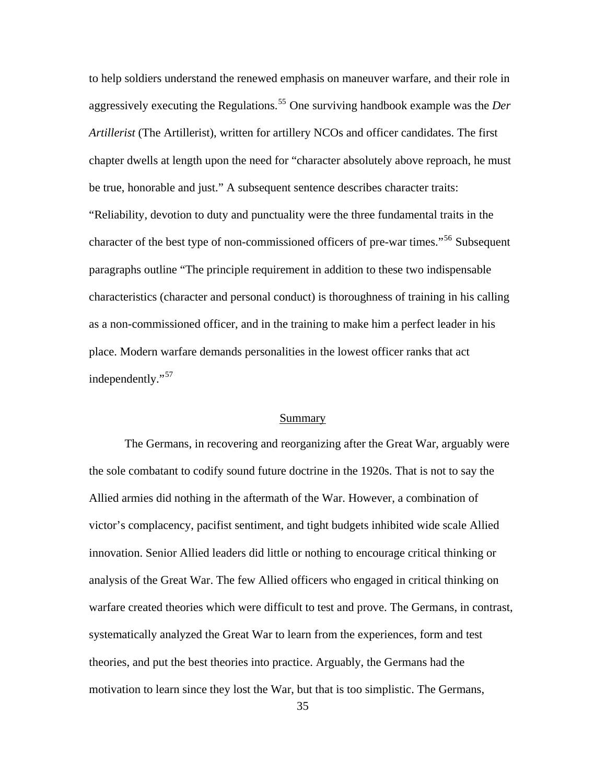to help soldiers understand the renewed emphasis on maneuver warfare, and their role in aggressively executing the Regulations.[55](#page-128-0) One surviving handbook example was the *Der Artillerist* (The Artillerist), written for artillery NCOs and officer candidates. The first chapter dwells at length upon the need for "character absolutely above reproach, he must be true, honorable and just." A subsequent sentence describes character traits: "Reliability, devotion to duty and punctuality were the three fundamental traits in the character of the best type of non-commissioned officers of pre-war times."<sup>[56](#page-128-0)</sup> Subsequent paragraphs outline "The principle requirement in addition to these two indispensable characteristics (character and personal conduct) is thoroughness of training in his calling as a non-commissioned officer, and in the training to make him a perfect leader in his place. Modern warfare demands personalities in the lowest officer ranks that act independently."<sup>[57](#page-128-0)</sup>

### Summary

The Germans, in recovering and reorganizing after the Great War, arguably were the sole combatant to codify sound future doctrine in the 1920s. That is not to say the Allied armies did nothing in the aftermath of the War. However, a combination of victor's complacency, pacifist sentiment, and tight budgets inhibited wide scale Allied innovation. Senior Allied leaders did little or nothing to encourage critical thinking or analysis of the Great War. The few Allied officers who engaged in critical thinking on warfare created theories which were difficult to test and prove. The Germans, in contrast, systematically analyzed the Great War to learn from the experiences, form and test theories, and put the best theories into practice. Arguably, the Germans had the motivation to learn since they lost the War, but that is too simplistic. The Germans,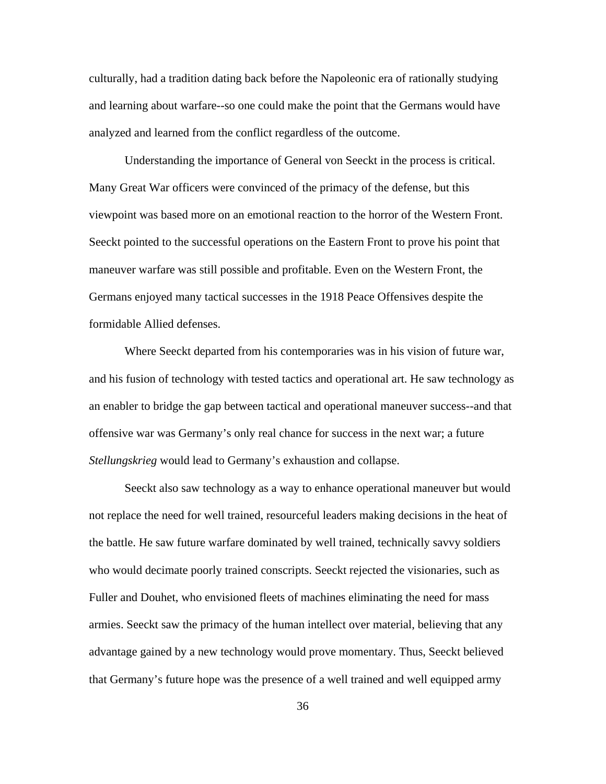culturally, had a tradition dating back before the Napoleonic era of rationally studying and learning about warfare--so one could make the point that the Germans would have analyzed and learned from the conflict regardless of the outcome.

Understanding the importance of General von Seeckt in the process is critical. Many Great War officers were convinced of the primacy of the defense, but this viewpoint was based more on an emotional reaction to the horror of the Western Front. Seeckt pointed to the successful operations on the Eastern Front to prove his point that maneuver warfare was still possible and profitable. Even on the Western Front, the Germans enjoyed many tactical successes in the 1918 Peace Offensives despite the formidable Allied defenses.

Where Seeckt departed from his contemporaries was in his vision of future war, and his fusion of technology with tested tactics and operational art. He saw technology as an enabler to bridge the gap between tactical and operational maneuver success--and that offensive war was Germany's only real chance for success in the next war; a future *Stellungskrieg* would lead to Germany's exhaustion and collapse.

Seeckt also saw technology as a way to enhance operational maneuver but would not replace the need for well trained, resourceful leaders making decisions in the heat of the battle. He saw future warfare dominated by well trained, technically savvy soldiers who would decimate poorly trained conscripts. Seeckt rejected the visionaries, such as Fuller and Douhet, who envisioned fleets of machines eliminating the need for mass armies. Seeckt saw the primacy of the human intellect over material, believing that any advantage gained by a new technology would prove momentary. Thus, Seeckt believed that Germany's future hope was the presence of a well trained and well equipped army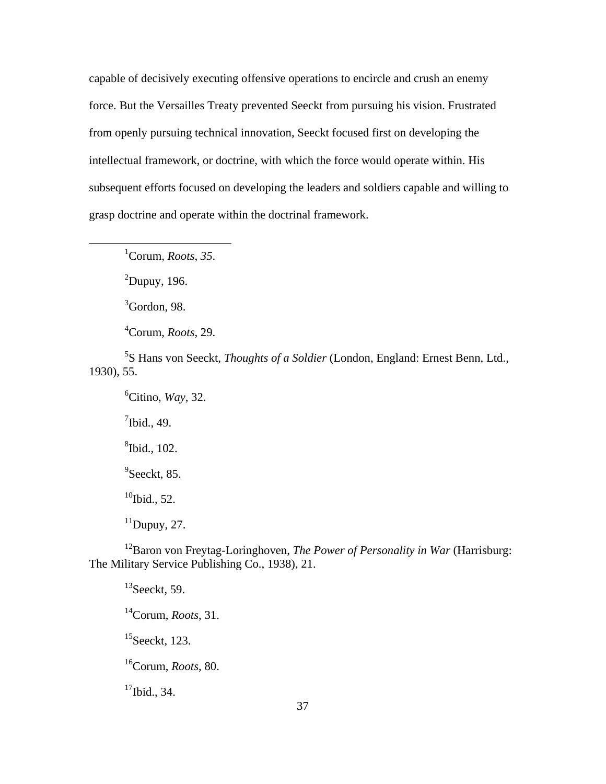capable of decisively executing offensive operations to encircle and crush an enemy force. But the Versailles Treaty prevented Seeckt from pursuing his vision. Frustrated from openly pursuing technical innovation, Seeckt focused first on developing the intellectual framework, or doctrine, with which the force would operate within. His subsequent efforts focused on developing the leaders and soldiers capable and willing to grasp doctrine and operate within the doctrinal framework.

1 Corum, *Roots*, *35*.

 $2$ Dupuy, 196.

 $\overline{a}$ 

 ${}^{3}$ Gordon, 98.

4 Corum, *Roots*, 29.

5 S Hans von Seeckt, *Thoughts of a Soldier* (London, England: Ernest Benn, Ltd., 1930), 55.

6 Citino, *Way*, 32.  $\frac{7}{1}$ Ibid., 49. 8 Ibid., 102. <sup>9</sup>Seeckt, 85.  $10$ Ibid., 52.

 $11$ Dupuy, 27.

12Baron von Freytag-Loringhoven, *The Power of Personality in War* (Harrisburg: The Military Service Publishing Co., 1938), 21.

 $13$ Seeckt, 59. 14Corum, *Roots*, 31.  $15$ Seeckt, 123. 16Corum, *Roots*, 80.  $17$ Ibid., 34.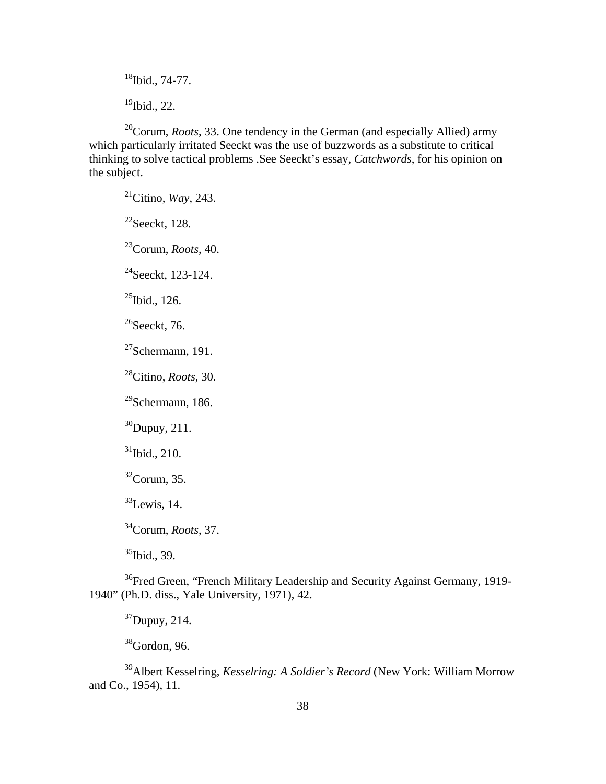$18$ Ibid., 74-77.  $19$ Ibid., 22.

20Corum, *Roots*, 33. One tendency in the German (and especially Allied) army which particularly irritated Seeckt was the use of buzzwords as a substitute to critical thinking to solve tactical problems .See Seeckt's essay, *Catchwords*, for his opinion on the subject.

21Citino, *Way*, 243.

 $22$ Seeckt, 128.

23Corum, *Roots*, 40.

 $^{24}$ Seeckt, 123-124.

 $^{25}$ Ibid., 126.

 $26$ Seeckt, 76.

 $27$ Schermann, 191.

28Citino, *Roots*, 30.

 $29$ Schermann, 186.

 $30$ Dupuy, 211.

 $31$ Ibid., 210.

 $32$ Corum, 35.

 $33$ Lewis, 14.

34Corum, *Roots*, 37.

<sup>35</sup>Ibid., 39.

<sup>36</sup>Fred Green, "French Military Leadership and Security Against Germany, 1919-1940" (Ph.D. diss., Yale University, 1971), 42.

 $37$ Dupuy, 214.

 $38$ Gordon, 96.

39Albert Kesselring, *Kesselring: A Soldier's Record* (New York: William Morrow and Co., 1954), 11.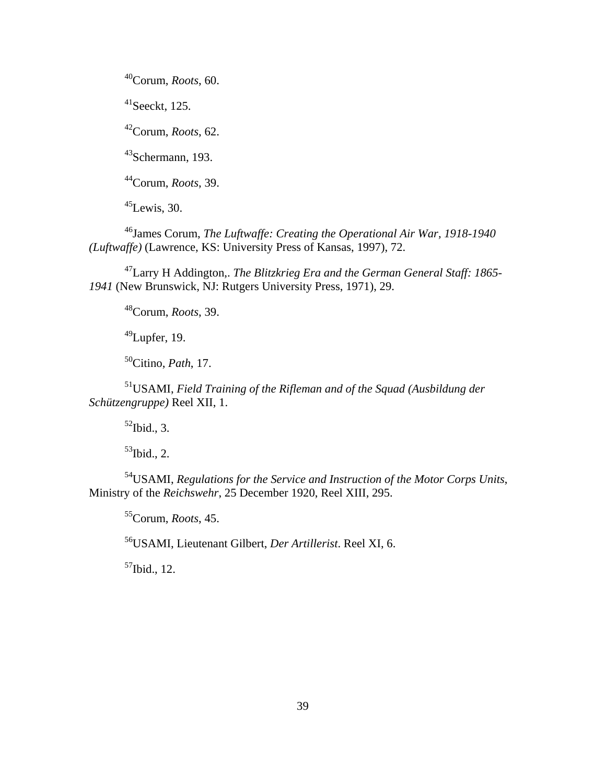40Corum, *Roots*, 60.

 $41$ Seeckt, 125.

42Corum, *Roots*, 62.

43Schermann, 193.

44Corum, *Roots*, 39.

 $45$ Lewis, 30.

46James Corum, *The Luftwaffe: Creating the Operational Air War, 1918-1940 (Luftwaffe)* (Lawrence, KS: University Press of Kansas, 1997), 72.

47Larry H Addington,. *The Blitzkrieg Era and the German General Staff: 1865- 1941* (New Brunswick, NJ: Rutgers University Press, 1971), 29.

48Corum, *Roots*, 39.

 $49$ Lupfer, 19.

50Citino, *Path*, 17.

51USAMI, *Field Training of the Rifleman and of the Squad (Ausbildung der Schützengruppe)* Reel XII, 1.

 $52$ Ibid., 3.

 $53$ Ibid., 2.

54USAMI, *Regulations for the Service and Instruction of the Motor Corps Units*, Ministry of the *Reichswehr*, 25 December 1920, Reel XIII, 295.

55Corum, *Roots*, 45.

56USAMI, Lieutenant Gilbert, *Der Artillerist*. Reel XI, 6.

 $57$ Ibid., 12.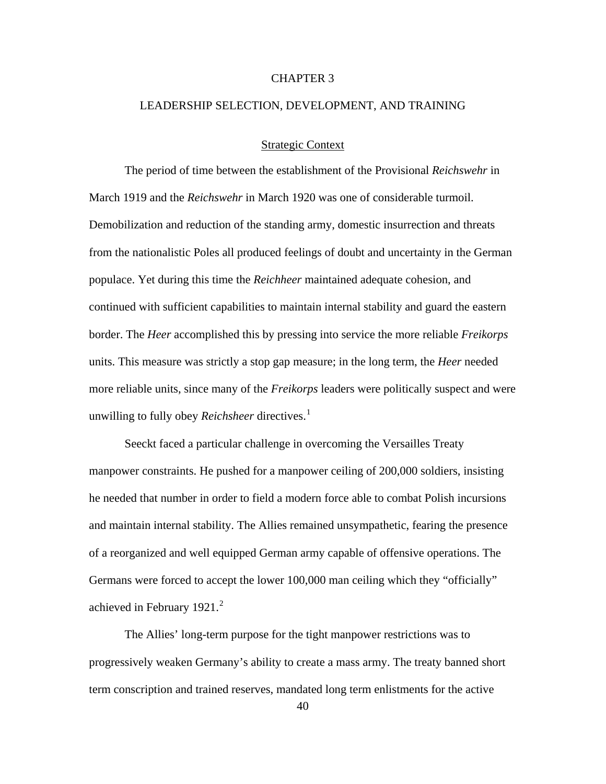### CHAPTER 3

## LEADERSHIP SELECTION, DEVELOPMENT, AND TRAINING

## Strategic Context

The period of time between the establishment of the Provisional *Reichswehr* in March 1919 and the *Reichswehr* in March 1920 was one of considerable turmoil. Demobilization and reduction of the standing army, domestic insurrection and threats from the nationalistic Poles all produced feelings of doubt and uncertainty in the German populace. Yet during this time the *Reichheer* maintained adequate cohesion, and continued with sufficient capabilities to maintain internal stability and guard the eastern border. The *Heer* accomplished this by pressing into service the more reliable *Freikorps*  units. This measure was strictly a stop gap measure; in the long term, the *Heer* needed more reliable units, since many of the *Freikorps* leaders were politically suspect and were unwilling to fully obey *Reichsheer* directives.<sup>[1](#page-128-0)</sup>

Seeckt faced a particular challenge in overcoming the Versailles Treaty manpower constraints. He pushed for a manpower ceiling of 200,000 soldiers, insisting he needed that number in order to field a modern force able to combat Polish incursions and maintain internal stability. The Allies remained unsympathetic, fearing the presence of a reorganized and well equipped German army capable of offensive operations. The Germans were forced to accept the lower 100,000 man ceiling which they "officially" achieved in February  $1921.<sup>2</sup>$  $1921.<sup>2</sup>$  $1921.<sup>2</sup>$ 

The Allies' long-term purpose for the tight manpower restrictions was to progressively weaken Germany's ability to create a mass army. The treaty banned short term conscription and trained reserves, mandated long term enlistments for the active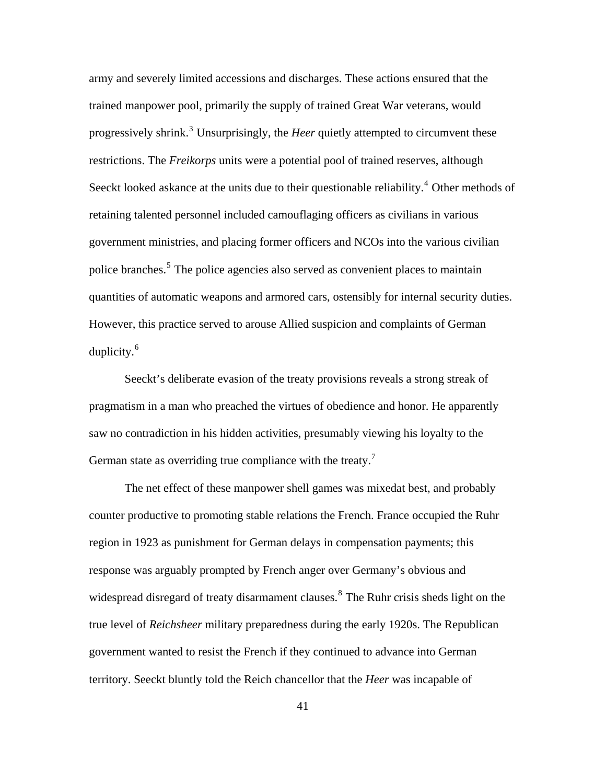army and severely limited accessions and discharges. These actions ensured that the trained manpower pool, primarily the supply of trained Great War veterans, would progressively shrink.<sup>[3](#page-128-0)</sup> Unsurprisingly, the *Heer* quietly attempted to circumvent these restrictions. The *Freikorps* units were a potential pool of trained reserves, although Seeckt looked askance at the units due to their questionable reliability.<sup>[4](#page-128-0)</sup> Other methods of retaining talented personnel included camouflaging officers as civilians in various government ministries, and placing former officers and NCOs into the various civilian police branches.<sup>[5](#page-128-0)</sup> The police agencies also served as convenient places to maintain quantities of automatic weapons and armored cars, ostensibly for internal security duties. However, this practice served to arouse Allied suspicion and complaints of German duplicity.<sup>[6](#page-128-0)</sup>

Seeckt's deliberate evasion of the treaty provisions reveals a strong streak of pragmatism in a man who preached the virtues of obedience and honor. He apparently saw no contradiction in his hidden activities, presumably viewing his loyalty to the German state as overriding true compliance with the treaty.<sup>[7](#page-128-0)</sup>

The net effect of these manpower shell games was mixedat best, and probably counter productive to promoting stable relations the French. France occupied the Ruhr region in 1923 as punishment for German delays in compensation payments; this response was arguably prompted by French anger over Germany's obvious and widespread disregard of treaty disarmament clauses.<sup>[8](#page-128-0)</sup> The Ruhr crisis sheds light on the true level of *Reichsheer* military preparedness during the early 1920s. The Republican government wanted to resist the French if they continued to advance into German territory. Seeckt bluntly told the Reich chancellor that the *Heer* was incapable of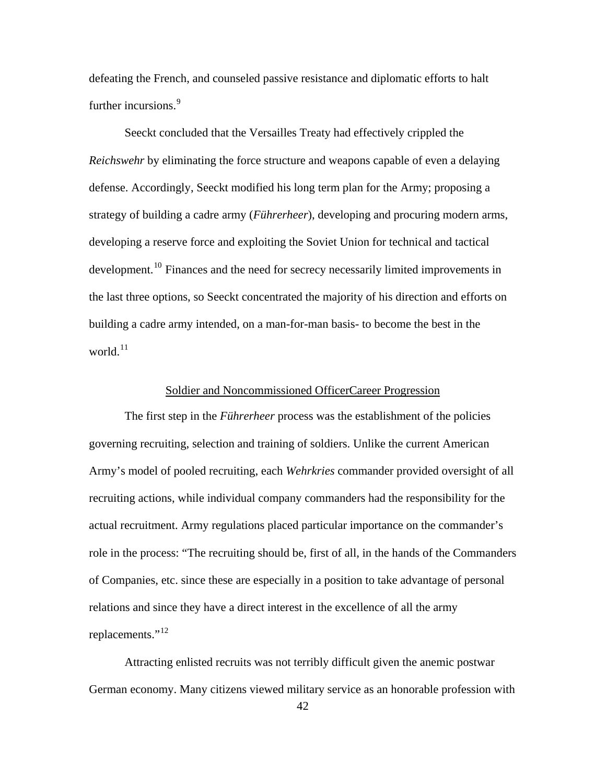defeating the French, and counseled passive resistance and diplomatic efforts to halt further incursions.<sup>[9](#page-128-0)</sup>

Seeckt concluded that the Versailles Treaty had effectively crippled the *Reichswehr* by eliminating the force structure and weapons capable of even a delaying defense. Accordingly, Seeckt modified his long term plan for the Army; proposing a strategy of building a cadre army (*Führerheer*), developing and procuring modern arms, developing a reserve force and exploiting the Soviet Union for technical and tactical development.<sup>[10](#page-128-0)</sup> Finances and the need for secrecy necessarily limited improvements in the last three options, so Seeckt concentrated the majority of his direction and efforts on building a cadre army intended, on a man-for-man basis- to become the best in the world.<sup>[11](#page-128-0)</sup>

## Soldier and Noncommissioned OfficerCareer Progression

The first step in the *Führerheer* process was the establishment of the policies governing recruiting, selection and training of soldiers. Unlike the current American Army's model of pooled recruiting, each *Wehrkries* commander provided oversight of all recruiting actions, while individual company commanders had the responsibility for the actual recruitment. Army regulations placed particular importance on the commander's role in the process: "The recruiting should be, first of all, in the hands of the Commanders of Companies, etc. since these are especially in a position to take advantage of personal relations and since they have a direct interest in the excellence of all the army replacements."<sup>[12](#page-128-0)</sup>

Attracting enlisted recruits was not terribly difficult given the anemic postwar German economy. Many citizens viewed military service as an honorable profession with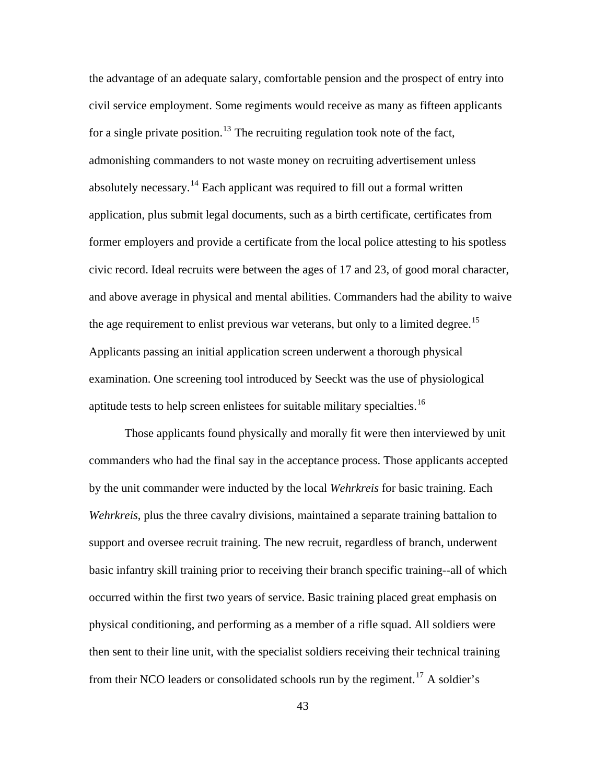the advantage of an adequate salary, comfortable pension and the prospect of entry into civil service employment. Some regiments would receive as many as fifteen applicants for a single private position.<sup>[13](#page-128-0)</sup> The recruiting regulation took note of the fact, admonishing commanders to not waste money on recruiting advertisement unless absolutely necessary.<sup>[14](#page-128-0)</sup> Each applicant was required to fill out a formal written application, plus submit legal documents, such as a birth certificate, certificates from former employers and provide a certificate from the local police attesting to his spotless civic record. Ideal recruits were between the ages of 17 and 23, of good moral character, and above average in physical and mental abilities. Commanders had the ability to waive the age requirement to enlist previous war veterans, but only to a limited degree.<sup>[15](#page-128-0)</sup> Applicants passing an initial application screen underwent a thorough physical examination. One screening tool introduced by Seeckt was the use of physiological aptitude tests to help screen enlistees for suitable military specialties.[16](#page-128-0)

Those applicants found physically and morally fit were then interviewed by unit commanders who had the final say in the acceptance process. Those applicants accepted by the unit commander were inducted by the local *Wehrkreis* for basic training. Each *Wehrkreis*, plus the three cavalry divisions, maintained a separate training battalion to support and oversee recruit training. The new recruit, regardless of branch, underwent basic infantry skill training prior to receiving their branch specific training--all of which occurred within the first two years of service. Basic training placed great emphasis on physical conditioning, and performing as a member of a rifle squad. All soldiers were then sent to their line unit, with the specialist soldiers receiving their technical training from their NCO leaders or consolidated schools run by the regiment.<sup>[17](#page-128-0)</sup> A soldier's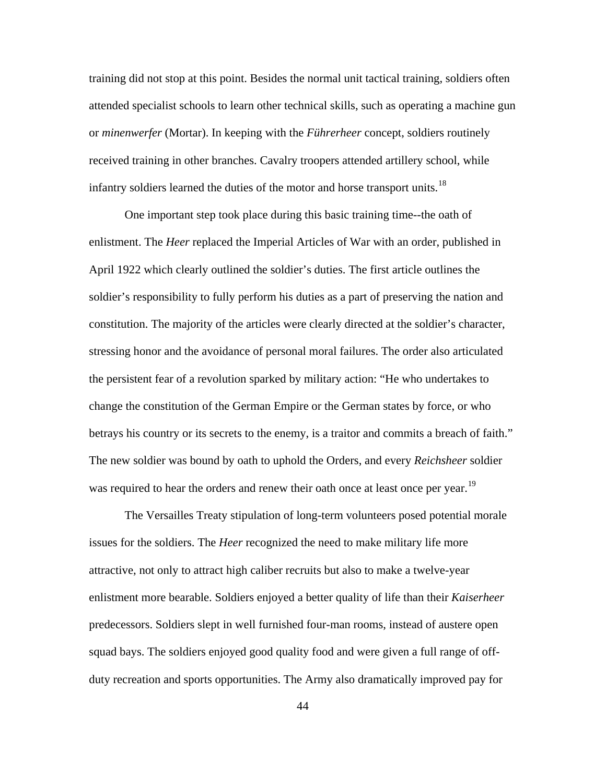training did not stop at this point. Besides the normal unit tactical training, soldiers often attended specialist schools to learn other technical skills, such as operating a machine gun or *minenwerfer* (Mortar). In keeping with the *Führerheer* concept, soldiers routinely received training in other branches. Cavalry troopers attended artillery school, while infantry soldiers learned the duties of the motor and horse transport units.<sup>[18](#page-128-0)</sup>

One important step took place during this basic training time--the oath of enlistment. The *Heer* replaced the Imperial Articles of War with an order, published in April 1922 which clearly outlined the soldier's duties. The first article outlines the soldier's responsibility to fully perform his duties as a part of preserving the nation and constitution. The majority of the articles were clearly directed at the soldier's character, stressing honor and the avoidance of personal moral failures. The order also articulated the persistent fear of a revolution sparked by military action: "He who undertakes to change the constitution of the German Empire or the German states by force, or who betrays his country or its secrets to the enemy, is a traitor and commits a breach of faith." The new soldier was bound by oath to uphold the Orders, and every *Reichsheer* soldier was required to hear the orders and renew their oath once at least once per year.<sup>[19](#page-128-0)</sup>

The Versailles Treaty stipulation of long-term volunteers posed potential morale issues for the soldiers. The *Heer* recognized the need to make military life more attractive, not only to attract high caliber recruits but also to make a twelve-year enlistment more bearable. Soldiers enjoyed a better quality of life than their *Kaiserheer*  predecessors. Soldiers slept in well furnished four-man rooms, instead of austere open squad bays. The soldiers enjoyed good quality food and were given a full range of offduty recreation and sports opportunities. The Army also dramatically improved pay for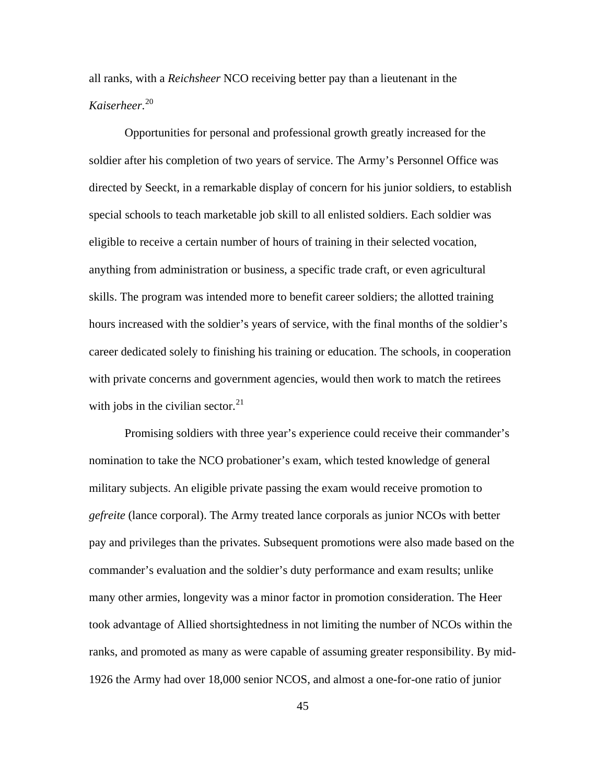all ranks, with a *Reichsheer* NCO receiving better pay than a lieutenant in the *Kaiserheer*. [20](#page-128-0)

Opportunities for personal and professional growth greatly increased for the soldier after his completion of two years of service. The Army's Personnel Office was directed by Seeckt, in a remarkable display of concern for his junior soldiers, to establish special schools to teach marketable job skill to all enlisted soldiers. Each soldier was eligible to receive a certain number of hours of training in their selected vocation, anything from administration or business, a specific trade craft, or even agricultural skills. The program was intended more to benefit career soldiers; the allotted training hours increased with the soldier's years of service, with the final months of the soldier's career dedicated solely to finishing his training or education. The schools, in cooperation with private concerns and government agencies, would then work to match the retirees with jobs in the civilian sector. $^{21}$  $^{21}$  $^{21}$ 

Promising soldiers with three year's experience could receive their commander's nomination to take the NCO probationer's exam, which tested knowledge of general military subjects. An eligible private passing the exam would receive promotion to *gefreite* (lance corporal). The Army treated lance corporals as junior NCOs with better pay and privileges than the privates. Subsequent promotions were also made based on the commander's evaluation and the soldier's duty performance and exam results; unlike many other armies, longevity was a minor factor in promotion consideration. The Heer took advantage of Allied shortsightedness in not limiting the number of NCOs within the ranks, and promoted as many as were capable of assuming greater responsibility. By mid-1926 the Army had over 18,000 senior NCOS, and almost a one-for-one ratio of junior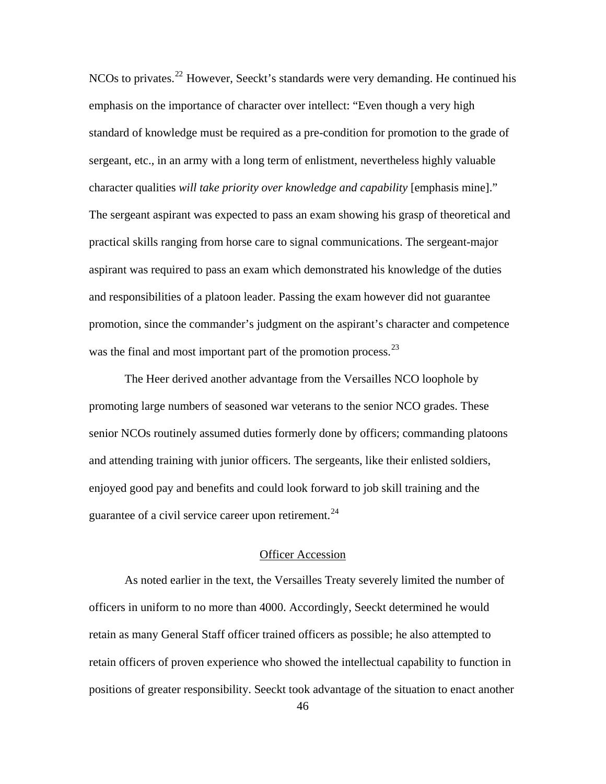NCOs to privates.<sup>[22](#page-128-0)</sup> However, Seeckt's standards were very demanding. He continued his emphasis on the importance of character over intellect: "Even though a very high standard of knowledge must be required as a pre-condition for promotion to the grade of sergeant, etc., in an army with a long term of enlistment, nevertheless highly valuable character qualities *will take priority over knowledge and capability* [emphasis mine]." The sergeant aspirant was expected to pass an exam showing his grasp of theoretical and practical skills ranging from horse care to signal communications. The sergeant-major aspirant was required to pass an exam which demonstrated his knowledge of the duties and responsibilities of a platoon leader. Passing the exam however did not guarantee promotion, since the commander's judgment on the aspirant's character and competence was the final and most important part of the promotion process.<sup>[23](#page-128-0)</sup>

The Heer derived another advantage from the Versailles NCO loophole by promoting large numbers of seasoned war veterans to the senior NCO grades. These senior NCOs routinely assumed duties formerly done by officers; commanding platoons and attending training with junior officers. The sergeants, like their enlisted soldiers, enjoyed good pay and benefits and could look forward to job skill training and the guarantee of a civil service career upon retirement.<sup>[24](#page-128-0)</sup>

## Officer Accession

As noted earlier in the text, the Versailles Treaty severely limited the number of officers in uniform to no more than 4000. Accordingly, Seeckt determined he would retain as many General Staff officer trained officers as possible; he also attempted to retain officers of proven experience who showed the intellectual capability to function in positions of greater responsibility. Seeckt took advantage of the situation to enact another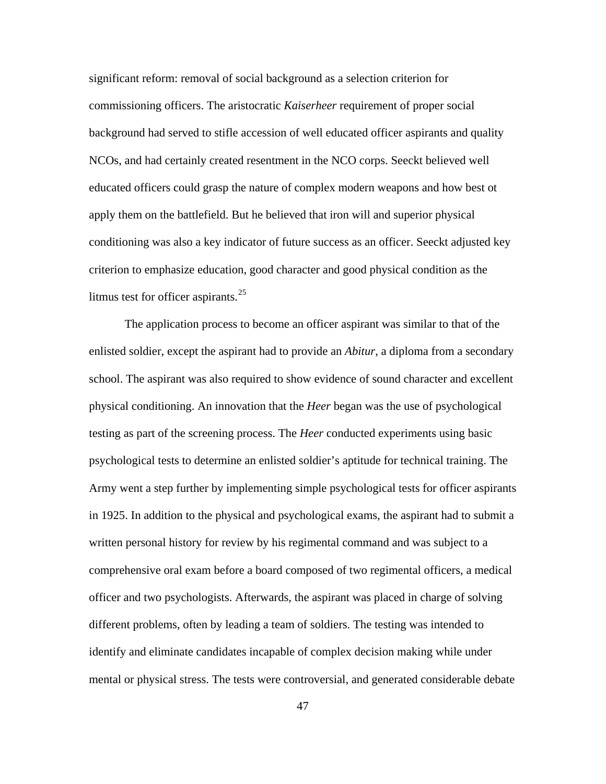significant reform: removal of social background as a selection criterion for commissioning officers. The aristocratic *Kaiserheer* requirement of proper social background had served to stifle accession of well educated officer aspirants and quality NCOs, and had certainly created resentment in the NCO corps. Seeckt believed well educated officers could grasp the nature of complex modern weapons and how best ot apply them on the battlefield. But he believed that iron will and superior physical conditioning was also a key indicator of future success as an officer. Seeckt adjusted key criterion to emphasize education, good character and good physical condition as the litmus test for officer aspirants. $^{25}$  $^{25}$  $^{25}$ 

The application process to become an officer aspirant was similar to that of the enlisted soldier, except the aspirant had to provide an *Abitur*, a diploma from a secondary school. The aspirant was also required to show evidence of sound character and excellent physical conditioning. An innovation that the *Heer* began was the use of psychological testing as part of the screening process. The *Heer* conducted experiments using basic psychological tests to determine an enlisted soldier's aptitude for technical training. The Army went a step further by implementing simple psychological tests for officer aspirants in 1925. In addition to the physical and psychological exams, the aspirant had to submit a written personal history for review by his regimental command and was subject to a comprehensive oral exam before a board composed of two regimental officers, a medical officer and two psychologists. Afterwards, the aspirant was placed in charge of solving different problems, often by leading a team of soldiers. The testing was intended to identify and eliminate candidates incapable of complex decision making while under mental or physical stress. The tests were controversial, and generated considerable debate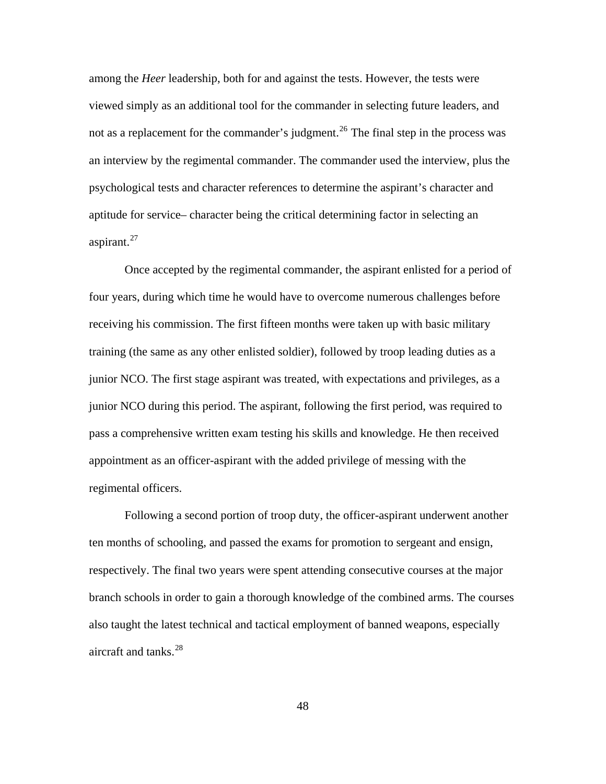among the *Heer* leadership, both for and against the tests. However, the tests were viewed simply as an additional tool for the commander in selecting future leaders, and not as a replacement for the commander's judgment.<sup>[26](#page-128-0)</sup> The final step in the process was an interview by the regimental commander. The commander used the interview, plus the psychological tests and character references to determine the aspirant's character and aptitude for service– character being the critical determining factor in selecting an aspirant. $27$ 

Once accepted by the regimental commander, the aspirant enlisted for a period of four years, during which time he would have to overcome numerous challenges before receiving his commission. The first fifteen months were taken up with basic military training (the same as any other enlisted soldier), followed by troop leading duties as a junior NCO. The first stage aspirant was treated, with expectations and privileges, as a junior NCO during this period. The aspirant, following the first period, was required to pass a comprehensive written exam testing his skills and knowledge. He then received appointment as an officer-aspirant with the added privilege of messing with the regimental officers.

Following a second portion of troop duty, the officer-aspirant underwent another ten months of schooling, and passed the exams for promotion to sergeant and ensign, respectively. The final two years were spent attending consecutive courses at the major branch schools in order to gain a thorough knowledge of the combined arms. The courses also taught the latest technical and tactical employment of banned weapons, especially aircraft and tanks.<sup>[28](#page-128-0)</sup>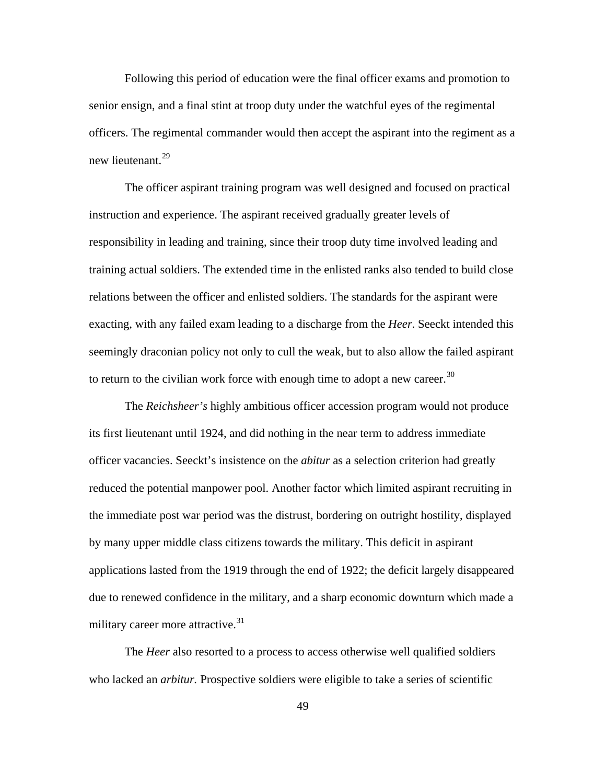Following this period of education were the final officer exams and promotion to senior ensign, and a final stint at troop duty under the watchful eyes of the regimental officers. The regimental commander would then accept the aspirant into the regiment as a new lieutenant.<sup>[29](#page-128-0)</sup>

The officer aspirant training program was well designed and focused on practical instruction and experience. The aspirant received gradually greater levels of responsibility in leading and training, since their troop duty time involved leading and training actual soldiers. The extended time in the enlisted ranks also tended to build close relations between the officer and enlisted soldiers. The standards for the aspirant were exacting, with any failed exam leading to a discharge from the *Heer*. Seeckt intended this seemingly draconian policy not only to cull the weak, but to also allow the failed aspirant to return to the civilian work force with enough time to adopt a new career.<sup>[30](#page-128-0)</sup>

The *Reichsheer's* highly ambitious officer accession program would not produce its first lieutenant until 1924, and did nothing in the near term to address immediate officer vacancies. Seeckt's insistence on the *abitur* as a selection criterion had greatly reduced the potential manpower pool. Another factor which limited aspirant recruiting in the immediate post war period was the distrust, bordering on outright hostility, displayed by many upper middle class citizens towards the military. This deficit in aspirant applications lasted from the 1919 through the end of 1922; the deficit largely disappeared due to renewed confidence in the military, and a sharp economic downturn which made a military career more attractive.<sup>[31](#page-128-0)</sup>

The *Heer* also resorted to a process to access otherwise well qualified soldiers who lacked an *arbitur*. Prospective soldiers were eligible to take a series of scientific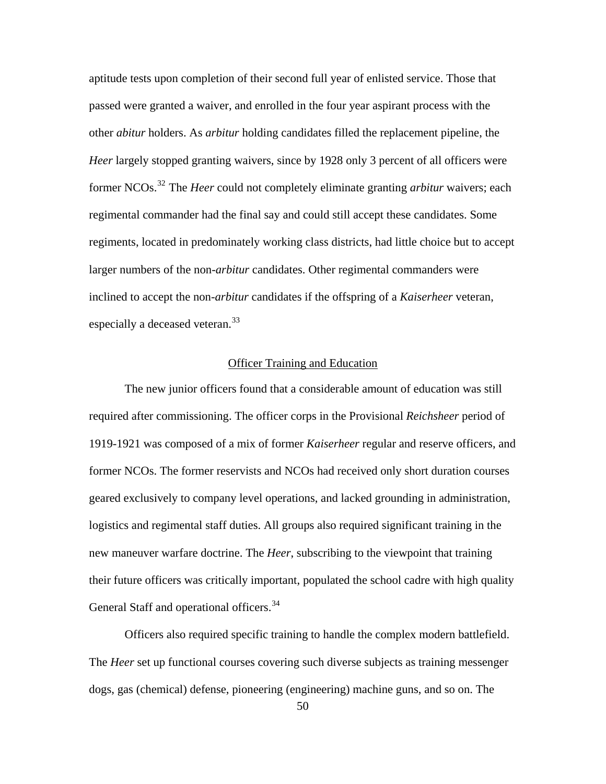aptitude tests upon completion of their second full year of enlisted service. Those that passed were granted a waiver, and enrolled in the four year aspirant process with the other *abitur* holders. As *arbitur* holding candidates filled the replacement pipeline, the *Heer* largely stopped granting waivers, since by 1928 only 3 percent of all officers were former NCOs.[32](#page-128-0) The *Heer* could not completely eliminate granting *arbitur* waivers; each regimental commander had the final say and could still accept these candidates. Some regiments, located in predominately working class districts, had little choice but to accept larger numbers of the non-*arbitur* candidates. Other regimental commanders were inclined to accept the non-*arbitur* candidates if the offspring of a *Kaiserheer* veteran, especially a deceased veteran.<sup>[33](#page-128-0)</sup>

## Officer Training and Education

The new junior officers found that a considerable amount of education was still required after commissioning. The officer corps in the Provisional *Reichsheer* period of 1919-1921 was composed of a mix of former *Kaiserheer* regular and reserve officers, and former NCOs. The former reservists and NCOs had received only short duration courses geared exclusively to company level operations, and lacked grounding in administration, logistics and regimental staff duties. All groups also required significant training in the new maneuver warfare doctrine. The *Heer*, subscribing to the viewpoint that training their future officers was critically important, populated the school cadre with high quality General Staff and operational officers.<sup>[34](#page-128-0)</sup>

Officers also required specific training to handle the complex modern battlefield. The *Heer* set up functional courses covering such diverse subjects as training messenger dogs, gas (chemical) defense, pioneering (engineering) machine guns, and so on. The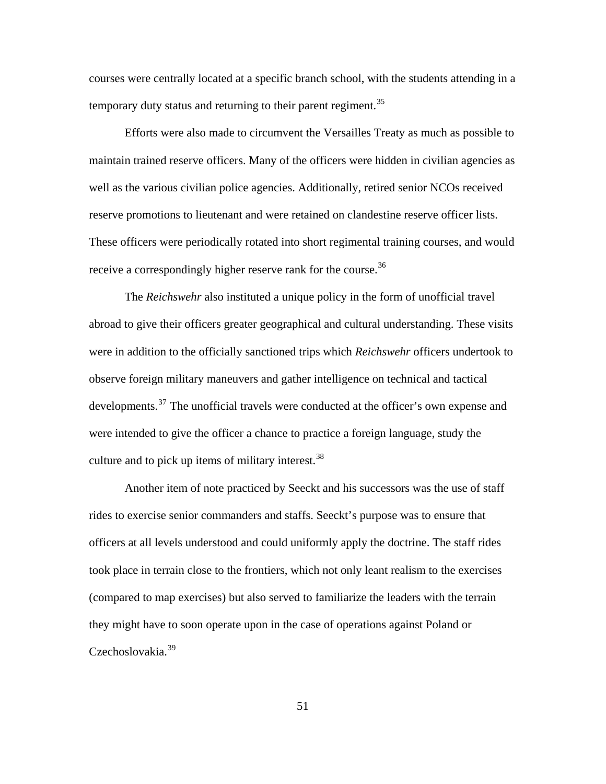courses were centrally located at a specific branch school, with the students attending in a temporary duty status and returning to their parent regiment.<sup>[35](#page-128-0)</sup>

Efforts were also made to circumvent the Versailles Treaty as much as possible to maintain trained reserve officers. Many of the officers were hidden in civilian agencies as well as the various civilian police agencies. Additionally, retired senior NCOs received reserve promotions to lieutenant and were retained on clandestine reserve officer lists. These officers were periodically rotated into short regimental training courses, and would receive a correspondingly higher reserve rank for the course.<sup>[36](#page-128-0)</sup>

The *Reichswehr* also instituted a unique policy in the form of unofficial travel abroad to give their officers greater geographical and cultural understanding. These visits were in addition to the officially sanctioned trips which *Reichswehr* officers undertook to observe foreign military maneuvers and gather intelligence on technical and tactical developments.<sup>[37](#page-128-0)</sup> The unofficial travels were conducted at the officer's own expense and were intended to give the officer a chance to practice a foreign language, study the culture and to pick up items of military interest.<sup>[38](#page-128-0)</sup>

Another item of note practiced by Seeckt and his successors was the use of staff rides to exercise senior commanders and staffs. Seeckt's purpose was to ensure that officers at all levels understood and could uniformly apply the doctrine. The staff rides took place in terrain close to the frontiers, which not only leant realism to the exercises (compared to map exercises) but also served to familiarize the leaders with the terrain they might have to soon operate upon in the case of operations against Poland or Czechoslovakia.<sup>[39](#page-128-0)</sup>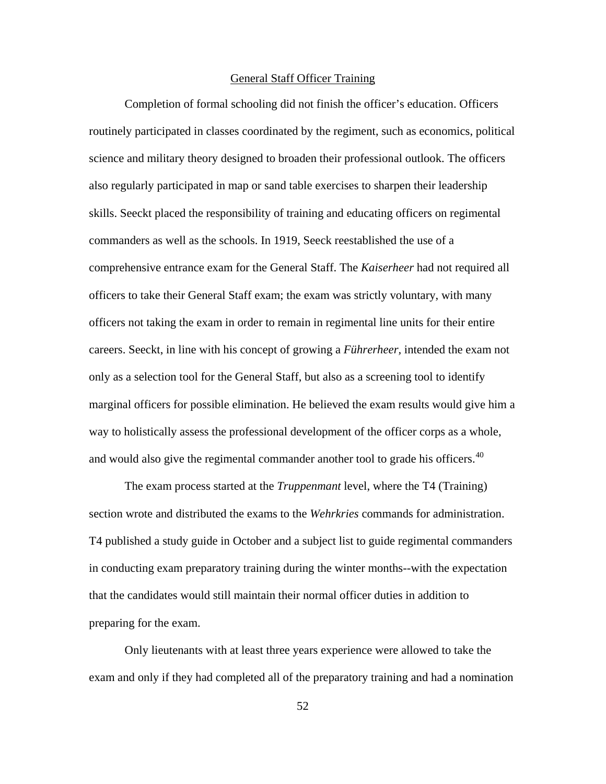## General Staff Officer Training

Completion of formal schooling did not finish the officer's education. Officers routinely participated in classes coordinated by the regiment, such as economics, political science and military theory designed to broaden their professional outlook. The officers also regularly participated in map or sand table exercises to sharpen their leadership skills. Seeckt placed the responsibility of training and educating officers on regimental commanders as well as the schools. In 1919, Seeck reestablished the use of a comprehensive entrance exam for the General Staff. The *Kaiserheer* had not required all officers to take their General Staff exam; the exam was strictly voluntary, with many officers not taking the exam in order to remain in regimental line units for their entire careers. Seeckt, in line with his concept of growing a *Führerheer,* intended the exam not only as a selection tool for the General Staff, but also as a screening tool to identify marginal officers for possible elimination. He believed the exam results would give him a way to holistically assess the professional development of the officer corps as a whole, and would also give the regimental commander another tool to grade his officers.<sup>[40](#page-128-0)</sup>

The exam process started at the *Truppenmant* level, where the T4 (Training) section wrote and distributed the exams to the *Wehrkries* commands for administration. T4 published a study guide in October and a subject list to guide regimental commanders in conducting exam preparatory training during the winter months--with the expectation that the candidates would still maintain their normal officer duties in addition to preparing for the exam.

Only lieutenants with at least three years experience were allowed to take the exam and only if they had completed all of the preparatory training and had a nomination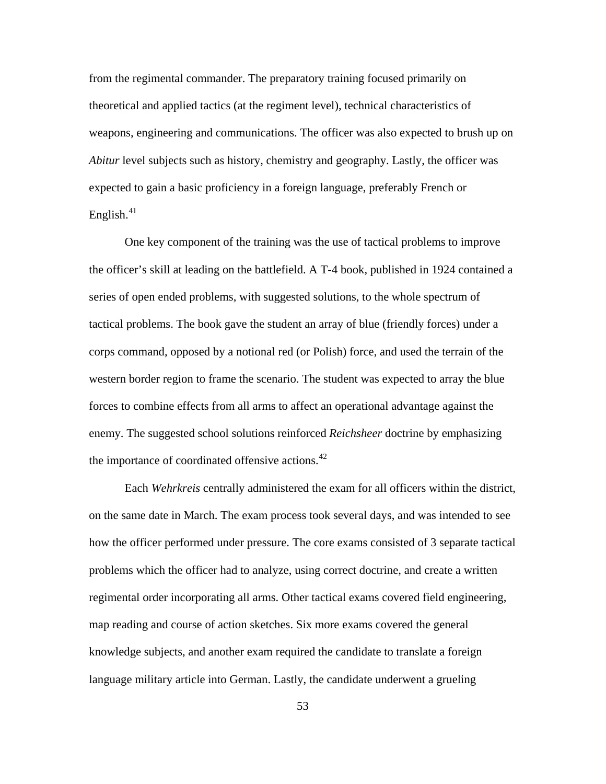from the regimental commander. The preparatory training focused primarily on theoretical and applied tactics (at the regiment level), technical characteristics of weapons, engineering and communications. The officer was also expected to brush up on *Abitur* level subjects such as history, chemistry and geography. Lastly, the officer was expected to gain a basic proficiency in a foreign language, preferably French or English. $41$ 

One key component of the training was the use of tactical problems to improve the officer's skill at leading on the battlefield. A T-4 book, published in 1924 contained a series of open ended problems, with suggested solutions, to the whole spectrum of tactical problems. The book gave the student an array of blue (friendly forces) under a corps command, opposed by a notional red (or Polish) force, and used the terrain of the western border region to frame the scenario. The student was expected to array the blue forces to combine effects from all arms to affect an operational advantage against the enemy. The suggested school solutions reinforced *Reichsheer* doctrine by emphasizing the importance of coordinated offensive actions. $42$ 

Each *Wehrkreis* centrally administered the exam for all officers within the district, on the same date in March. The exam process took several days, and was intended to see how the officer performed under pressure. The core exams consisted of 3 separate tactical problems which the officer had to analyze, using correct doctrine, and create a written regimental order incorporating all arms. Other tactical exams covered field engineering, map reading and course of action sketches. Six more exams covered the general knowledge subjects, and another exam required the candidate to translate a foreign language military article into German. Lastly, the candidate underwent a grueling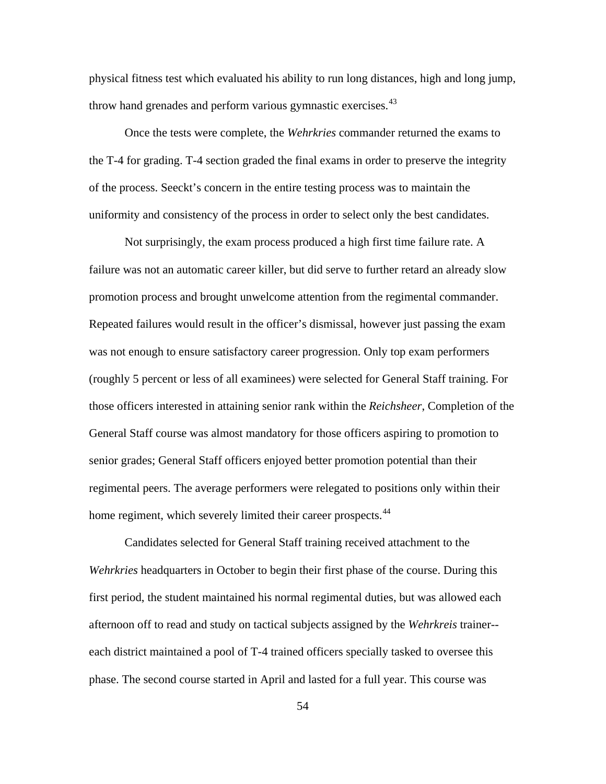physical fitness test which evaluated his ability to run long distances, high and long jump, throw hand grenades and perform various gymnastic exercises.<sup>[43](#page-128-0)</sup>

Once the tests were complete, the *Wehrkries* commander returned the exams to the T-4 for grading. T-4 section graded the final exams in order to preserve the integrity of the process. Seeckt's concern in the entire testing process was to maintain the uniformity and consistency of the process in order to select only the best candidates.

Not surprisingly, the exam process produced a high first time failure rate. A failure was not an automatic career killer, but did serve to further retard an already slow promotion process and brought unwelcome attention from the regimental commander. Repeated failures would result in the officer's dismissal, however just passing the exam was not enough to ensure satisfactory career progression. Only top exam performers (roughly 5 percent or less of all examinees) were selected for General Staff training. For those officers interested in attaining senior rank within the *Reichsheer*, Completion of the General Staff course was almost mandatory for those officers aspiring to promotion to senior grades; General Staff officers enjoyed better promotion potential than their regimental peers. The average performers were relegated to positions only within their home regiment, which severely limited their career prospects.<sup>[44](#page-128-0)</sup>

Candidates selected for General Staff training received attachment to the *Wehrkries* headquarters in October to begin their first phase of the course. During this first period, the student maintained his normal regimental duties, but was allowed each afternoon off to read and study on tactical subjects assigned by the *Wehrkreis* trainer- each district maintained a pool of T-4 trained officers specially tasked to oversee this phase. The second course started in April and lasted for a full year. This course was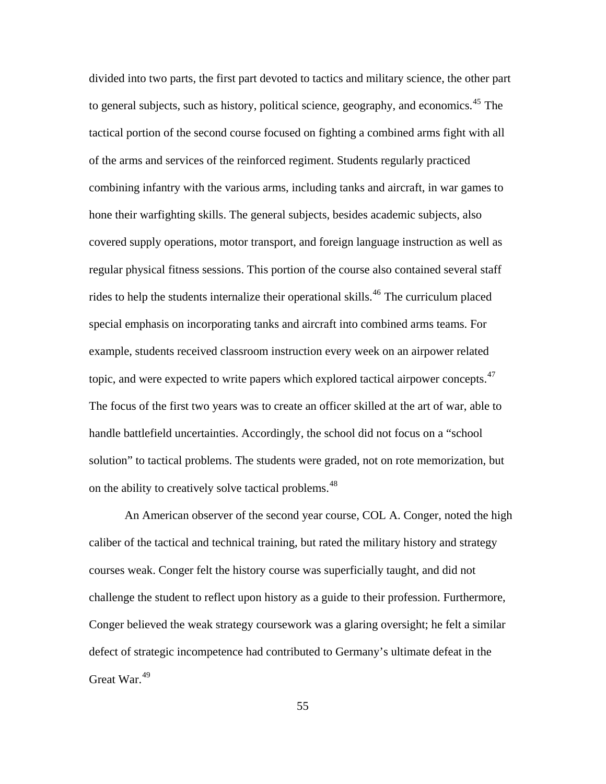on the ability to creatively solve tactical problems.<sup>48</sup> divided into two parts, the first part devoted to tactics and military science, the other part to general subjects, such as history, political science, geography, and economics.<sup>[45](#page-128-0)</sup> The tactical portion of the second course focused on fighting a combined arms fight with all of the arms and services of the reinforced regiment. Students regularly practiced combining infantry with the various arms, including tanks and aircraft, in war games to hone their warfighting skills. The general subjects, besides academic subjects, also covered supply operations, motor transport, and foreign language instruction as well as regular physical fitness sessions. This portion of the course also contained several staff rides to help the students internalize their operational skills.<sup>[46](#page-128-0)</sup> The curriculum placed special emphasis on incorporating tanks and aircraft into combined arms teams. For example, students received classroom instruction every week on an airpower related topic, and were expected to write papers which explored tactical airpower concepts.<sup>[47](#page-128-0)</sup> The focus of the first two years was to create an officer skilled at the art of war, able to handle battlefield uncertainties. Accordingly, the school did not focus on a "school solution" to tactical problems. The students were graded, not on rote memorization, but

An American observer of the second year course, COL A. Conger, noted the high caliber of the tactical and technical training, but rated the military history and strategy courses weak. Conger felt the history course was superficially taught, and did not challenge the student to reflect upon history as a guide to their profession. Furthermore, Conger believed the weak strategy coursework was a glaring oversight; he felt a similar defect of strategic incompetence had contributed to Germany's ultimate defeat in the Great War.<sup>[49](#page-128-0)</sup>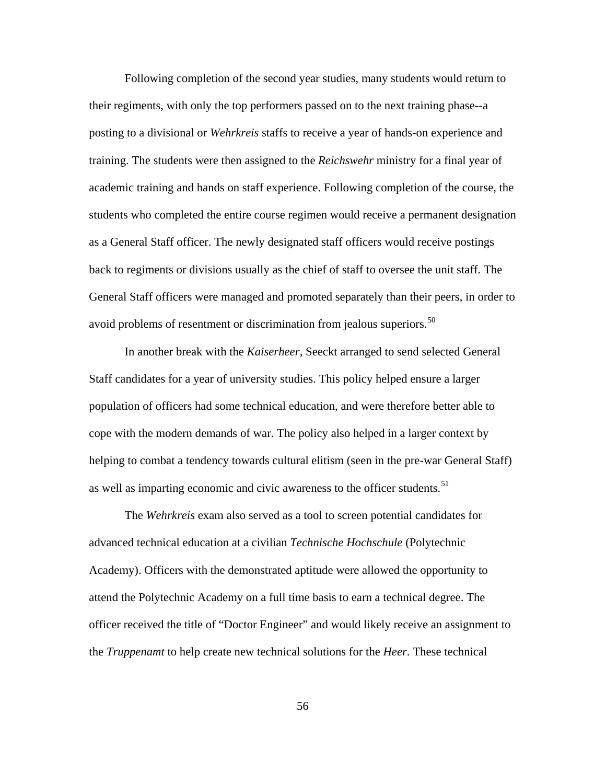Following completion of the second year studies, many students would return to their regiments, with only the top performers passed on to the next training phase--a posting to a divisional or *Wehrkreis* staffs to receive a year of hands-on experience and training. The students were then assigned to the *Reichswehr* ministry for a final year of academic training and hands on staff experience. Following completion of the course, the students who completed the entire course regimen would receive a permanent designation as a General Staff officer. The newly designated staff officers would receive postings back to regiments or divisions usually as the chief of staff to oversee the unit staff. The General Staff officers were managed and promoted separately than their peers, in order to avoid problems of resentment or discrimination from jealous superiors.<sup>[50](#page-128-0)</sup>

In another break with the *Kaiserheer*, Seeckt arranged to send selected General Staff candidates for a year of university studies. This policy helped ensure a larger population of officers had some technical education, and were therefore better able to cope with the modern demands of war. The policy also helped in a larger context by helping to combat a tendency towards cultural elitism (seen in the pre-war General Staff) as well as imparting economic and civic awareness to the officer students.<sup>[51](#page-128-0)</sup>

The *Wehrkreis* exam also served as a tool to screen potential candidates for advanced technical education at a civilian *Technische Hochschule* (Polytechnic Academy). Officers with the demonstrated aptitude were allowed the opportunity to attend the Polytechnic Academy on a full time basis to earn a technical degree. The officer received the title of "Doctor Engineer" and would likely receive an assignment to the *Truppenamt* to help create new technical solutions for the *Heer*. These technical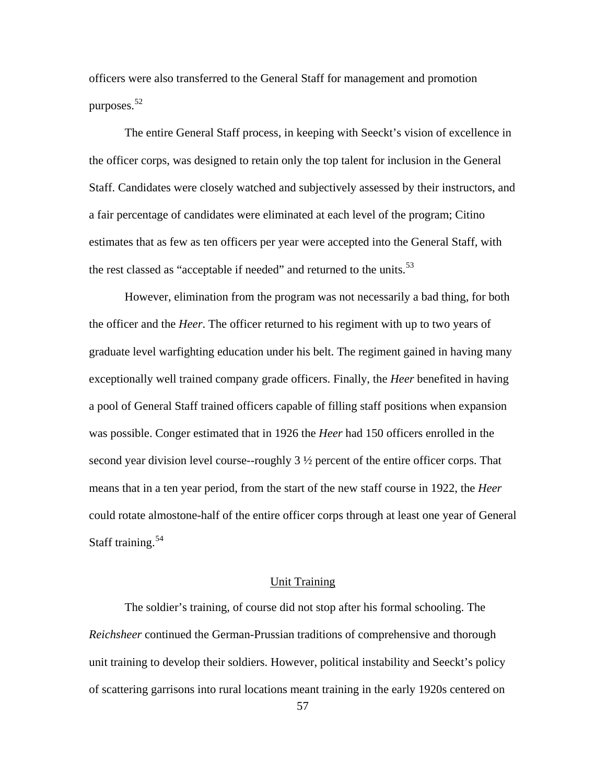officers were also transferred to the General Staff for management and promotion purposes.<sup>[52](#page-128-0)</sup>

The entire General Staff process, in keeping with Seeckt's vision of excellence in the officer corps, was designed to retain only the top talent for inclusion in the General Staff. Candidates were closely watched and subjectively assessed by their instructors, and a fair percentage of candidates were eliminated at each level of the program; Citino estimates that as few as ten officers per year were accepted into the General Staff, with the rest classed as "acceptable if needed" and returned to the units.<sup>[53](#page-128-0)</sup>

However, elimination from the program was not necessarily a bad thing, for both the officer and the *Heer*. The officer returned to his regiment with up to two years of graduate level warfighting education under his belt. The regiment gained in having many exceptionally well trained company grade officers. Finally, the *Heer* benefited in having a pool of General Staff trained officers capable of filling staff positions when expansion was possible. Conger estimated that in 1926 the *Heer* had 150 officers enrolled in the second year division level course--roughly 3 ½ percent of the entire officer corps. That means that in a ten year period, from the start of the new staff course in 1922, the *Heer* could rotate almostone-half of the entire officer corps through at least one year of General Staff training.<sup>[54](#page-128-0)</sup>

# Unit Training

The soldier's training, of course did not stop after his formal schooling. The *Reichsheer* continued the German-Prussian traditions of comprehensive and thorough unit training to develop their soldiers. However, political instability and Seeckt's policy of scattering garrisons into rural locations meant training in the early 1920s centered on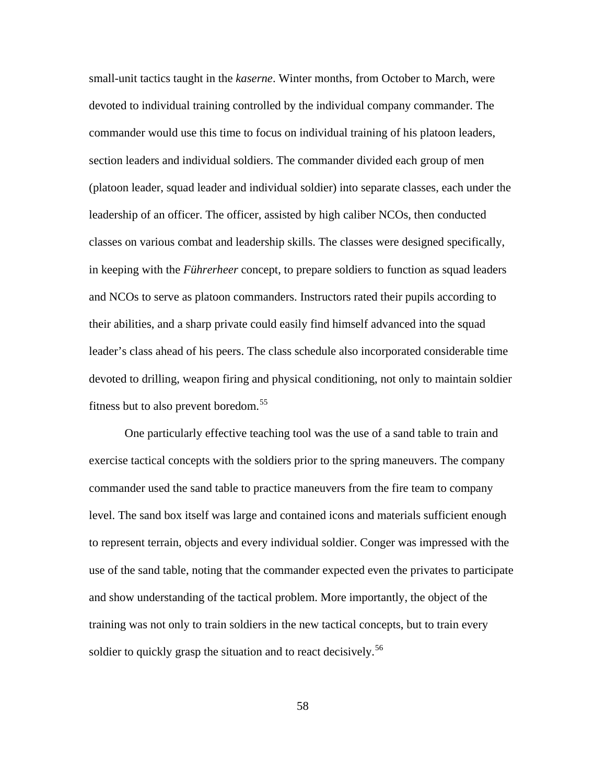small-unit tactics taught in the *kaserne*. Winter months, from October to March, were devoted to individual training controlled by the individual company commander. The commander would use this time to focus on individual training of his platoon leaders, section leaders and individual soldiers. The commander divided each group of men (platoon leader, squad leader and individual soldier) into separate classes, each under the leadership of an officer. The officer, assisted by high caliber NCOs, then conducted classes on various combat and leadership skills. The classes were designed specifically, in keeping with the *Führerheer* concept, to prepare soldiers to function as squad leaders and NCOs to serve as platoon commanders. Instructors rated their pupils according to their abilities, and a sharp private could easily find himself advanced into the squad leader's class ahead of his peers. The class schedule also incorporated considerable time devoted to drilling, weapon firing and physical conditioning, not only to maintain soldier fitness but to also prevent boredom.<sup>[55](#page-128-0)</sup>

One particularly effective teaching tool was the use of a sand table to train and exercise tactical concepts with the soldiers prior to the spring maneuvers. The company commander used the sand table to practice maneuvers from the fire team to company level. The sand box itself was large and contained icons and materials sufficient enough to represent terrain, objects and every individual soldier. Conger was impressed with the use of the sand table, noting that the commander expected even the privates to participate and show understanding of the tactical problem. More importantly, the object of the training was not only to train soldiers in the new tactical concepts, but to train every soldier to quickly grasp the situation and to react decisively.<sup>[56](#page-128-0)</sup>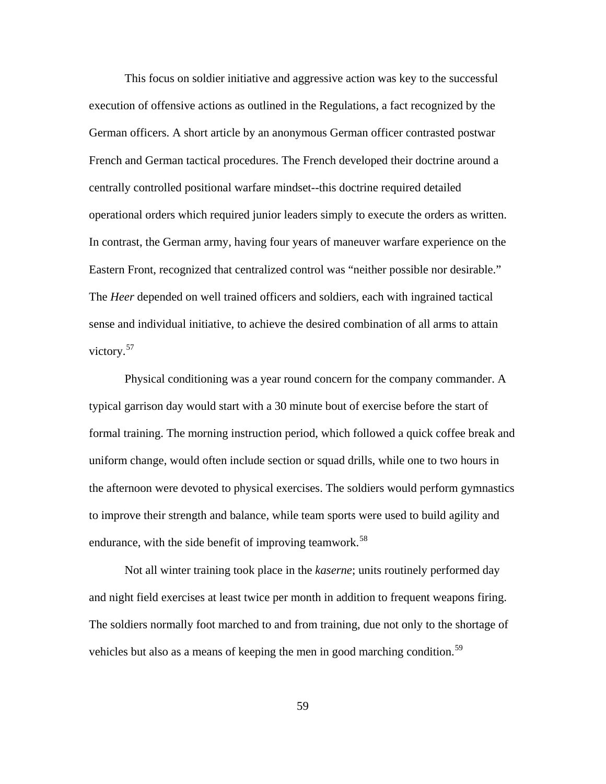This focus on soldier initiative and aggressive action was key to the successful execution of offensive actions as outlined in the Regulations, a fact recognized by the German officers. A short article by an anonymous German officer contrasted postwar French and German tactical procedures. The French developed their doctrine around a centrally controlled positional warfare mindset--this doctrine required detailed operational orders which required junior leaders simply to execute the orders as written. In contrast, the German army, having four years of maneuver warfare experience on the Eastern Front, recognized that centralized control was "neither possible nor desirable." The *Heer* depended on well trained officers and soldiers, each with ingrained tactical sense and individual initiative, to achieve the desired combination of all arms to attain victory.<sup>[57](#page-128-0)</sup>

Physical conditioning was a year round concern for the company commander. A typical garrison day would start with a 30 minute bout of exercise before the start of formal training. The morning instruction period, which followed a quick coffee break and uniform change, would often include section or squad drills, while one to two hours in the afternoon were devoted to physical exercises. The soldiers would perform gymnastics to improve their strength and balance, while team sports were used to build agility and endurance, with the side benefit of improving teamwork.<sup>[58](#page-128-0)</sup>

Not all winter training took place in the *kaserne*; units routinely performed day and night field exercises at least twice per month in addition to frequent weapons firing. The soldiers normally foot marched to and from training, due not only to the shortage of vehicles but also as a means of keeping the men in good marching condition.<sup>[59](#page-128-0)</sup>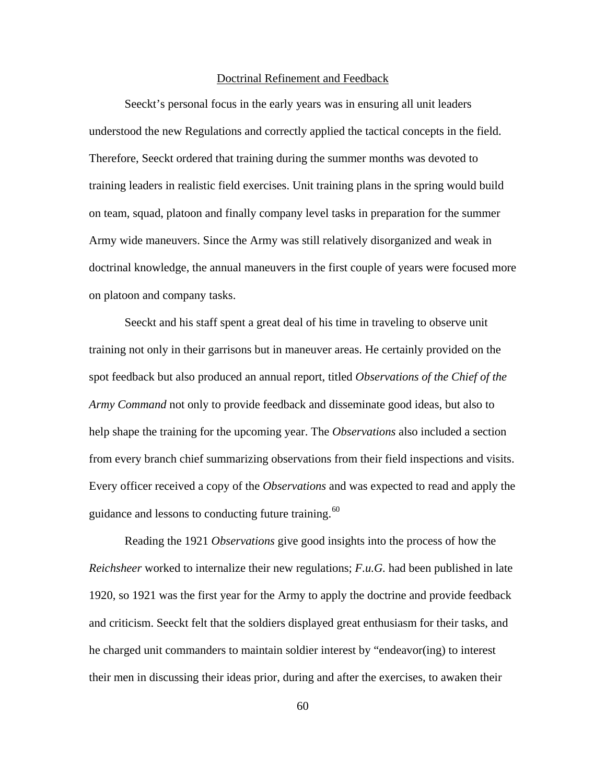## Doctrinal Refinement and Feedback

Seeckt's personal focus in the early years was in ensuring all unit leaders understood the new Regulations and correctly applied the tactical concepts in the field. Therefore, Seeckt ordered that training during the summer months was devoted to training leaders in realistic field exercises. Unit training plans in the spring would build on team, squad, platoon and finally company level tasks in preparation for the summer Army wide maneuvers. Since the Army was still relatively disorganized and weak in doctrinal knowledge, the annual maneuvers in the first couple of years were focused more on platoon and company tasks.

Seeckt and his staff spent a great deal of his time in traveling to observe unit training not only in their garrisons but in maneuver areas. He certainly provided on the spot feedback but also produced an annual report, titled *Observations of the Chief of the Army Command* not only to provide feedback and disseminate good ideas, but also to help shape the training for the upcoming year. The *Observations* also included a section from every branch chief summarizing observations from their field inspections and visits. Every officer received a copy of the *Observations* and was expected to read and apply the guidance and lessons to conducting future training.<sup>[60](#page-128-0)</sup>

Reading the 1921 *Observations* give good insights into the process of how the *Reichsheer* worked to internalize their new regulations; *F.u.G.* had been published in late 1920, so 1921 was the first year for the Army to apply the doctrine and provide feedback and criticism. Seeckt felt that the soldiers displayed great enthusiasm for their tasks, and he charged unit commanders to maintain soldier interest by "endeavor(ing) to interest their men in discussing their ideas prior, during and after the exercises, to awaken their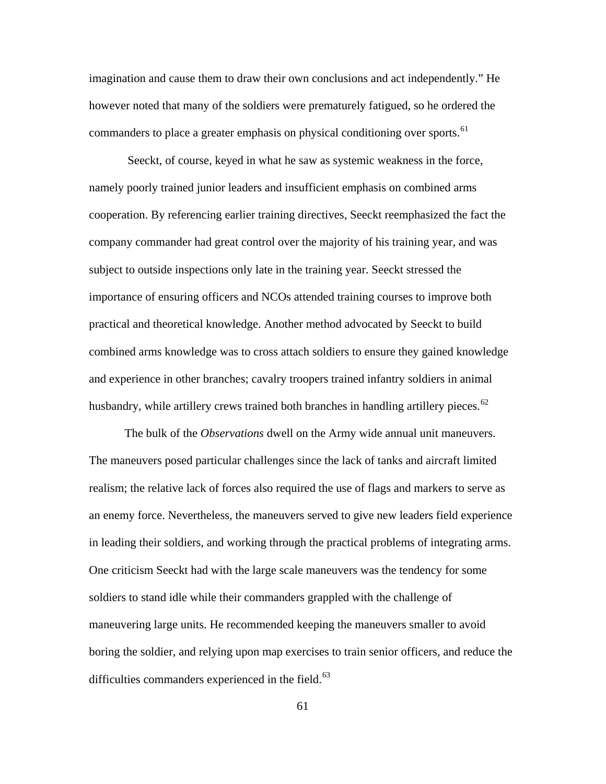imagination and cause them to draw their own conclusions and act independently." He however noted that many of the soldiers were prematurely fatigued, so he ordered the commanders to place a greater emphasis on physical conditioning over sports.<sup>[61](#page-128-0)</sup>

 Seeckt, of course, keyed in what he saw as systemic weakness in the force, namely poorly trained junior leaders and insufficient emphasis on combined arms cooperation. By referencing earlier training directives, Seeckt reemphasized the fact the company commander had great control over the majority of his training year, and was subject to outside inspections only late in the training year. Seeckt stressed the importance of ensuring officers and NCOs attended training courses to improve both practical and theoretical knowledge. Another method advocated by Seeckt to build combined arms knowledge was to cross attach soldiers to ensure they gained knowledge and experience in other branches; cavalry troopers trained infantry soldiers in animal husbandry, while artillery crews trained both branches in handling artillery pieces.<sup>[62](#page-128-0)</sup>

The bulk of the *Observations* dwell on the Army wide annual unit maneuvers. The maneuvers posed particular challenges since the lack of tanks and aircraft limited realism; the relative lack of forces also required the use of flags and markers to serve as an enemy force. Nevertheless, the maneuvers served to give new leaders field experience in leading their soldiers, and working through the practical problems of integrating arms. One criticism Seeckt had with the large scale maneuvers was the tendency for some soldiers to stand idle while their commanders grappled with the challenge of maneuvering large units. He recommended keeping the maneuvers smaller to avoid boring the soldier, and relying upon map exercises to train senior officers, and reduce the difficulties commanders experienced in the field. $^{63}$  $^{63}$  $^{63}$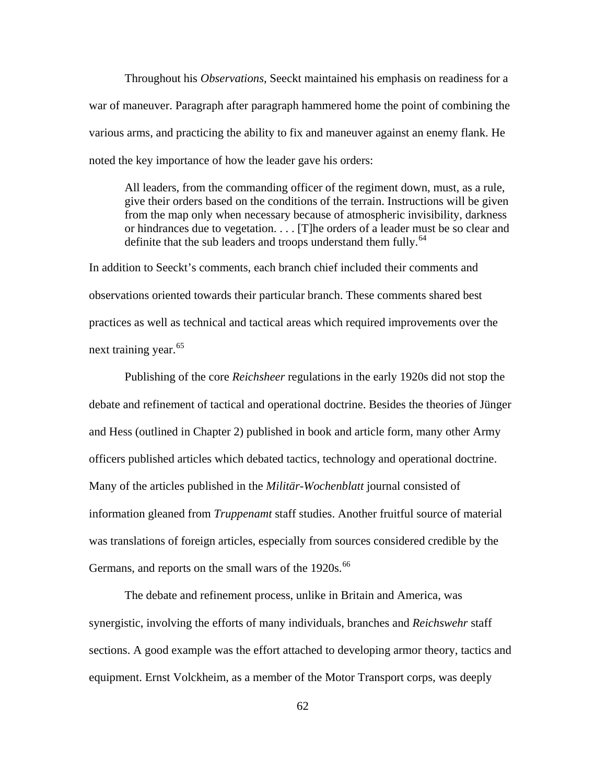Throughout his *Observations*, Seeckt maintained his emphasis on readiness for a war of maneuver. Paragraph after paragraph hammered home the point of combining the various arms, and practicing the ability to fix and maneuver against an enemy flank. He noted the key importance of how the leader gave his orders:

All leaders, from the commanding officer of the regiment down, must, as a rule, give their orders based on the conditions of the terrain. Instructions will be given from the map only when necessary because of atmospheric invisibility, darkness or hindrances due to vegetation. . . . [T]he orders of a leader must be so clear and definite that the sub leaders and troops understand them fully.<sup>[64](#page-128-0)</sup>

In addition to Seeckt's comments, each branch chief included their comments and observations oriented towards their particular branch. These comments shared best practices as well as technical and tactical areas which required improvements over the next training year.<sup>[65](#page-128-0)</sup>

Publishing of the core *Reichsheer* regulations in the early 1920s did not stop the debate and refinement of tactical and operational doctrine. Besides the theories of Jünger and Hess (outlined in Chapter 2) published in book and article form, many other Army officers published articles which debated tactics, technology and operational doctrine. Many of the articles published in the *Militär-Wochenblatt* journal consisted of information gleaned from *Truppenamt* staff studies. Another fruitful source of material was translations of foreign articles, especially from sources considered credible by the Germans, and reports on the small wars of the 1920s.<sup>[66](#page-128-0)</sup>

The debate and refinement process, unlike in Britain and America, was synergistic, involving the efforts of many individuals, branches and *Reichswehr* staff sections. A good example was the effort attached to developing armor theory, tactics and equipment. Ernst Volckheim, as a member of the Motor Transport corps, was deeply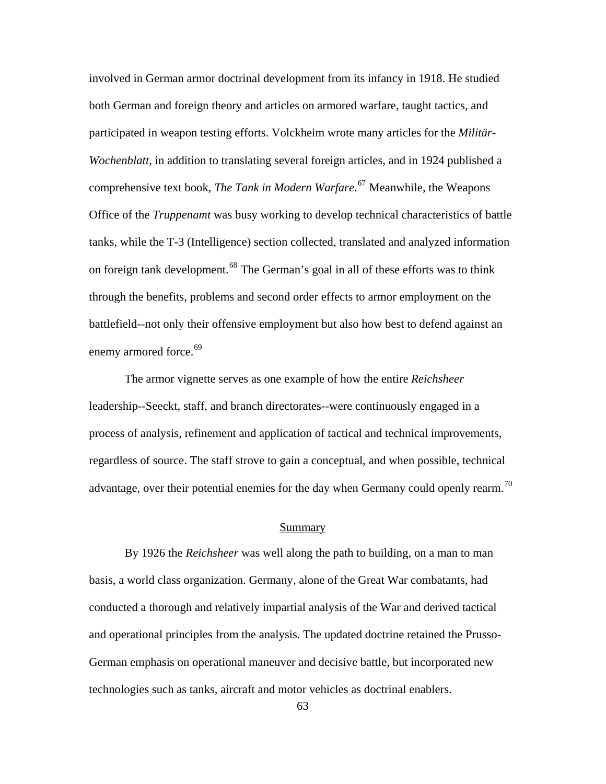involved in German armor doctrinal development from its infancy in 1918. He studied both German and foreign theory and articles on armored warfare, taught tactics, and participated in weapon testing efforts. Volckheim wrote many articles for the *Militär-Wochenblatt,* in addition to translating several foreign articles, and in 1924 published a comprehensive text book, *The Tank in Modern Warfare*. [67](#page-128-0) Meanwhile, the Weapons Office of the *Truppenamt* was busy working to develop technical characteristics of battle tanks, while the T-3 (Intelligence) section collected, translated and analyzed information on foreign tank development.<sup>[68](#page-128-0)</sup> The German's goal in all of these efforts was to think through the benefits, problems and second order effects to armor employment on the battlefield--not only their offensive employment but also how best to defend against an enemy armored force.<sup>[69](#page-128-0)</sup>

The armor vignette serves as one example of how the entire *Reichsheer* leadership--Seeckt, staff, and branch directorates--were continuously engaged in a process of analysis, refinement and application of tactical and technical improvements, regardless of source. The staff strove to gain a conceptual, and when possible, technical advantage, over their potential enemies for the day when Germany could openly rearm.<sup>[70](#page-128-0)</sup>

### Summary

By 1926 the *Reichsheer* was well along the path to building, on a man to man basis, a world class organization. Germany, alone of the Great War combatants, had conducted a thorough and relatively impartial analysis of the War and derived tactical and operational principles from the analysis. The updated doctrine retained the Prusso-German emphasis on operational maneuver and decisive battle, but incorporated new technologies such as tanks, aircraft and motor vehicles as doctrinal enablers.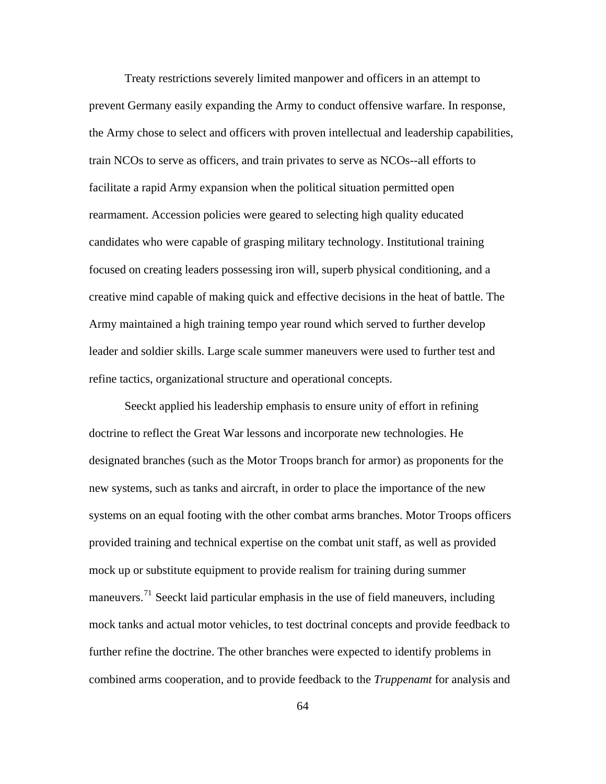Treaty restrictions severely limited manpower and officers in an attempt to prevent Germany easily expanding the Army to conduct offensive warfare. In response, the Army chose to select and officers with proven intellectual and leadership capabilities, train NCOs to serve as officers, and train privates to serve as NCOs--all efforts to facilitate a rapid Army expansion when the political situation permitted open rearmament. Accession policies were geared to selecting high quality educated candidates who were capable of grasping military technology. Institutional training focused on creating leaders possessing iron will, superb physical conditioning, and a creative mind capable of making quick and effective decisions in the heat of battle. The Army maintained a high training tempo year round which served to further develop leader and soldier skills. Large scale summer maneuvers were used to further test and refine tactics, organizational structure and operational concepts.

Seeckt applied his leadership emphasis to ensure unity of effort in refining doctrine to reflect the Great War lessons and incorporate new technologies. He designated branches (such as the Motor Troops branch for armor) as proponents for the new systems, such as tanks and aircraft, in order to place the importance of the new systems on an equal footing with the other combat arms branches. Motor Troops officers provided training and technical expertise on the combat unit staff, as well as provided mock up or substitute equipment to provide realism for training during summer maneuvers.<sup>[71](#page-128-0)</sup> Seeckt laid particular emphasis in the use of field maneuvers, including mock tanks and actual motor vehicles, to test doctrinal concepts and provide feedback to further refine the doctrine. The other branches were expected to identify problems in combined arms cooperation, and to provide feedback to the *Truppenamt* for analysis and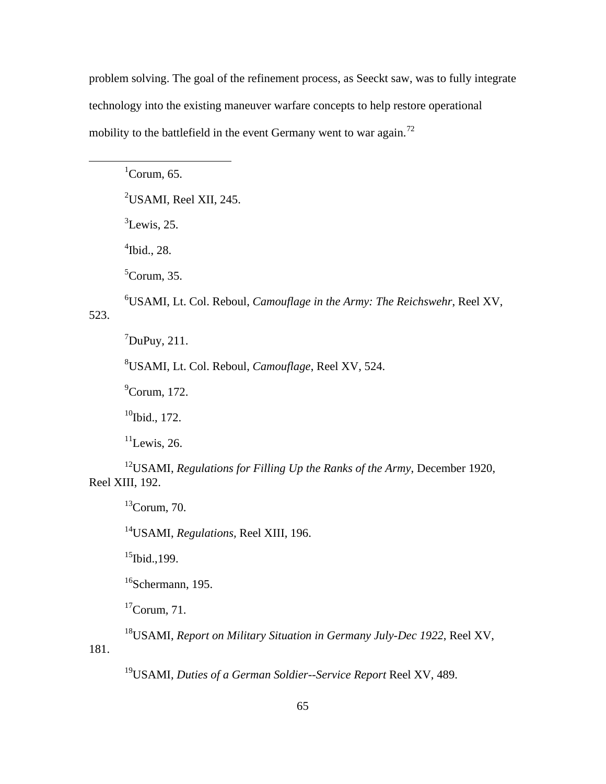problem solving. The goal of the refinement process, as Seeckt saw, was to fully integrate technology into the existing maneuver warfare concepts to help restore operational mobility to the battlefield in the event Germany went to war again.<sup>[72](#page-128-0)</sup>

 ${}^{1}$ Corum, 65.  $\mathrm{^{2}USAMI}$ , Reel XII, 245.  ${}^{3}$ Lewis, 25. 4 Ibid., 28. 5 Corum, 35. 6 USAMI, Lt. Col. Reboul, *Camouflage in the Army: The Reichswehr*, Reel XV, 523.  $^7$ DuPuy, 211. 8 USAMI, Lt. Col. Reboul, *Camouflage*, Reel XV, 524.

<sup>9</sup>Corum, 172.

 $\overline{a}$ 

 $10$ Ibid., 172.

 $11$ Lewis, 26.

12USAMI, *Regulations for Filling Up the Ranks of the Army*, December 1920, Reel XIII, 192.

 $13$ Corum, 70.

14USAMI, *Regulations,* Reel XIII, 196.

 $^{15}$ Ibid., 199.

 $16$ Schermann, 195.

 $17$ Corum, 71.

18USAMI, *Report on Military Situation in Germany July-Dec 1922*, Reel XV, 181.

19USAMI, *Duties of a German Soldier--Service Report* Reel XV, 489.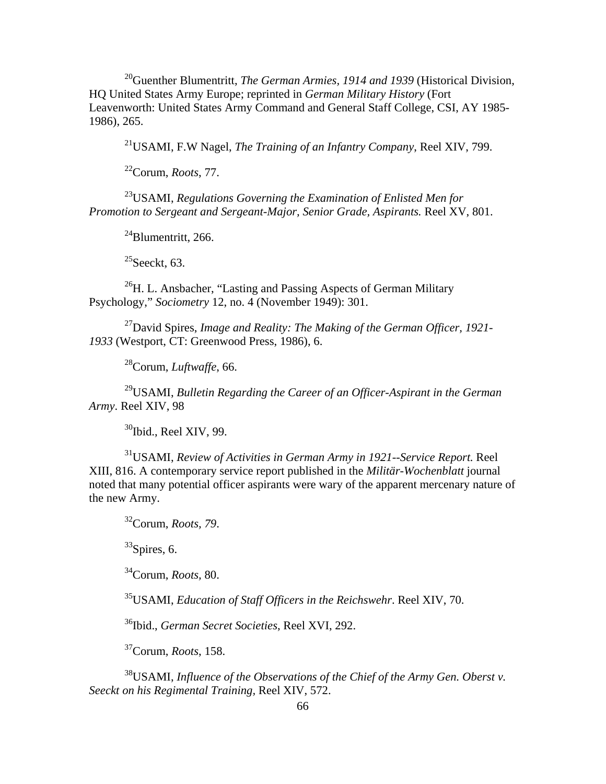20Guenther Blumentritt, *The German Armies, 1914 and 1939* (Historical Division, HQ United States Army Europe; reprinted in *German Military History* (Fort Leavenworth: United States Army Command and General Staff College, CSI, AY 1985- 1986), 265.

21USAMI, F.W Nagel, *The Training of an Infantry Company*, Reel XIV, 799.

22Corum, *Roots*, 77.

23USAMI, *Regulations Governing the Examination of Enlisted Men for Promotion to Sergeant and Sergeant-Major, Senior Grade, Aspirants.* Reel XV, 801.

 $^{24}$ Blumentritt, 266.

 $^{25}$ Seeckt, 63.

<sup>26</sup>H. L. Ansbacher, "Lasting and Passing Aspects of German Military Psychology," *Sociometry* 12, no. 4 (November 1949): 301.

27David Spires, *Image and Reality: The Making of the German Officer, 1921- 1933* (Westport, CT: Greenwood Press, 1986), 6.

28Corum, *Luftwaffe*, 66.

29USAMI, *Bulletin Regarding the Career of an Officer-Aspirant in the German Army*. Reel XIV, 98

 $30$ Ibid., Reel XIV, 99.

31USAMI, *Review of Activities in German Army in 1921--Service Report.* Reel XIII, 816. A contemporary service report published in the *Militär-Wochenblatt* journal noted that many potential officer aspirants were wary of the apparent mercenary nature of the new Army.

32Corum, *Roots, 79*.

 $33$ Spires, 6.

34Corum, *Roots,* 80.

35USAMI, *Education of Staff Officers in the Reichswehr*. Reel XIV, 70.

36Ibid., *German Secret Societies*, Reel XVI, 292.

37Corum, *Roots*, 158.

38USAMI, *Influence of the Observations of the Chief of the Army Gen. Oberst v. Seeckt on his Regimental Training,* Reel XIV, 572.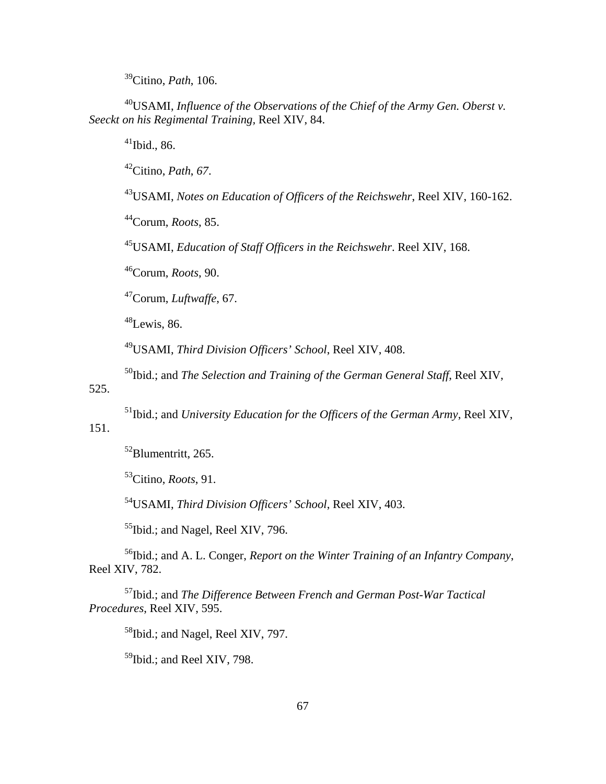39Citino, *Path*, 106.

40USAMI, *Influence of the Observations of the Chief of the Army Gen. Oberst v. Seeckt on his Regimental Training,* Reel XIV, 84.

 $41$ Ibid., 86.

42Citino, *Path*, *67*.

43USAMI, *Notes on Education of Officers of the Reichswehr*, Reel XIV, 160-162.

44Corum, *Roots*, 85.

45USAMI, *Education of Staff Officers in the Reichswehr*. Reel XIV, 168.

46Corum, *Roots*, 90.

47Corum, *Luftwaffe*, 67.

 $48$ Lewis, 86.

49USAMI, *Third Division Officers' School*, Reel XIV, 408.

50Ibid.; and *The Selection and Training of the German General Staff*, Reel XIV,

525.

51Ibid.; and *University Education for the Officers of the German Army*, Reel XIV,

# 151.

52Blumentritt, 265.

53Citino, *Roots*, 91.

54USAMI, *Third Division Officers' School*, Reel XIV, 403.

<sup>55</sup>Ibid.; and Nagel, Reel XIV, 796.

56Ibid.; and A. L. Conger, *Report on the Winter Training of an Infantry Company*, Reel XIV, 782.

57Ibid.; and *The Difference Between French and German Post-War Tactical Procedures*, Reel XIV, 595.

<sup>58</sup>Ibid.; and Nagel, Reel XIV, 797.

<sup>59</sup>Ibid.; and Reel XIV, 798.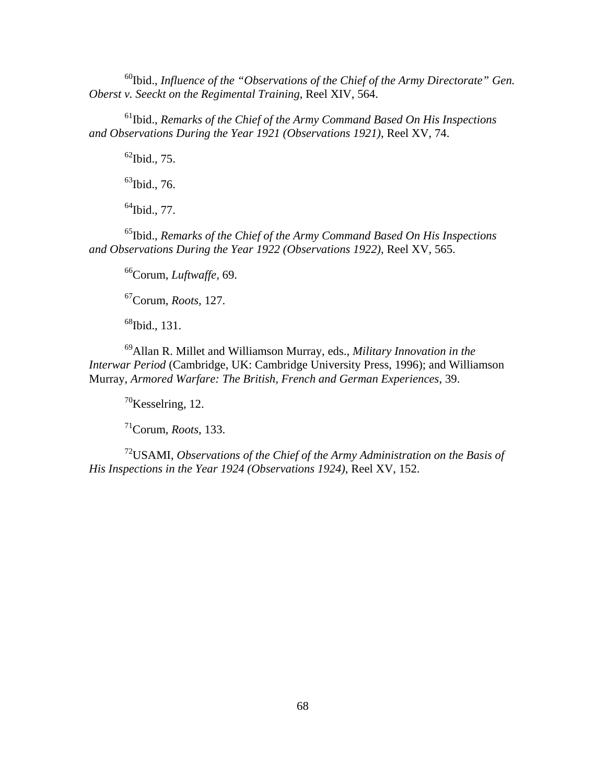60Ibid., *Influence of the "Observations of the Chief of the Army Directorate" Gen. Oberst v. Seeckt on the Regimental Training*, Reel XIV, 564.

61Ibid., *Remarks of the Chief of the Army Command Based On His Inspections and Observations During the Year 1921 (Observations 1921)*, Reel XV, 74.

 $62$ Ibid., 75.

 $^{63}$ Ibid., 76.

 $64$ Ibid., 77.

65Ibid., *Remarks of the Chief of the Army Command Based On His Inspections and Observations During the Year 1922 (Observations 1922)*, Reel XV, 565.

66Corum, *Luftwaffe,* 69.

67Corum, *Roots,* 127.

<sup>68</sup>Ibid., 131.

69Allan R. Millet and Williamson Murray, eds., *Military Innovation in the Interwar Period* (Cambridge, UK: Cambridge University Press, 1996); and Williamson Murray, *Armored Warfare: The British, French and German Experiences*, 39.

 $70$ Kesselring, 12.

71Corum, *Roots*, 133.

72USAMI, *Observations of the Chief of the Army Administration on the Basis of His Inspections in the Year 1924 (Observations 1924)*, Reel XV, 152.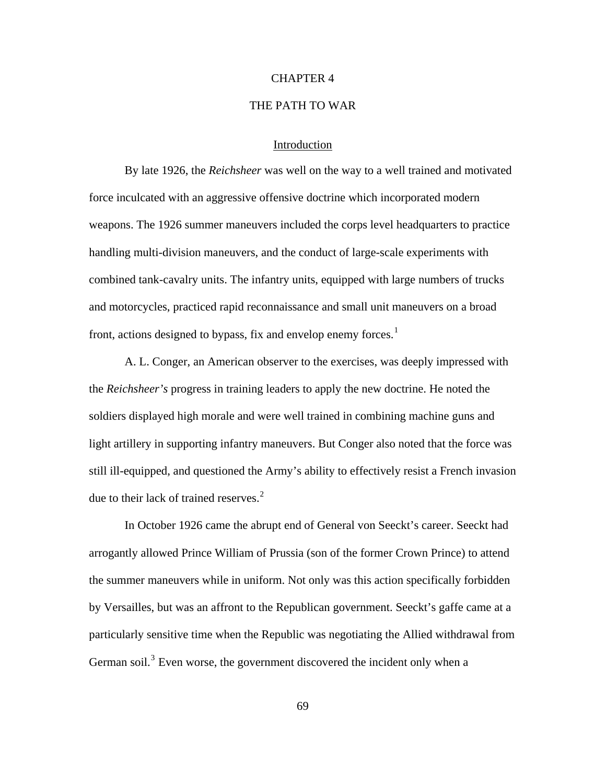#### CHAPTER 4

## THE PATH TO WAR

### Introduction

By late 1926, the *Reichsheer* was well on the way to a well trained and motivated force inculcated with an aggressive offensive doctrine which incorporated modern weapons. The 1926 summer maneuvers included the corps level headquarters to practice handling multi-division maneuvers, and the conduct of large-scale experiments with combined tank-cavalry units. The infantry units, equipped with large numbers of trucks and motorcycles, practiced rapid reconnaissance and small unit maneuvers on a broad front, actions designed to bypass, fix and envelop enemy forces.<sup>[1](#page-128-1)</sup>

A. L. Conger, an American observer to the exercises, was deeply impressed with the *Reichsheer's* progress in training leaders to apply the new doctrine. He noted the soldiers displayed high morale and were well trained in combining machine guns and light artillery in supporting infantry maneuvers. But Conger also noted that the force was still ill-equipped, and questioned the Army's ability to effectively resist a French invasion due to their lack of trained reserves. $<sup>2</sup>$  $<sup>2</sup>$  $<sup>2</sup>$ </sup>

In October 1926 came the abrupt end of General von Seeckt's career. Seeckt had arrogantly allowed Prince William of Prussia (son of the former Crown Prince) to attend the summer maneuvers while in uniform. Not only was this action specifically forbidden by Versailles, but was an affront to the Republican government. Seeckt's gaffe came at a particularly sensitive time when the Republic was negotiating the Allied withdrawal from German soil.<sup>[3](#page-128-0)</sup> Even worse, the government discovered the incident only when a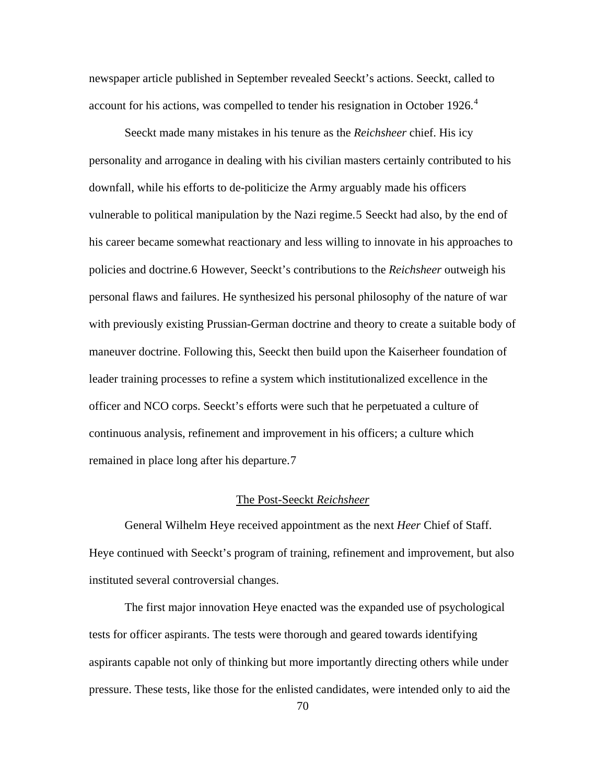newspaper article published in September revealed Seeckt's actions. Seeckt, called to account for his actions, was compelled to tender his resignation in October 1926. $4$ 

Seeckt made many mistakes in his tenure as the *Reichsheer* chief. His icy personality and arrogance in dealing with his civilian masters certainly contributed to his downfall, while his efforts to de-politicize the Army arguably made his officers vulnerable to political manipulation by the Nazi regime.[5](#page-128-0) Seeckt had also, by the end of his career became somewhat reactionary and less willing to innovate in his approaches to policies and doctrine.[6](#page-128-0) However, Seeckt's contributions to the *Reichsheer* outweigh his personal flaws and failures. He synthesized his personal philosophy of the nature of war with previously existing Prussian-German doctrine and theory to create a suitable body of maneuver doctrine. Following this, Seeckt then build upon the Kaiserheer foundation of leader training processes to refine a system which institutionalized excellence in the officer and NCO corps. Seeckt's efforts were such that he perpetuated a culture of continuous analysis, refinement and improvement in his officers; a culture which remained in place long after his departure.[7](#page-128-0) 

### The Post-Seeckt *Reichsheer*

General Wilhelm Heye received appointment as the next *Heer* Chief of Staff. Heye continued with Seeckt's program of training, refinement and improvement, but also instituted several controversial changes.

The first major innovation Heye enacted was the expanded use of psychological tests for officer aspirants. The tests were thorough and geared towards identifying aspirants capable not only of thinking but more importantly directing others while under pressure. These tests, like those for the enlisted candidates, were intended only to aid the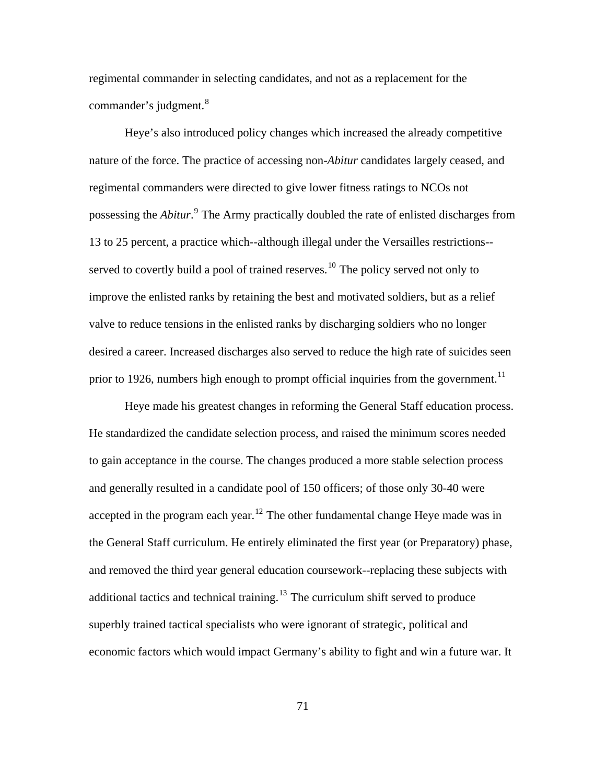regimental commander in selecting candidates, and not as a replacement for the commander's judgment.<sup>[8](#page-128-0)</sup>

Heye's also introduced policy changes which increased the already competitive nature of the force. The practice of accessing non-*Abitur* candidates largely ceased, and regimental commanders were directed to give lower fitness ratings to NCOs not possessing the *Abitur*.<sup>[9](#page-128-0)</sup> The Army practically doubled the rate of enlisted discharges from 13 to 25 percent, a practice which--although illegal under the Versailles restrictions-- served to covertly build a pool of trained reserves.<sup>[10](#page-128-0)</sup> The policy served not only to improve the enlisted ranks by retaining the best and motivated soldiers, but as a relief valve to reduce tensions in the enlisted ranks by discharging soldiers who no longer desired a career. Increased discharges also served to reduce the high rate of suicides seen prior to 1926, numbers high enough to prompt official inquiries from the government.<sup>[11](#page-128-0)</sup>

Heye made his greatest changes in reforming the General Staff education process. He standardized the candidate selection process, and raised the minimum scores needed to gain acceptance in the course. The changes produced a more stable selection process and generally resulted in a candidate pool of 150 officers; of those only 30-40 were accepted in the program each year.<sup>[12](#page-128-0)</sup> The other fundamental change Heye made was in the General Staff curriculum. He entirely eliminated the first year (or Preparatory) phase, and removed the third year general education coursework--replacing these subjects with additional tactics and technical training.<sup>[13](#page-128-0)</sup> The curriculum shift served to produce superbly trained tactical specialists who were ignorant of strategic, political and economic factors which would impact Germany's ability to fight and win a future war. It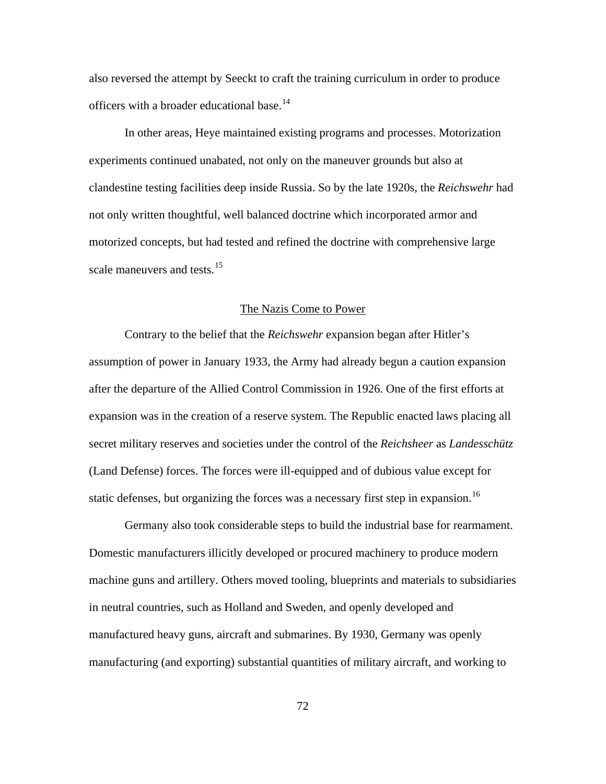also reversed the attempt by Seeckt to craft the training curriculum in order to produce officers with a broader educational base.<sup>[14](#page-128-0)</sup>

In other areas, Heye maintained existing programs and processes. Motorization experiments continued unabated, not only on the maneuver grounds but also at clandestine testing facilities deep inside Russia. So by the late 1920s, the *Reichswehr* had not only written thoughtful, well balanced doctrine which incorporated armor and motorized concepts, but had tested and refined the doctrine with comprehensive large scale maneuvers and tests.<sup>[15](#page-128-0)</sup>

#### The Nazis Come to Power

Contrary to the belief that the *Reichswehr* expansion began after Hitler's assumption of power in January 1933, the Army had already begun a caution expansion after the departure of the Allied Control Commission in 1926. One of the first efforts at expansion was in the creation of a reserve system. The Republic enacted laws placing all secret military reserves and societies under the control of the *Reichsheer* as *Landesschütz*  (Land Defense) forces. The forces were ill-equipped and of dubious value except for static defenses, but organizing the forces was a necessary first step in expansion.<sup>[16](#page-128-0)</sup>

Germany also took considerable steps to build the industrial base for rearmament. Domestic manufacturers illicitly developed or procured machinery to produce modern machine guns and artillery. Others moved tooling, blueprints and materials to subsidiaries in neutral countries, such as Holland and Sweden, and openly developed and manufactured heavy guns, aircraft and submarines. By 1930, Germany was openly manufacturing (and exporting) substantial quantities of military aircraft, and working to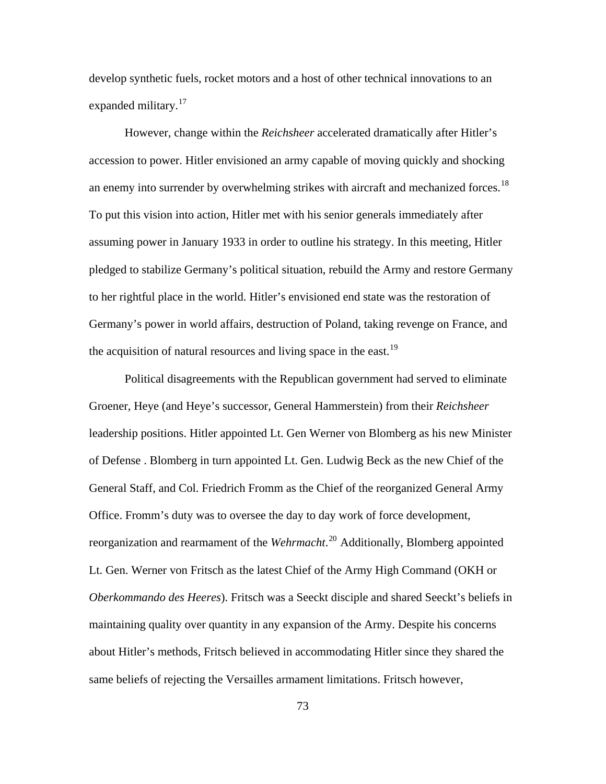develop synthetic fuels, rocket motors and a host of other technical innovations to an expanded military.<sup>[17](#page-128-0)</sup>

However, change within the *Reichsheer* accelerated dramatically after Hitler's accession to power. Hitler envisioned an army capable of moving quickly and shocking an enemy into surrender by overwhelming strikes with aircraft and mechanized forces.<sup>[18](#page-128-0)</sup> To put this vision into action, Hitler met with his senior generals immediately after assuming power in January 1933 in order to outline his strategy. In this meeting, Hitler pledged to stabilize Germany's political situation, rebuild the Army and restore Germany to her rightful place in the world. Hitler's envisioned end state was the restoration of Germany's power in world affairs, destruction of Poland, taking revenge on France, and the acquisition of natural resources and living space in the east.<sup>[19](#page-128-0)</sup>

Political disagreements with the Republican government had served to eliminate Groener, Heye (and Heye's successor, General Hammerstein) from their *Reichsheer*  leadership positions. Hitler appointed Lt. Gen Werner von Blomberg as his new Minister of Defense . Blomberg in turn appointed Lt. Gen. Ludwig Beck as the new Chief of the General Staff, and Col. Friedrich Fromm as the Chief of the reorganized General Army Office. Fromm's duty was to oversee the day to day work of force development, reorganization and rearmament of the *Wehrmacht*. [20](#page-128-0) Additionally, Blomberg appointed Lt. Gen. Werner von Fritsch as the latest Chief of the Army High Command (OKH or *Oberkommando des Heeres*). Fritsch was a Seeckt disciple and shared Seeckt's beliefs in maintaining quality over quantity in any expansion of the Army. Despite his concerns about Hitler's methods, Fritsch believed in accommodating Hitler since they shared the same beliefs of rejecting the Versailles armament limitations. Fritsch however,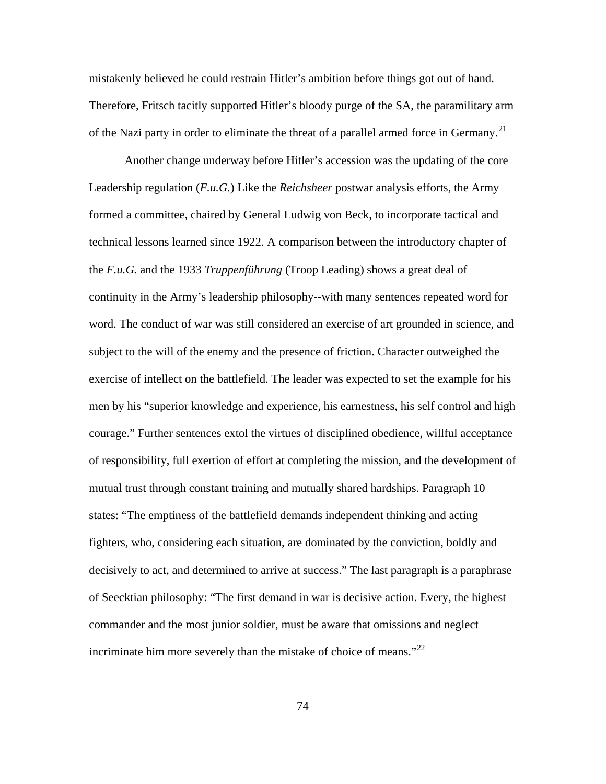mistakenly believed he could restrain Hitler's ambition before things got out of hand. Therefore, Fritsch tacitly supported Hitler's bloody purge of the SA, the paramilitary arm of the Nazi party in order to eliminate the threat of a parallel armed force in Germany.<sup>[21](#page-128-0)</sup>

Another change underway before Hitler's accession was the updating of the core Leadership regulation (*F.u.G.*) Like the *Reichsheer* postwar analysis efforts, the Army formed a committee, chaired by General Ludwig von Beck, to incorporate tactical and technical lessons learned since 1922. A comparison between the introductory chapter of the *F.u.G.* and the 1933 *Truppenführung* (Troop Leading) shows a great deal of continuity in the Army's leadership philosophy--with many sentences repeated word for word. The conduct of war was still considered an exercise of art grounded in science, and subject to the will of the enemy and the presence of friction. Character outweighed the exercise of intellect on the battlefield. The leader was expected to set the example for his men by his "superior knowledge and experience, his earnestness, his self control and high courage." Further sentences extol the virtues of disciplined obedience, willful acceptance of responsibility, full exertion of effort at completing the mission, and the development of mutual trust through constant training and mutually shared hardships. Paragraph 10 states: "The emptiness of the battlefield demands independent thinking and acting fighters, who, considering each situation, are dominated by the conviction, boldly and decisively to act, and determined to arrive at success." The last paragraph is a paraphrase of Seecktian philosophy: "The first demand in war is decisive action. Every, the highest commander and the most junior soldier, must be aware that omissions and neglect incriminate him more severely than the mistake of choice of means." $^{22}$  $^{22}$  $^{22}$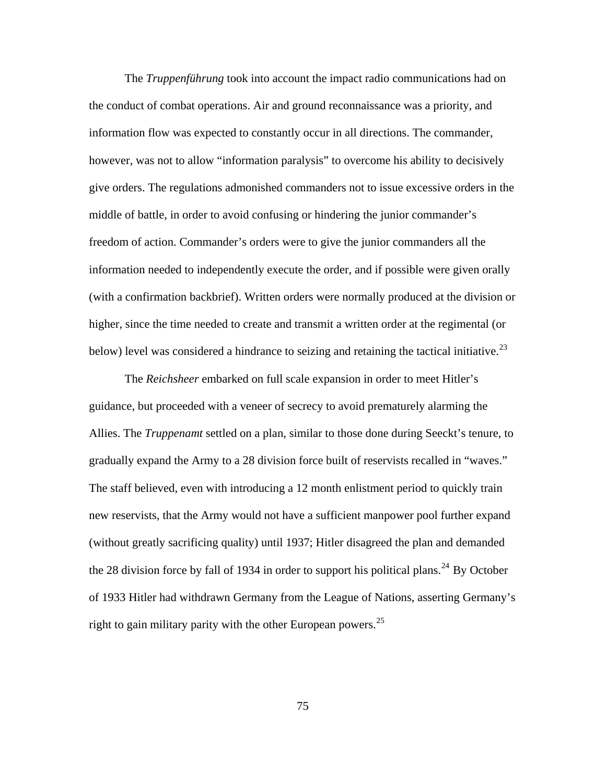The *Truppenführung* took into account the impact radio communications had on the conduct of combat operations. Air and ground reconnaissance was a priority, and information flow was expected to constantly occur in all directions. The commander, however, was not to allow "information paralysis" to overcome his ability to decisively give orders. The regulations admonished commanders not to issue excessive orders in the middle of battle, in order to avoid confusing or hindering the junior commander's freedom of action. Commander's orders were to give the junior commanders all the information needed to independently execute the order, and if possible were given orally (with a confirmation backbrief). Written orders were normally produced at the division or higher, since the time needed to create and transmit a written order at the regimental (or below) level was considered a hindrance to seizing and retaining the tactical initiative.<sup>[23](#page-128-0)</sup>

The *Reichsheer* embarked on full scale expansion in order to meet Hitler's guidance, but proceeded with a veneer of secrecy to avoid prematurely alarming the Allies. The *Truppenamt* settled on a plan, similar to those done during Seeckt's tenure, to gradually expand the Army to a 28 division force built of reservists recalled in "waves." The staff believed, even with introducing a 12 month enlistment period to quickly train new reservists, that the Army would not have a sufficient manpower pool further expand (without greatly sacrificing quality) until 1937; Hitler disagreed the plan and demanded the 28 division force by fall of 1934 in order to support his political plans.<sup>[24](#page-128-0)</sup> By October of 1933 Hitler had withdrawn Germany from the League of Nations, asserting Germany's right to gain military parity with the other European powers.<sup>[25](#page-128-0)</sup>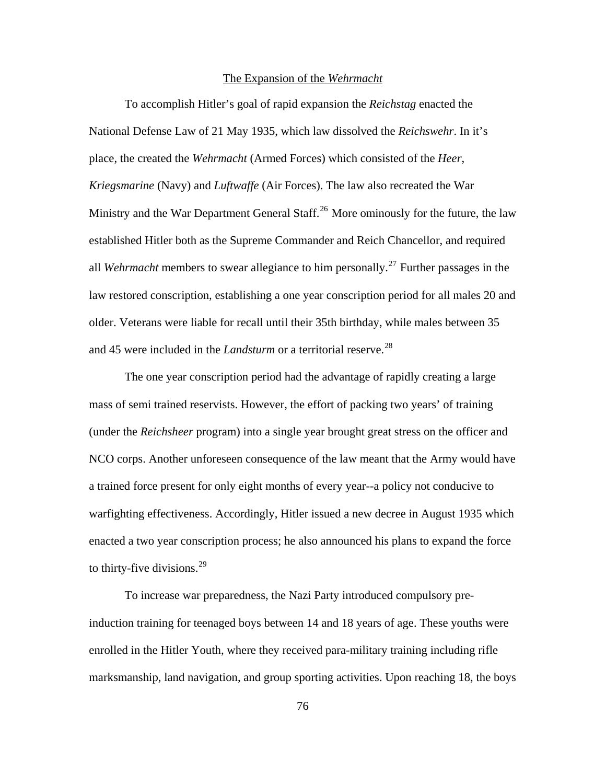#### The Expansion of the *Wehrmacht*

To accomplish Hitler's goal of rapid expansion the *Reichstag* enacted the National Defense Law of 21 May 1935, which law dissolved the *Reichswehr*. In it's place, the created the *Wehrmacht* (Armed Forces) which consisted of the *Heer*, *Kriegsmarine* (Navy) and *Luftwaffe* (Air Forces). The law also recreated the War Ministry and the War Department General Staff.<sup>[26](#page-128-0)</sup> More ominously for the future, the law established Hitler both as the Supreme Commander and Reich Chancellor, and required all *Wehrmacht* members to swear allegiance to him personally.<sup>[27](#page-128-0)</sup> Further passages in the law restored conscription, establishing a one year conscription period for all males 20 and older. Veterans were liable for recall until their 35th birthday, while males between 35 and 45 were included in the *Landsturm* or a territorial reserve.<sup>[28](#page-128-0)</sup>

The one year conscription period had the advantage of rapidly creating a large mass of semi trained reservists. However, the effort of packing two years' of training (under the *Reichsheer* program) into a single year brought great stress on the officer and NCO corps. Another unforeseen consequence of the law meant that the Army would have a trained force present for only eight months of every year--a policy not conducive to warfighting effectiveness. Accordingly, Hitler issued a new decree in August 1935 which enacted a two year conscription process; he also announced his plans to expand the force to thirty-five divisions.  $29$ 

To increase war preparedness, the Nazi Party introduced compulsory preinduction training for teenaged boys between 14 and 18 years of age. These youths were enrolled in the Hitler Youth, where they received para-military training including rifle marksmanship, land navigation, and group sporting activities. Upon reaching 18, the boys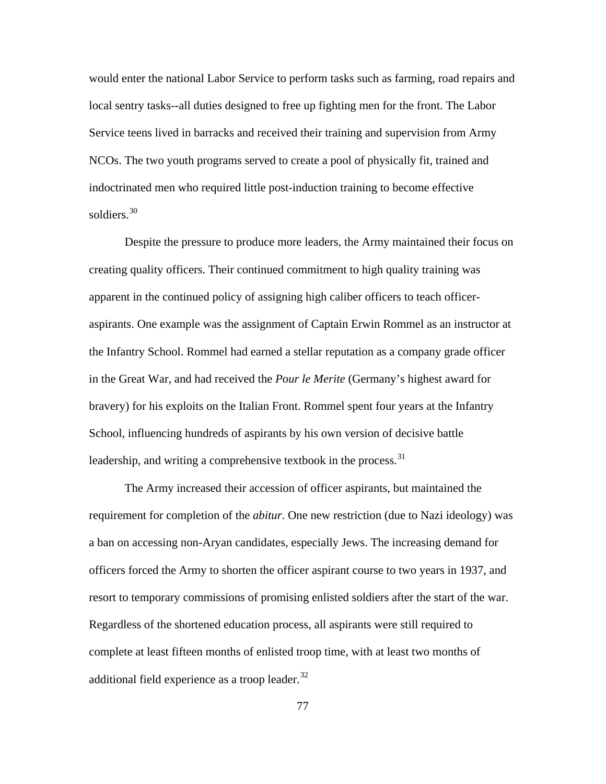would enter the national Labor Service to perform tasks such as farming, road repairs and local sentry tasks--all duties designed to free up fighting men for the front. The Labor Service teens lived in barracks and received their training and supervision from Army NCOs. The two youth programs served to create a pool of physically fit, trained and indoctrinated men who required little post-induction training to become effective soldiers.<sup>[30](#page-128-0)</sup>

Despite the pressure to produce more leaders, the Army maintained their focus on creating quality officers. Their continued commitment to high quality training was apparent in the continued policy of assigning high caliber officers to teach officeraspirants. One example was the assignment of Captain Erwin Rommel as an instructor at the Infantry School. Rommel had earned a stellar reputation as a company grade officer in the Great War, and had received the *Pour le Merite* (Germany's highest award for bravery) for his exploits on the Italian Front. Rommel spent four years at the Infantry School, influencing hundreds of aspirants by his own version of decisive battle leadership, and writing a comprehensive textbook in the process.<sup>[31](#page-128-0)</sup>

The Army increased their accession of officer aspirants, but maintained the requirement for completion of the *abitur*. One new restriction (due to Nazi ideology) was a ban on accessing non-Aryan candidates, especially Jews. The increasing demand for officers forced the Army to shorten the officer aspirant course to two years in 1937, and resort to temporary commissions of promising enlisted soldiers after the start of the war. Regardless of the shortened education process, all aspirants were still required to complete at least fifteen months of enlisted troop time, with at least two months of additional field experience as a troop leader. $32$ 

77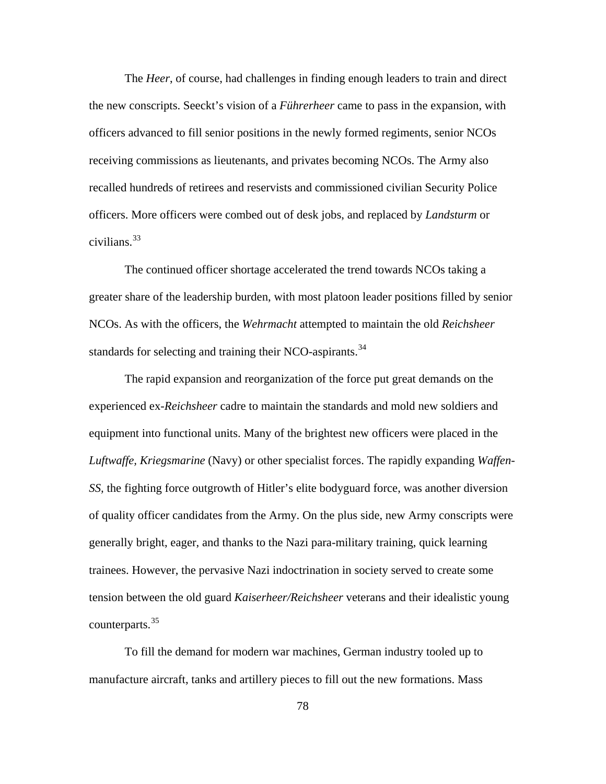The *Heer*, of course, had challenges in finding enough leaders to train and direct the new conscripts. Seeckt's vision of a *Führerheer* came to pass in the expansion, with officers advanced to fill senior positions in the newly formed regiments, senior NCOs receiving commissions as lieutenants, and privates becoming NCOs. The Army also recalled hundreds of retirees and reservists and commissioned civilian Security Police officers. More officers were combed out of desk jobs, and replaced by *Landsturm* or civilians. $33$ 

The continued officer shortage accelerated the trend towards NCOs taking a greater share of the leadership burden, with most platoon leader positions filled by senior NCOs. As with the officers, the *Wehrmacht* attempted to maintain the old *Reichsheer* standards for selecting and training their NCO-aspirants.<sup>[34](#page-128-0)</sup>

The rapid expansion and reorganization of the force put great demands on the experienced ex-*Reichsheer* cadre to maintain the standards and mold new soldiers and equipment into functional units. Many of the brightest new officers were placed in the *Luftwaffe, Kriegsmarine* (Navy) or other specialist forces. The rapidly expanding *Waffen-SS,* the fighting force outgrowth of Hitler's elite bodyguard force, was another diversion of quality officer candidates from the Army. On the plus side, new Army conscripts were generally bright, eager, and thanks to the Nazi para-military training, quick learning trainees. However, the pervasive Nazi indoctrination in society served to create some tension between the old guard *Kaiserheer/Reichsheer* veterans and their idealistic young counterparts.[35](#page-128-0)

To fill the demand for modern war machines, German industry tooled up to manufacture aircraft, tanks and artillery pieces to fill out the new formations. Mass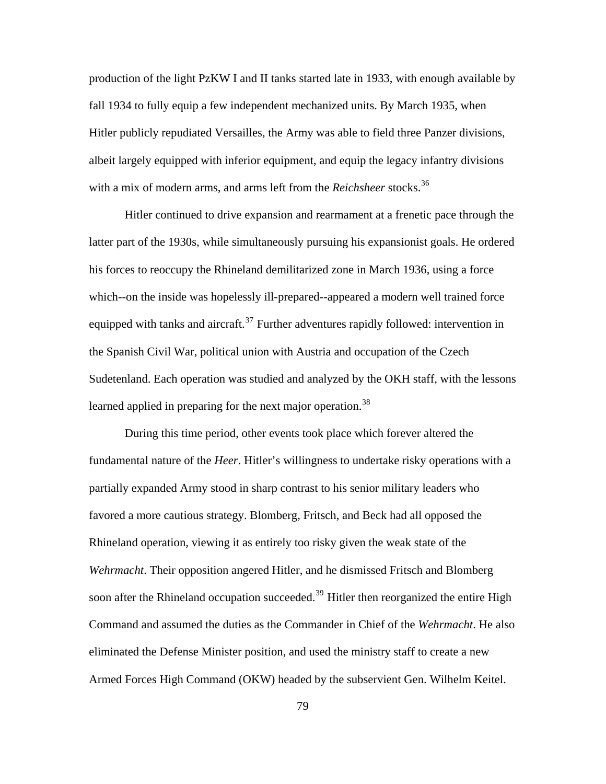production of the light PzKW I and II tanks started late in 1933, with enough available by fall 1934 to fully equip a few independent mechanized units. By March 1935, when Hitler publicly repudiated Versailles, the Army was able to field three Panzer divisions, albeit largely equipped with inferior equipment, and equip the legacy infantry divisions with a mix of modern arms, and arms left from the *Reichsheer* stocks.<sup>[36](#page-128-0)</sup>

Hitler continued to drive expansion and rearmament at a frenetic pace through the latter part of the 1930s, while simultaneously pursuing his expansionist goals. He ordered his forces to reoccupy the Rhineland demilitarized zone in March 1936, using a force which--on the inside was hopelessly ill-prepared--appeared a modern well trained force equipped with tanks and aircraft.<sup>[37](#page-128-0)</sup> Further adventures rapidly followed: intervention in the Spanish Civil War, political union with Austria and occupation of the Czech Sudetenland. Each operation was studied and analyzed by the OKH staff, with the lessons learned applied in preparing for the next major operation.<sup>[38](#page-128-0)</sup>

During this time period, other events took place which forever altered the fundamental nature of the *Heer*. Hitler's willingness to undertake risky operations with a partially expanded Army stood in sharp contrast to his senior military leaders who favored a more cautious strategy. Blomberg, Fritsch, and Beck had all opposed the Rhineland operation, viewing it as entirely too risky given the weak state of the *Wehrmacht*. Their opposition angered Hitler, and he dismissed Fritsch and Blomberg soon after the Rhineland occupation succeeded.<sup>[39](#page-128-0)</sup> Hitler then reorganized the entire High Command and assumed the duties as the Commander in Chief of the *Wehrmacht*. He also eliminated the Defense Minister position, and used the ministry staff to create a new Armed Forces High Command (OKW) headed by the subservient Gen. Wilhelm Keitel.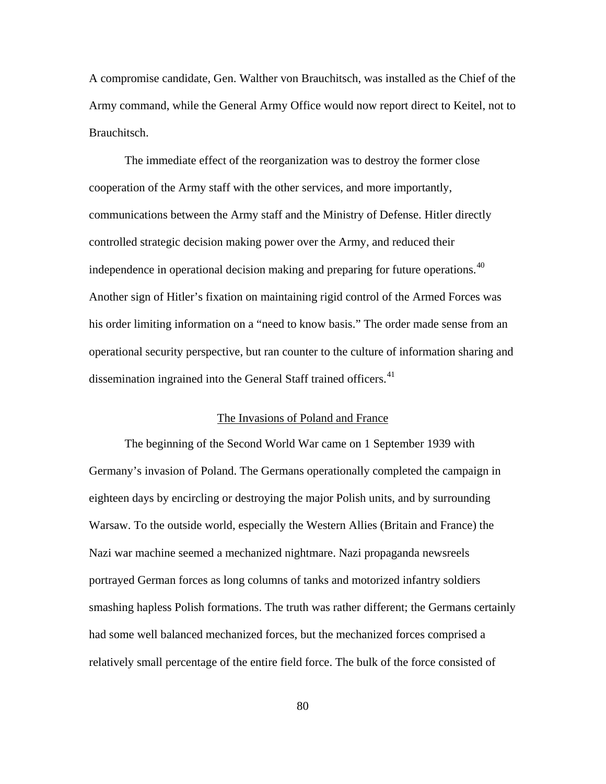A compromise candidate, Gen. Walther von Brauchitsch, was installed as the Chief of the Army command, while the General Army Office would now report direct to Keitel, not to Brauchitsch.

The immediate effect of the reorganization was to destroy the former close cooperation of the Army staff with the other services, and more importantly, communications between the Army staff and the Ministry of Defense. Hitler directly controlled strategic decision making power over the Army, and reduced their independence in operational decision making and preparing for future operations.<sup>[40](#page-128-0)</sup> Another sign of Hitler's fixation on maintaining rigid control of the Armed Forces was his order limiting information on a "need to know basis." The order made sense from an operational security perspective, but ran counter to the culture of information sharing and dissemination ingrained into the General Staff trained officers.<sup>[41](#page-128-0)</sup>

#### The Invasions of Poland and France

The beginning of the Second World War came on 1 September 1939 with Germany's invasion of Poland. The Germans operationally completed the campaign in eighteen days by encircling or destroying the major Polish units, and by surrounding Warsaw. To the outside world, especially the Western Allies (Britain and France) the Nazi war machine seemed a mechanized nightmare. Nazi propaganda newsreels portrayed German forces as long columns of tanks and motorized infantry soldiers smashing hapless Polish formations. The truth was rather different; the Germans certainly had some well balanced mechanized forces, but the mechanized forces comprised a relatively small percentage of the entire field force. The bulk of the force consisted of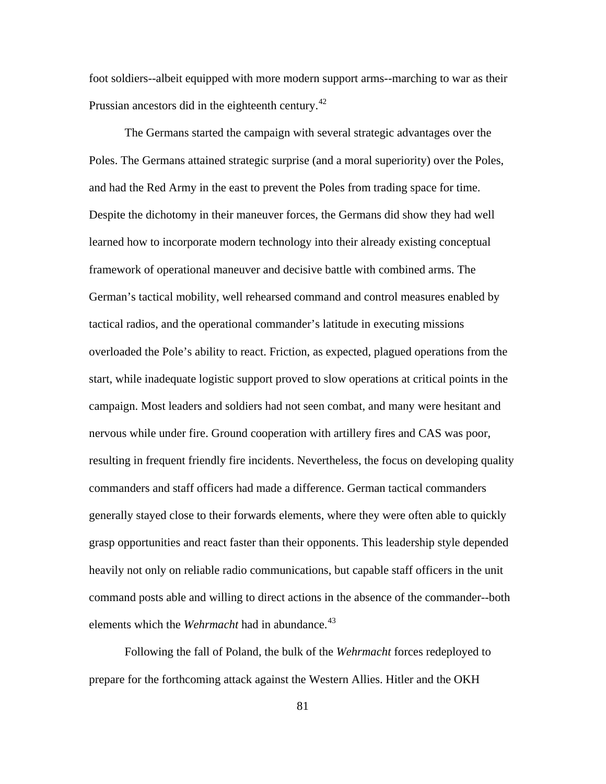foot soldiers--albeit equipped with more modern support arms--marching to war as their Prussian ancestors did in the eighteenth century.<sup>[42](#page-128-0)</sup>

The Germans started the campaign with several strategic advantages over the Poles. The Germans attained strategic surprise (and a moral superiority) over the Poles, and had the Red Army in the east to prevent the Poles from trading space for time. Despite the dichotomy in their maneuver forces, the Germans did show they had well learned how to incorporate modern technology into their already existing conceptual framework of operational maneuver and decisive battle with combined arms. The German's tactical mobility, well rehearsed command and control measures enabled by tactical radios, and the operational commander's latitude in executing missions overloaded the Pole's ability to react. Friction, as expected, plagued operations from the start, while inadequate logistic support proved to slow operations at critical points in the campaign. Most leaders and soldiers had not seen combat, and many were hesitant and nervous while under fire. Ground cooperation with artillery fires and CAS was poor, resulting in frequent friendly fire incidents. Nevertheless, the focus on developing quality commanders and staff officers had made a difference. German tactical commanders generally stayed close to their forwards elements, where they were often able to quickly grasp opportunities and react faster than their opponents. This leadership style depended heavily not only on reliable radio communications, but capable staff officers in the unit command posts able and willing to direct actions in the absence of the commander--both elements which the *Wehrmacht* had in abundance.<sup>[43](#page-128-0)</sup>

Following the fall of Poland, the bulk of the *Wehrmacht* forces redeployed to prepare for the forthcoming attack against the Western Allies. Hitler and the OKH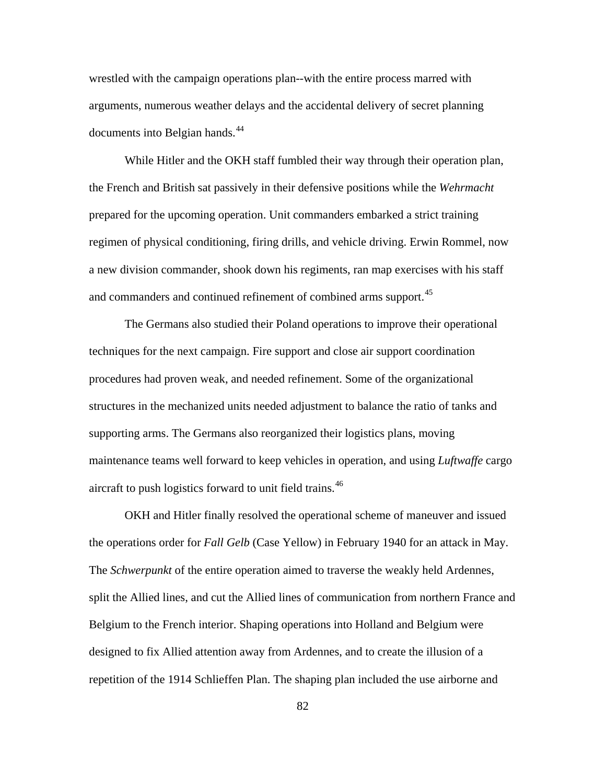wrestled with the campaign operations plan--with the entire process marred with arguments, numerous weather delays and the accidental delivery of secret planning documents into Belgian hands.<sup>[44](#page-128-0)</sup>

While Hitler and the OKH staff fumbled their way through their operation plan, the French and British sat passively in their defensive positions while the *Wehrmacht* prepared for the upcoming operation. Unit commanders embarked a strict training regimen of physical conditioning, firing drills, and vehicle driving. Erwin Rommel, now a new division commander, shook down his regiments, ran map exercises with his staff and commanders and continued refinement of combined arms support.<sup>[45](#page-128-0)</sup>

The Germans also studied their Poland operations to improve their operational techniques for the next campaign. Fire support and close air support coordination procedures had proven weak, and needed refinement. Some of the organizational structures in the mechanized units needed adjustment to balance the ratio of tanks and supporting arms. The Germans also reorganized their logistics plans, moving maintenance teams well forward to keep vehicles in operation, and using *Luftwaffe* cargo aircraft to push logistics forward to unit field trains.<sup>[46](#page-128-0)</sup>

OKH and Hitler finally resolved the operational scheme of maneuver and issued the operations order for *Fall Gelb* (Case Yellow) in February 1940 for an attack in May. The *Schwerpunkt* of the entire operation aimed to traverse the weakly held Ardennes, split the Allied lines, and cut the Allied lines of communication from northern France and Belgium to the French interior. Shaping operations into Holland and Belgium were designed to fix Allied attention away from Ardennes, and to create the illusion of a repetition of the 1914 Schlieffen Plan. The shaping plan included the use airborne and

82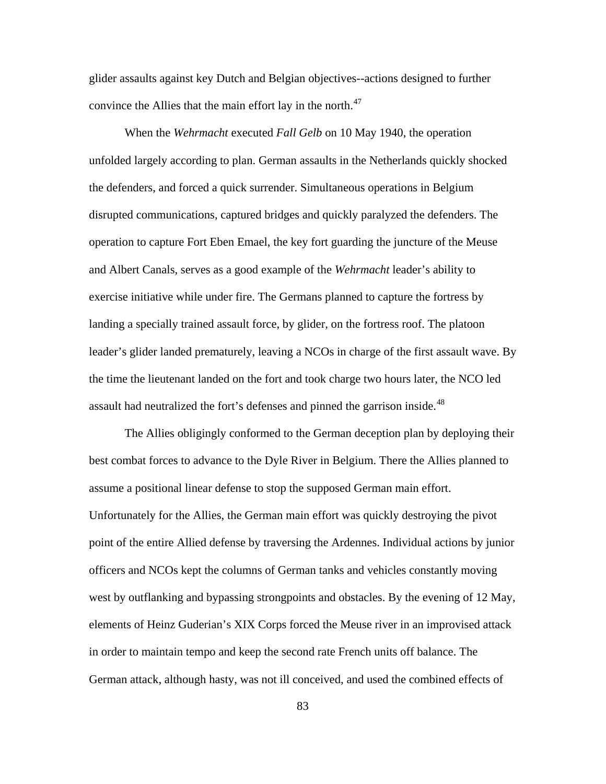glider assaults against key Dutch and Belgian objectives--actions designed to further convince the Allies that the main effort lay in the north.<sup>[47](#page-128-0)</sup>

When the *Wehrmacht* executed *Fall Gelb* on 10 May 1940, the operation unfolded largely according to plan. German assaults in the Netherlands quickly shocked the defenders, and forced a quick surrender. Simultaneous operations in Belgium disrupted communications, captured bridges and quickly paralyzed the defenders. The operation to capture Fort Eben Emael, the key fort guarding the juncture of the Meuse and Albert Canals, serves as a good example of the *Wehrmacht* leader's ability to exercise initiative while under fire. The Germans planned to capture the fortress by landing a specially trained assault force, by glider, on the fortress roof. The platoon leader's glider landed prematurely, leaving a NCOs in charge of the first assault wave. By the time the lieutenant landed on the fort and took charge two hours later, the NCO led assault had neutralized the fort's defenses and pinned the garrison inside.<sup>[48](#page-128-0)</sup>

The Allies obligingly conformed to the German deception plan by deploying their best combat forces to advance to the Dyle River in Belgium. There the Allies planned to assume a positional linear defense to stop the supposed German main effort. Unfortunately for the Allies, the German main effort was quickly destroying the pivot point of the entire Allied defense by traversing the Ardennes. Individual actions by junior officers and NCOs kept the columns of German tanks and vehicles constantly moving west by outflanking and bypassing strongpoints and obstacles. By the evening of 12 May, elements of Heinz Guderian's XIX Corps forced the Meuse river in an improvised attack in order to maintain tempo and keep the second rate French units off balance. The German attack, although hasty, was not ill conceived, and used the combined effects of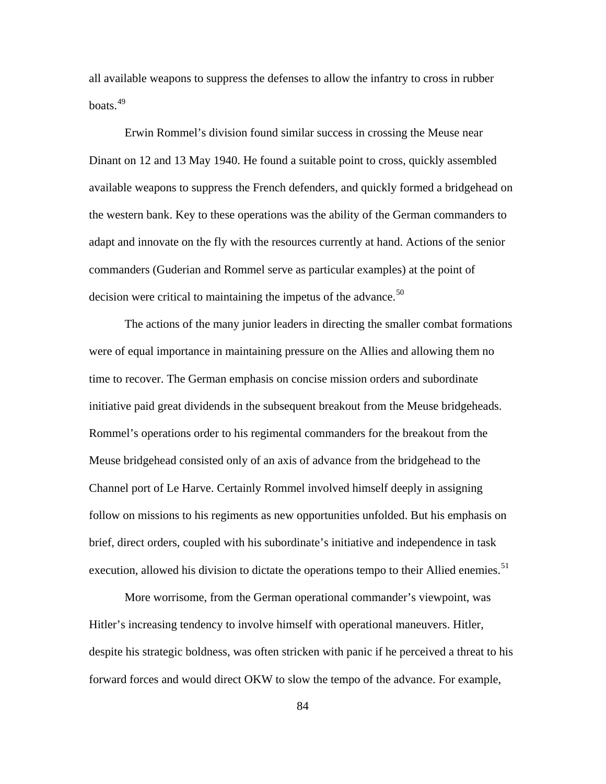all available weapons to suppress the defenses to allow the infantry to cross in rubber  $b$ oats.<sup>[49](#page-128-0)</sup>

Erwin Rommel's division found similar success in crossing the Meuse near Dinant on 12 and 13 May 1940. He found a suitable point to cross, quickly assembled available weapons to suppress the French defenders, and quickly formed a bridgehead on the western bank. Key to these operations was the ability of the German commanders to adapt and innovate on the fly with the resources currently at hand. Actions of the senior commanders (Guderian and Rommel serve as particular examples) at the point of decision were critical to maintaining the impetus of the advance.<sup>[50](#page-128-0)</sup>

The actions of the many junior leaders in directing the smaller combat formations were of equal importance in maintaining pressure on the Allies and allowing them no time to recover. The German emphasis on concise mission orders and subordinate initiative paid great dividends in the subsequent breakout from the Meuse bridgeheads. Rommel's operations order to his regimental commanders for the breakout from the Meuse bridgehead consisted only of an axis of advance from the bridgehead to the Channel port of Le Harve. Certainly Rommel involved himself deeply in assigning follow on missions to his regiments as new opportunities unfolded. But his emphasis on brief, direct orders, coupled with his subordinate's initiative and independence in task execution, allowed his division to dictate the operations tempo to their Allied enemies.<sup>[51](#page-128-0)</sup>

More worrisome, from the German operational commander's viewpoint, was Hitler's increasing tendency to involve himself with operational maneuvers. Hitler, despite his strategic boldness, was often stricken with panic if he perceived a threat to his forward forces and would direct OKW to slow the tempo of the advance. For example,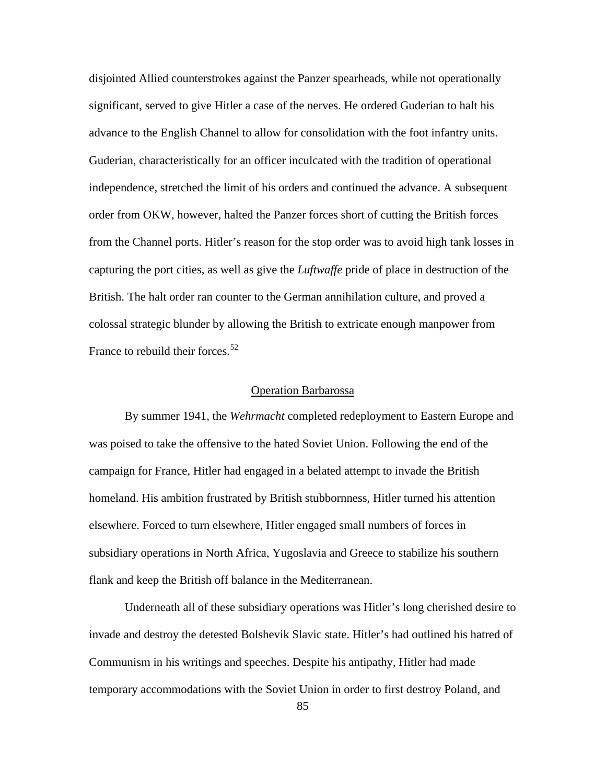disjointed Allied counterstrokes against the Panzer spearheads, while not operationally significant, served to give Hitler a case of the nerves. He ordered Guderian to halt his advance to the English Channel to allow for consolidation with the foot infantry units. Guderian, characteristically for an officer inculcated with the tradition of operational independence, stretched the limit of his orders and continued the advance. A subsequent order from OKW, however, halted the Panzer forces short of cutting the British forces from the Channel ports. Hitler's reason for the stop order was to avoid high tank losses in capturing the port cities, as well as give the *Luftwaffe* pride of place in destruction of the British. The halt order ran counter to the German annihilation culture, and proved a colossal strategic blunder by allowing the British to extricate enough manpower from France to rebuild their forces.<sup>[52](#page-128-0)</sup>

### Operation Barbarossa

By summer 1941, the *Wehrmacht* completed redeployment to Eastern Europe and was poised to take the offensive to the hated Soviet Union. Following the end of the campaign for France, Hitler had engaged in a belated attempt to invade the British homeland. His ambition frustrated by British stubbornness, Hitler turned his attention elsewhere. Forced to turn elsewhere, Hitler engaged small numbers of forces in subsidiary operations in North Africa, Yugoslavia and Greece to stabilize his southern flank and keep the British off balance in the Mediterranean.

Underneath all of these subsidiary operations was Hitler's long cherished desire to invade and destroy the detested Bolshevik Slavic state. Hitler's had outlined his hatred of Communism in his writings and speeches. Despite his antipathy, Hitler had made temporary accommodations with the Soviet Union in order to first destroy Poland, and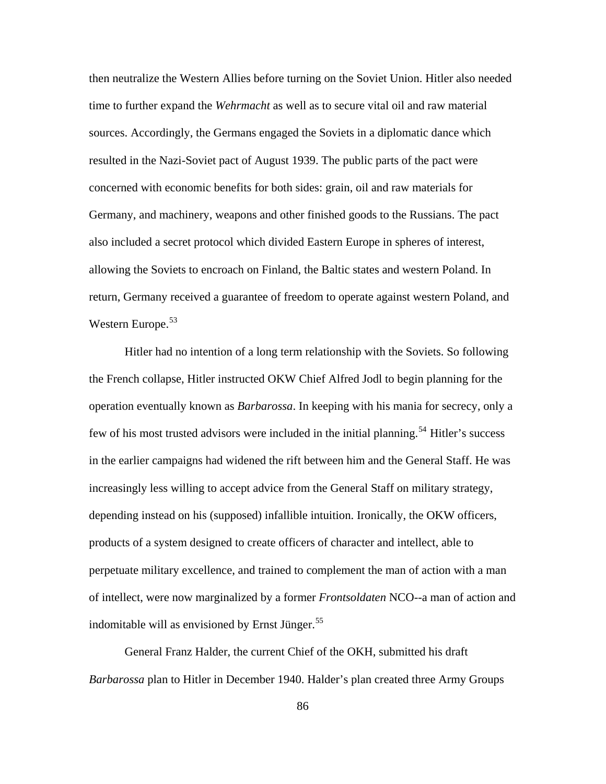then neutralize the Western Allies before turning on the Soviet Union. Hitler also needed time to further expand the *Wehrmacht* as well as to secure vital oil and raw material sources. Accordingly, the Germans engaged the Soviets in a diplomatic dance which resulted in the Nazi-Soviet pact of August 1939. The public parts of the pact were concerned with economic benefits for both sides: grain, oil and raw materials for Germany, and machinery, weapons and other finished goods to the Russians. The pact also included a secret protocol which divided Eastern Europe in spheres of interest, allowing the Soviets to encroach on Finland, the Baltic states and western Poland. In return, Germany received a guarantee of freedom to operate against western Poland, and Western Europe.<sup>[53](#page-128-0)</sup>

in the earlier campaigns had widened the rift between him and the General Staff. He was Hitler had no intention of a long term relationship with the Soviets. So following the French collapse, Hitler instructed OKW Chief Alfred Jodl to begin planning for the operation eventually known as *Barbarossa*. In keeping with his mania for secrecy, only a few of his most trusted advisors were included in the initial planning.<sup>[54](#page-128-0)</sup> Hitler's success increasingly less willing to accept advice from the General Staff on military strategy, depending instead on his (supposed) infallible intuition. Ironically, the OKW officers, products of a system designed to create officers of character and intellect, able to perpetuate military excellence, and trained to complement the man of action with a man of intellect, were now marginalized by a former *Frontsoldaten* NCO--a man of action and indomitable will as envisioned by Ernst Jünger.<sup>[55](#page-128-0)</sup>

General Franz Halder, the current Chief of the OKH, submitted his draft *Barbarossa* plan to Hitler in December 1940. Halder's plan created three Army Groups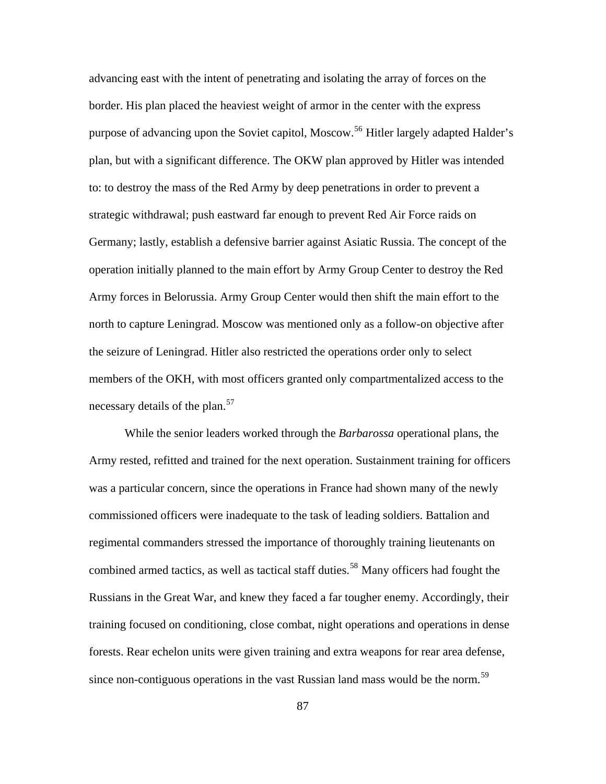advancing east with the intent of penetrating and isolating the array of forces on the border. His plan placed the heaviest weight of armor in the center with the express purpose of advancing upon the Soviet capitol, Moscow.<sup>[56](#page-128-0)</sup> Hitler largely adapted Halder's plan, but with a significant difference. The OKW plan approved by Hitler was intended to: to destroy the mass of the Red Army by deep penetrations in order to prevent a strategic withdrawal; push eastward far enough to prevent Red Air Force raids on Germany; lastly, establish a defensive barrier against Asiatic Russia. The concept of the operation initially planned to the main effort by Army Group Center to destroy the Red Army forces in Belorussia. Army Group Center would then shift the main effort to the north to capture Leningrad. Moscow was mentioned only as a follow-on objective after the seizure of Leningrad. Hitler also restricted the operations order only to select members of the OKH, with most officers granted only compartmentalized access to the necessary details of the plan.<sup>[57](#page-128-0)</sup>

While the senior leaders worked through the *Barbarossa* operational plans, the Army rested, refitted and trained for the next operation. Sustainment training for officers was a particular concern, since the operations in France had shown many of the newly commissioned officers were inadequate to the task of leading soldiers. Battalion and regimental commanders stressed the importance of thoroughly training lieutenants on combined armed tactics, as well as tactical staff duties.<sup>[58](#page-128-0)</sup> Many officers had fought the Russians in the Great War, and knew they faced a far tougher enemy. Accordingly, their training focused on conditioning, close combat, night operations and operations in dense forests. Rear echelon units were given training and extra weapons for rear area defense, since non-contiguous operations in the vast Russian land mass would be the norm.<sup>[59](#page-128-0)</sup>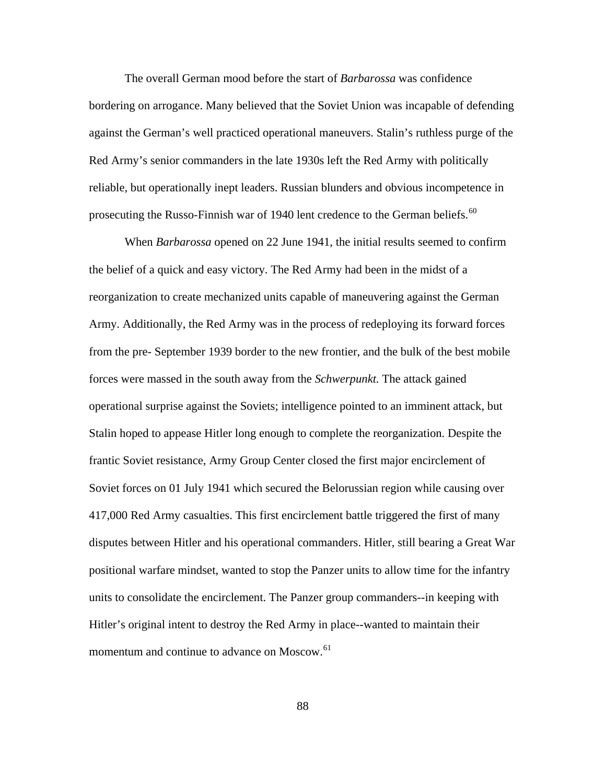The overall German mood before the start of *Barbarossa* was confidence bordering on arrogance. Many believed that the Soviet Union was incapable of defending against the German's well practiced operational maneuvers. Stalin's ruthless purge of the Red Army's senior commanders in the late 1930s left the Red Army with politically reliable, but operationally inept leaders. Russian blunders and obvious incompetence in prosecuting the Russo-Finnish war of 1940 lent credence to the German beliefs.<sup>[60](#page-128-0)</sup>

When *Barbarossa* opened on 22 June 1941, the initial results seemed to confirm the belief of a quick and easy victory. The Red Army had been in the midst of a reorganization to create mechanized units capable of maneuvering against the German Army. Additionally, the Red Army was in the process of redeploying its forward forces from the pre- September 1939 border to the new frontier, and the bulk of the best mobile forces were massed in the south away from the *Schwerpunkt.* The attack gained operational surprise against the Soviets; intelligence pointed to an imminent attack, but Stalin hoped to appease Hitler long enough to complete the reorganization. Despite the frantic Soviet resistance, Army Group Center closed the first major encirclement of Soviet forces on 01 July 1941 which secured the Belorussian region while causing over 417,000 Red Army casualties. This first encirclement battle triggered the first of many disputes between Hitler and his operational commanders. Hitler, still bearing a Great War positional warfare mindset, wanted to stop the Panzer units to allow time for the infantry units to consolidate the encirclement. The Panzer group commanders--in keeping with Hitler's original intent to destroy the Red Army in place--wanted to maintain their momentum and continue to advance on Moscow.<sup>[61](#page-128-0)</sup>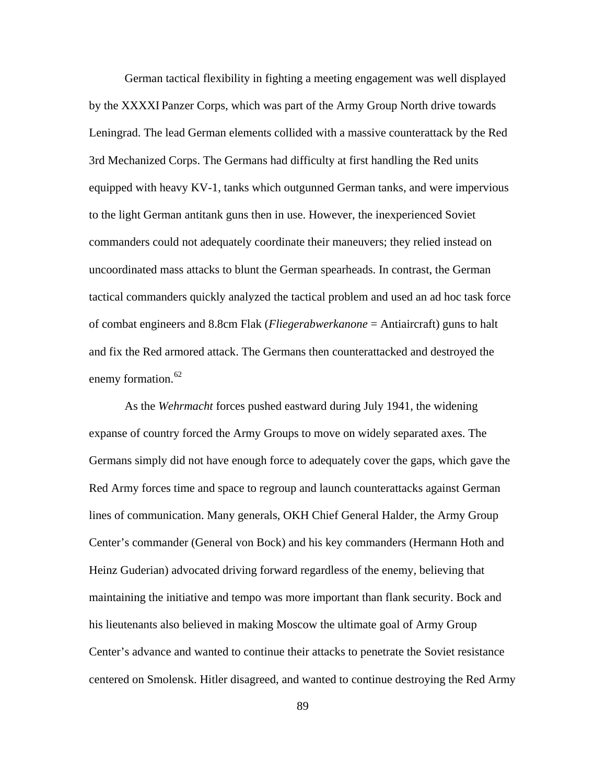German tactical flexibility in fighting a meeting engagement was well displayed by the XXXXI Panzer Corps, which was part of the Army Group North drive towards Leningrad. The lead German elements collided with a massive counterattack by the Red 3rd Mechanized Corps. The Germans had difficulty at first handling the Red units equipped with heavy KV-1, tanks which outgunned German tanks, and were impervious to the light German antitank guns then in use. However, the inexperienced Soviet commanders could not adequately coordinate their maneuvers; they relied instead on uncoordinated mass attacks to blunt the German spearheads. In contrast, the German tactical commanders quickly analyzed the tactical problem and used an ad hoc task force of combat engineers and 8.8cm Flak (*Fliegerabwerkanone* = Antiaircraft) guns to halt and fix the Red armored attack. The Germans then counterattacked and destroyed the enemy formation.<sup>[62](#page-128-0)</sup>

As the *Wehrmacht* forces pushed eastward during July 1941, the widening expanse of country forced the Army Groups to move on widely separated axes. The Germans simply did not have enough force to adequately cover the gaps, which gave the Red Army forces time and space to regroup and launch counterattacks against German lines of communication. Many generals, OKH Chief General Halder, the Army Group Center's commander (General von Bock) and his key commanders (Hermann Hoth and Heinz Guderian) advocated driving forward regardless of the enemy, believing that maintaining the initiative and tempo was more important than flank security. Bock and his lieutenants also believed in making Moscow the ultimate goal of Army Group Center's advance and wanted to continue their attacks to penetrate the Soviet resistance centered on Smolensk. Hitler disagreed, and wanted to continue destroying the Red Army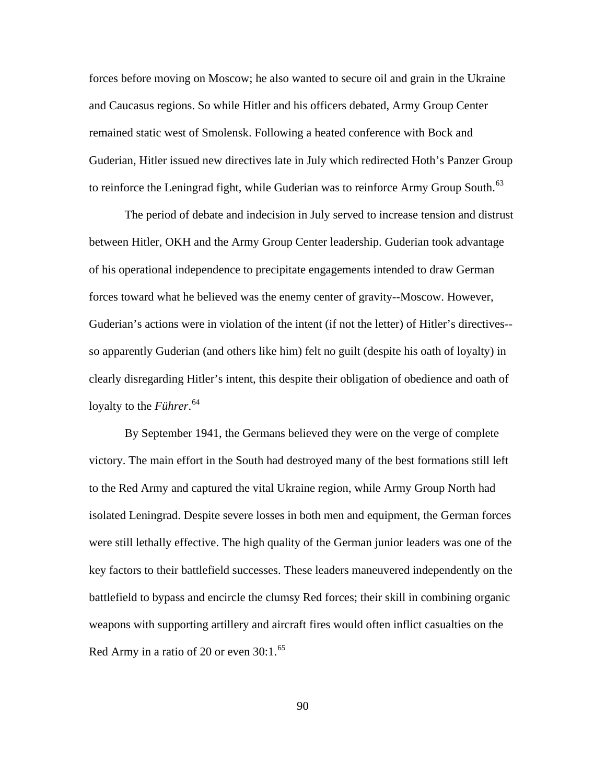forces before moving on Moscow; he also wanted to secure oil and grain in the Ukraine and Caucasus regions. So while Hitler and his officers debated, Army Group Center remained static west of Smolensk. Following a heated conference with Bock and Guderian, Hitler issued new directives late in July which redirected Hoth's Panzer Group to reinforce the Leningrad fight, while Guderian was to reinforce Army Group South.<sup>[63](#page-128-0)</sup>

The period of debate and indecision in July served to increase tension and distrust between Hitler, OKH and the Army Group Center leadership. Guderian took advantage of his operational independence to precipitate engagements intended to draw German forces toward what he believed was the enemy center of gravity--Moscow. However, Guderian's actions were in violation of the intent (if not the letter) of Hitler's directives- so apparently Guderian (and others like him) felt no guilt (despite his oath of loyalty) in clearly disregarding Hitler's intent, this despite their obligation of obedience and oath of loyalty to the *Führer*. [64](#page-128-0)

By September 1941, the Germans believed they were on the verge of complete victory. The main effort in the South had destroyed many of the best formations still left to the Red Army and captured the vital Ukraine region, while Army Group North had isolated Leningrad. Despite severe losses in both men and equipment, the German forces were still lethally effective. The high quality of the German junior leaders was one of the key factors to their battlefield successes. These leaders maneuvered independently on the battlefield to bypass and encircle the clumsy Red forces; their skill in combining organic weapons with supporting artillery and aircraft fires would often inflict casualties on the Red Army in a ratio of 20 or even  $30:1.^{65}$  $30:1.^{65}$  $30:1.^{65}$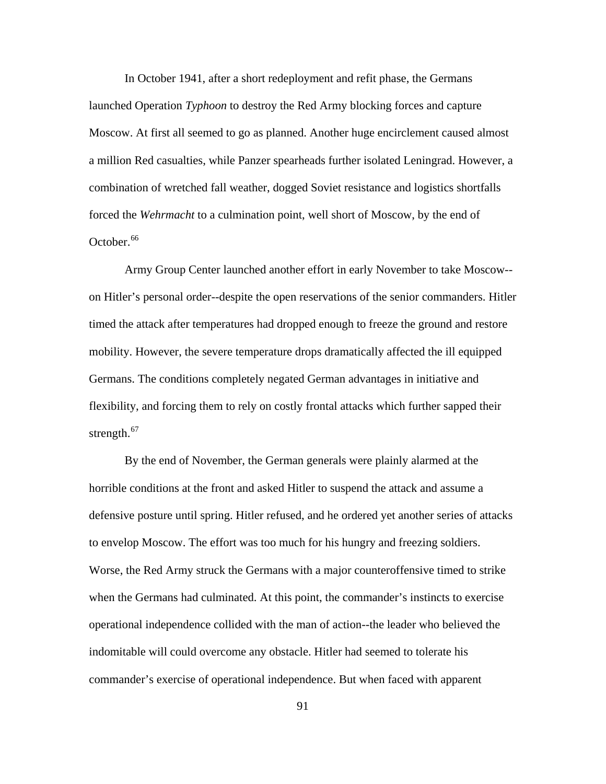In October 1941, after a short redeployment and refit phase, the Germans launched Operation *Typhoon* to destroy the Red Army blocking forces and capture Moscow. At first all seemed to go as planned. Another huge encirclement caused almost a million Red casualties, while Panzer spearheads further isolated Leningrad. However, a combination of wretched fall weather, dogged Soviet resistance and logistics shortfalls forced the *Wehrmacht* to a culmination point, well short of Moscow, by the end of October.<sup>[66](#page-128-0)</sup>

Army Group Center launched another effort in early November to take Moscow- on Hitler's personal order--despite the open reservations of the senior commanders. Hitler timed the attack after temperatures had dropped enough to freeze the ground and restore mobility. However, the severe temperature drops dramatically affected the ill equipped Germans. The conditions completely negated German advantages in initiative and flexibility, and forcing them to rely on costly frontal attacks which further sapped their strength. $67$ 

By the end of November, the German generals were plainly alarmed at the horrible conditions at the front and asked Hitler to suspend the attack and assume a defensive posture until spring. Hitler refused, and he ordered yet another series of attacks to envelop Moscow. The effort was too much for his hungry and freezing soldiers. Worse, the Red Army struck the Germans with a major counteroffensive timed to strike when the Germans had culminated. At this point, the commander's instincts to exercise operational independence collided with the man of action--the leader who believed the indomitable will could overcome any obstacle. Hitler had seemed to tolerate his commander's exercise of operational independence. But when faced with apparent

91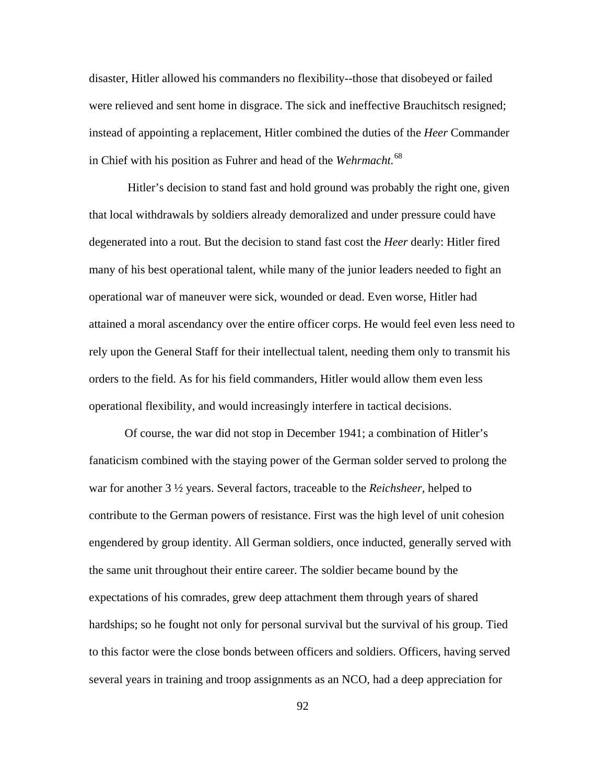disaster, Hitler allowed his commanders no flexibility--those that disobeyed or failed were relieved and sent home in disgrace. The sick and ineffective Brauchitsch resigned; instead of appointing a replacement, Hitler combined the duties of the *Heer* Commander in Chief with his position as Fuhrer and head of the *Wehrmacht.*[68](#page-128-0)

Hitler's decision to stand fast and hold ground was probably the right one, given that local withdrawals by soldiers already demoralized and under pressure could have degenerated into a rout. But the decision to stand fast cost the *Heer* dearly: Hitler fired many of his best operational talent, while many of the junior leaders needed to fight an operational war of maneuver were sick, wounded or dead. Even worse, Hitler had attained a moral ascendancy over the entire officer corps. He would feel even less need to rely upon the General Staff for their intellectual talent, needing them only to transmit his orders to the field. As for his field commanders, Hitler would allow them even less operational flexibility, and would increasingly interfere in tactical decisions.

Of course, the war did not stop in December 1941; a combination of Hitler's fanaticism combined with the staying power of the German solder served to prolong the war for another 3 ½ years. Several factors, traceable to the *Reichsheer*, helped to contribute to the German powers of resistance. First was the high level of unit cohesion engendered by group identity. All German soldiers, once inducted, generally served with the same unit throughout their entire career. The soldier became bound by the expectations of his comrades, grew deep attachment them through years of shared hardships; so he fought not only for personal survival but the survival of his group. Tied to this factor were the close bonds between officers and soldiers. Officers, having served several years in training and troop assignments as an NCO, had a deep appreciation for

92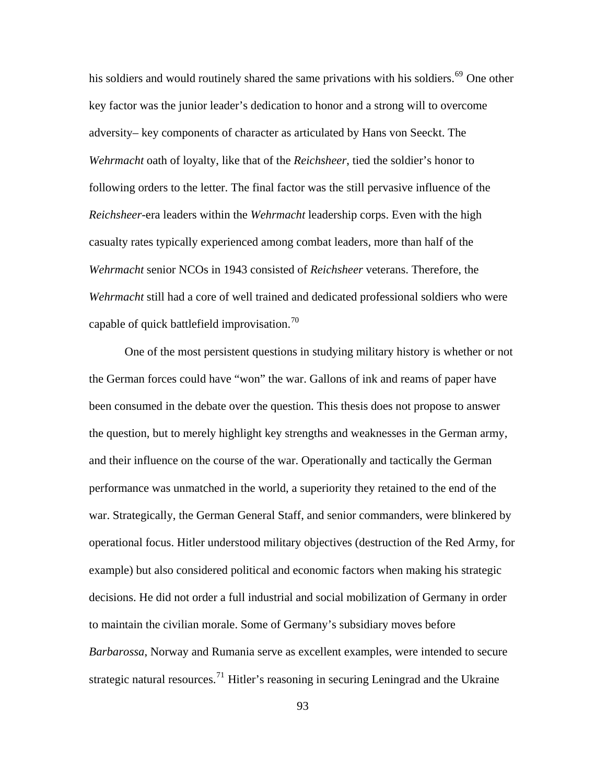his soldiers and would routinely shared the same privations with his soldiers.<sup>[69](#page-128-0)</sup> One other key factor was the junior leader's dedication to honor and a strong will to overcome adversity– key components of character as articulated by Hans von Seeckt. The *Wehrmacht* oath of loyalty, like that of the *Reichsheer*, tied the soldier's honor to following orders to the letter. The final factor was the still pervasive influence of the *Reichsheer*-era leaders within the *Wehrmacht* leadership corps. Even with the high casualty rates typically experienced among combat leaders, more than half of the *Wehrmacht* senior NCOs in 1943 consisted of *Reichsheer* veterans. Therefore, the *Wehrmacht* still had a core of well trained and dedicated professional soldiers who were capable of quick battlefield improvisation.<sup>[70](#page-128-0)</sup>

One of the most persistent questions in studying military history is whether or not the German forces could have "won" the war. Gallons of ink and reams of paper have been consumed in the debate over the question. This thesis does not propose to answer the question, but to merely highlight key strengths and weaknesses in the German army, and their influence on the course of the war. Operationally and tactically the German performance was unmatched in the world, a superiority they retained to the end of the war. Strategically, the German General Staff, and senior commanders, were blinkered by operational focus. Hitler understood military objectives (destruction of the Red Army, for example) but also considered political and economic factors when making his strategic decisions. He did not order a full industrial and social mobilization of Germany in order to maintain the civilian morale. Some of Germany's subsidiary moves before *Barbarossa*, Norway and Rumania serve as excellent examples, were intended to secure strategic natural resources.<sup>[71](#page-128-0)</sup> Hitler's reasoning in securing Leningrad and the Ukraine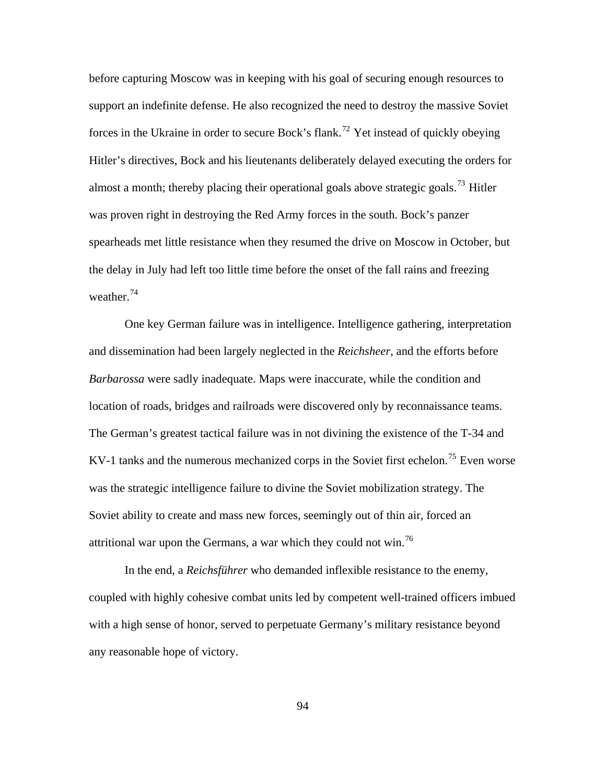before capturing Moscow was in keeping with his goal of securing enough resources to support an indefinite defense. He also recognized the need to destroy the massive Soviet forces in the Ukraine in order to secure Bock's flank.<sup>[72](#page-128-0)</sup> Yet instead of quickly obeying Hitler's directives, Bock and his lieutenants deliberately delayed executing the orders for almost a month; thereby placing their operational goals above strategic goals.<sup>[73](#page-128-0)</sup> Hitler was proven right in destroying the Red Army forces in the south. Bock's panzer spearheads met little resistance when they resumed the drive on Moscow in October, but the delay in July had left too little time before the onset of the fall rains and freezing weather. $74$ 

One key German failure was in intelligence. Intelligence gathering, interpretation and dissemination had been largely neglected in the *Reichsheer*, and the efforts before *Barbarossa* were sadly inadequate. Maps were inaccurate, while the condition and location of roads, bridges and railroads were discovered only by reconnaissance teams. The German's greatest tactical failure was in not divining the existence of the T-34 and KV-1 tanks and the numerous mechanized corps in the Soviet first echelon.<sup>[75](#page-128-0)</sup> Even worse was the strategic intelligence failure to divine the Soviet mobilization strategy. The Soviet ability to create and mass new forces, seemingly out of thin air, forced an attritional war upon the Germans, a war which they could not win.[76](#page-128-0)

In the end, a *Reichsführer* who demanded inflexible resistance to the enemy, coupled with highly cohesive combat units led by competent well-trained officers imbued with a high sense of honor, served to perpetuate Germany's military resistance beyond any reasonable hope of victory.

94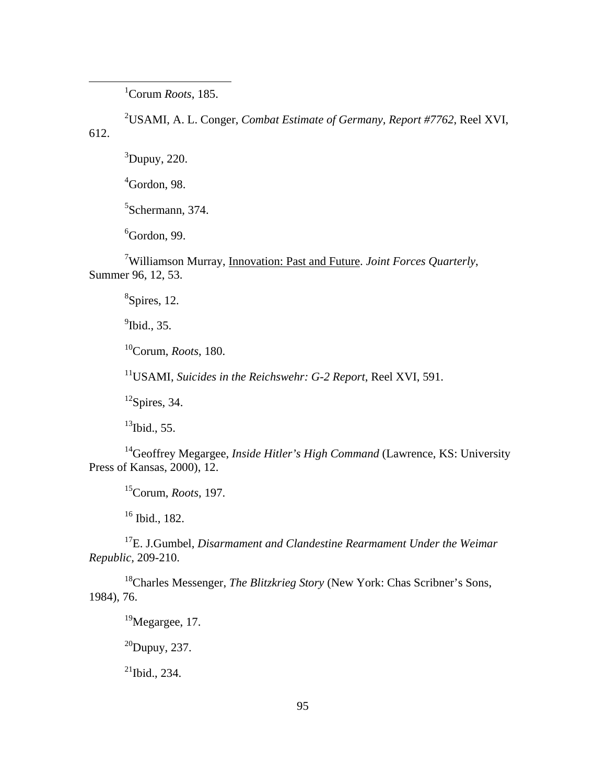<u>1</u> Corum *Roots*, 185.

2 USAMI, A. L. Conger, *Combat Estimate of Germany, Report #7762*, Reel XVI, 612.

 ${}^{3}$ Dupuy, 220.

 $4$ Gordon, 98.

5 Schermann, 374.

 ${}^{6}$ Gordon, 99.

7 Williamson Murray, Innovation: Past and Future. *Joint Forces Quarterly*, Summer 96, 12, 53.

8 Spires, 12.

 $<sup>9</sup>$ Ibid., 35.</sup>

10Corum, *Roots*, 180.

11USAMI, *Suicides in the Reichswehr: G-2 Report*, Reel XVI, 591.

 $12$ Spires, 34.

 $13$ Ibid., 55.

14Geoffrey Megargee, *Inside Hitler's High Command* (Lawrence, KS: University Press of Kansas, 2000), 12.

15Corum, *Roots*, 197.

16 Ibid., 182.

17E. J.Gumbel, *Disarmament and Clandestine Rearmament Under the Weimar Republic,* 209-210.

<sup>18</sup>Charles Messenger, *The Blitzkrieg Story* (New York: Chas Scribner's Sons, 1984), 76.

 $19$ Megargee, 17.

 $^{20}$ Dupuy, 237.

 $^{21}$ Ibid., 234.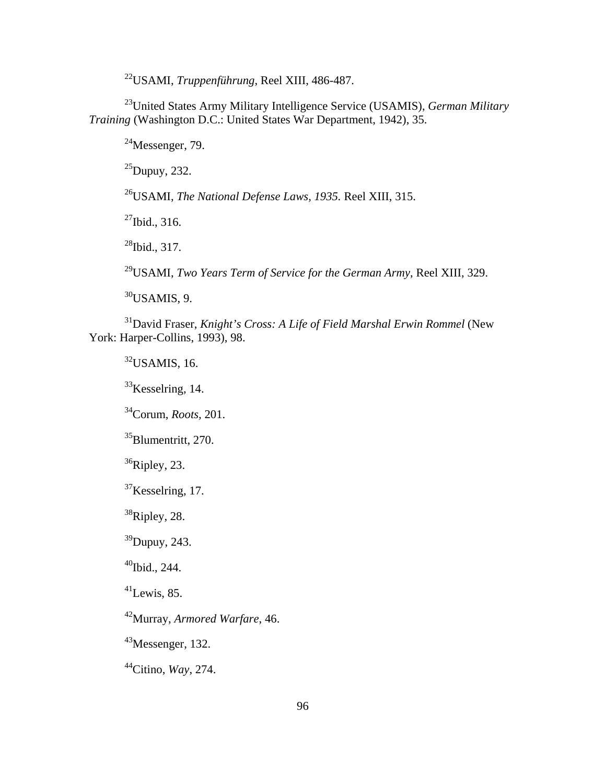22USAMI, *Truppenführung*, Reel XIII, 486-487.

23United States Army Military Intelligence Service (USAMIS), *German Military Training* (Washington D.C.: United States War Department, 1942), 35.

 $^{24}$ Messenger, 79.

 $^{25}$ Dupuy, 232.

26USAMI, *The National Defense Laws, 1935.* Reel XIII, 315.

 $^{27}$ Ibid., 316.

 $^{28}$ Ibid., 317.

29USAMI, *Two Years Term of Service for the German Army*, Reel XIII, 329.

 $30$ USAMIS, 9.

31David Fraser, *Knight's Cross: A Life of Field Marshal Erwin Rommel* (New York: Harper-Collins, 1993), 98.

 $32$ USAMIS, 16.

 $33$ Kesselring, 14.

34Corum, *Roots,* 201.

 $35$ Blumentritt, 270.

 $36$ Ripley, 23.

 $37$ Kesselring, 17.

 $38$ Ripley, 28.

39Dupuy, 243.

 $40$ Ibid., 244.

 $^{41}$ Lewis, 85.

42Murray, *Armored Warfare*, 46.

43Messenger, 132.

44Citino, *Way*, 274.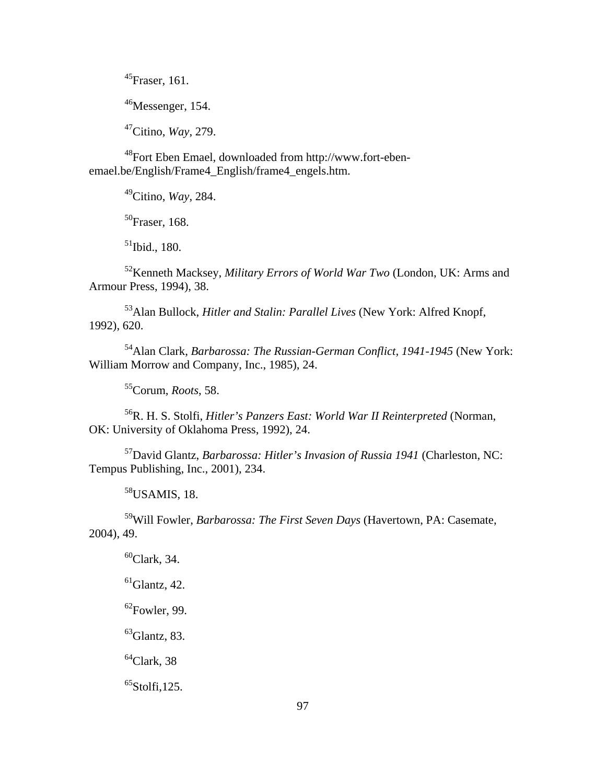$^{45}$ Fraser, 161.

<sup>46</sup>Messenger, 154.

47Citino, *Way*, 279.

48Fort Eben Emael, downloaded from http://www.fort-ebenemael.be/English/Frame4\_English/frame4\_engels.htm.

49Citino, *Way*, 284.

<sup>50</sup>Fraser, 168.

 $51$ Ibid., 180.

52Kenneth Macksey, *Military Errors of World War Two* (London, UK: Arms and Armour Press, 1994), 38.

53Alan Bullock, *Hitler and Stalin: Parallel Lives* (New York: Alfred Knopf, 1992), 620.

54Alan Clark, *Barbarossa: The Russian-German Conflict, 1941-1945* (New York: William Morrow and Company, Inc., 1985), 24.

55Corum, *Roots*, 58.

56R. H. S. Stolfi, *Hitler's Panzers East: World War II Reinterpreted* (Norman, OK: University of Oklahoma Press, 1992), 24.

57David Glantz, *Barbarossa: Hitler's Invasion of Russia 1941* (Charleston, NC: Tempus Publishing, Inc., 2001), 234.

 $58$ USAMIS, 18.

59Will Fowler, *Barbarossa: The First Seven Days* (Havertown, PA: Casemate, 2004), 49.

 $60$ Clark, 34.

 $<sup>61</sup>Glantz, 42.$ </sup>

 $62$ Fowler, 99.

 $^{63}$ Glantz, 83.

 $64$ Clark, 38

 ${}^{65}$ Stolfi, 125.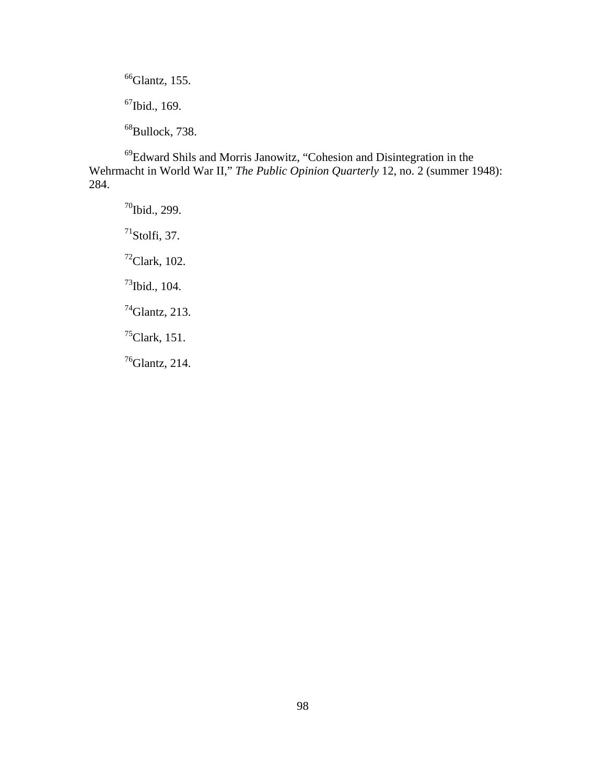$<sup>66</sup>Glantz, 155.$ </sup> 67Ibid., 169. <sup>68</sup>Bullock, 738.

69Edward Shils and Morris Janowitz, "Cohesion and Disintegration in the Wehrmacht in World War II," *The Public Opinion Quarterly* 12, no. 2 (summer 1948): 284.

 $70$ Ibid., 299.  $<sup>71</sup>$ Stolfi, 37.</sup>  $72$ Clark, 102. 73Ibid., 104. 74Glantz, 213.  $<sup>75</sup>$ Clark, 151.</sup> 76Glantz, 214.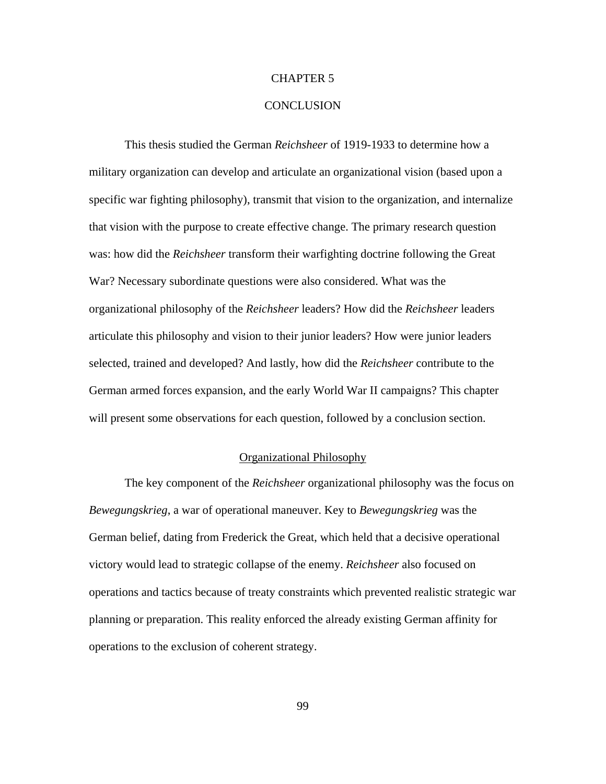#### CHAPTER 5

### **CONCLUSION**

This thesis studied the German *Reichsheer* of 1919-1933 to determine how a military organization can develop and articulate an organizational vision (based upon a specific war fighting philosophy), transmit that vision to the organization, and internalize that vision with the purpose to create effective change. The primary research question was: how did the *Reichsheer* transform their warfighting doctrine following the Great War? Necessary subordinate questions were also considered. What was the organizational philosophy of the *Reichsheer* leaders? How did the *Reichsheer* leaders articulate this philosophy and vision to their junior leaders? How were junior leaders selected, trained and developed? And lastly, how did the *Reichsheer* contribute to the German armed forces expansion, and the early World War II campaigns? This chapter will present some observations for each question, followed by a conclusion section.

### Organizational Philosophy

The key component of the *Reichsheer* organizational philosophy was the focus on *Bewegungskrieg*, a war of operational maneuver. Key to *Bewegungskrieg* was the German belief, dating from Frederick the Great, which held that a decisive operational victory would lead to strategic collapse of the enemy. *Reichsheer* also focused on operations and tactics because of treaty constraints which prevented realistic strategic war planning or preparation. This reality enforced the already existing German affinity for operations to the exclusion of coherent strategy.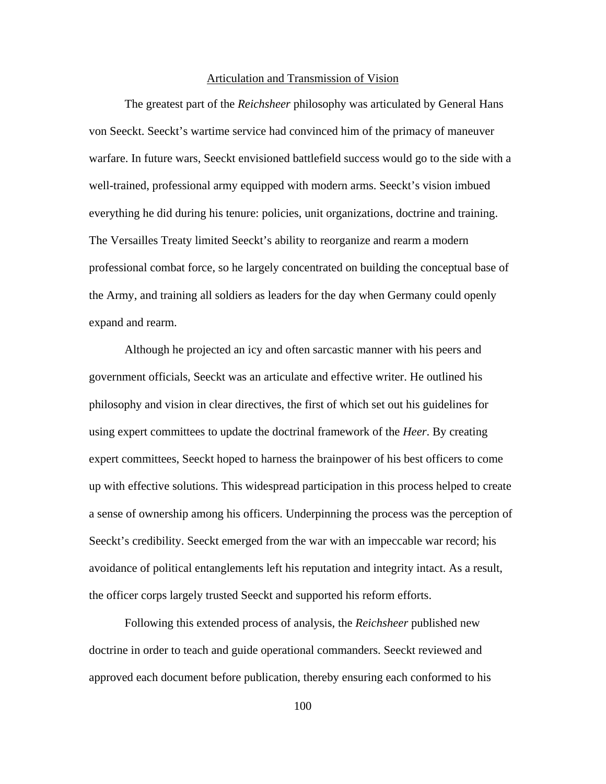### Articulation and Transmission of Vision

The greatest part of the *Reichsheer* philosophy was articulated by General Hans von Seeckt. Seeckt's wartime service had convinced him of the primacy of maneuver warfare. In future wars, Seeckt envisioned battlefield success would go to the side with a well-trained, professional army equipped with modern arms. Seeckt's vision imbued everything he did during his tenure: policies, unit organizations, doctrine and training. The Versailles Treaty limited Seeckt's ability to reorganize and rearm a modern professional combat force, so he largely concentrated on building the conceptual base of the Army, and training all soldiers as leaders for the day when Germany could openly expand and rearm.

Although he projected an icy and often sarcastic manner with his peers and government officials, Seeckt was an articulate and effective writer. He outlined his philosophy and vision in clear directives, the first of which set out his guidelines for using expert committees to update the doctrinal framework of the *Heer*. By creating expert committees, Seeckt hoped to harness the brainpower of his best officers to come up with effective solutions. This widespread participation in this process helped to create a sense of ownership among his officers. Underpinning the process was the perception of Seeckt's credibility. Seeckt emerged from the war with an impeccable war record; his avoidance of political entanglements left his reputation and integrity intact. As a result, the officer corps largely trusted Seeckt and supported his reform efforts.

Following this extended process of analysis, the *Reichsheer* published new doctrine in order to teach and guide operational commanders. Seeckt reviewed and approved each document before publication, thereby ensuring each conformed to his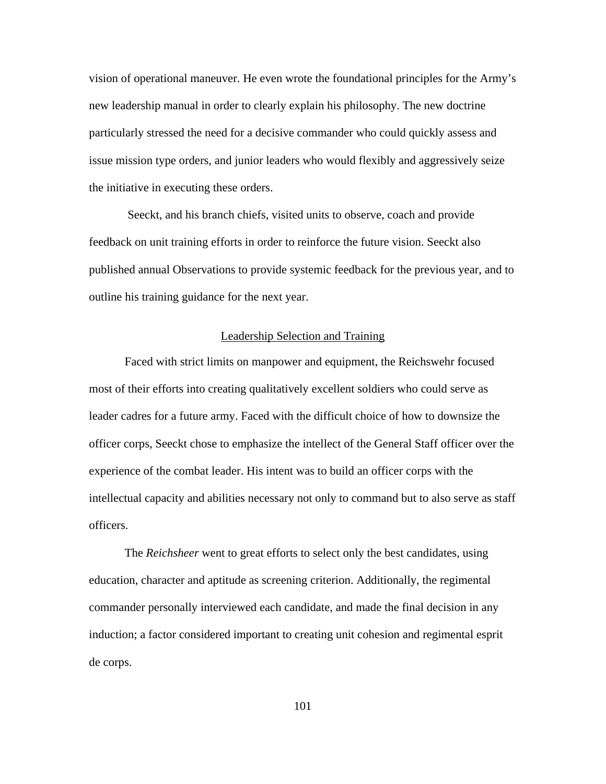vision of operational maneuver. He even wrote the foundational principles for the Army's new leadership manual in order to clearly explain his philosophy. The new doctrine particularly stressed the need for a decisive commander who could quickly assess and issue mission type orders, and junior leaders who would flexibly and aggressively seize the initiative in executing these orders.

 Seeckt, and his branch chiefs, visited units to observe, coach and provide feedback on unit training efforts in order to reinforce the future vision. Seeckt also published annual Observations to provide systemic feedback for the previous year, and to outline his training guidance for the next year.

#### Leadership Selection and Training

Faced with strict limits on manpower and equipment, the Reichswehr focused most of their efforts into creating qualitatively excellent soldiers who could serve as leader cadres for a future army. Faced with the difficult choice of how to downsize the officer corps, Seeckt chose to emphasize the intellect of the General Staff officer over the experience of the combat leader. His intent was to build an officer corps with the intellectual capacity and abilities necessary not only to command but to also serve as staff officers.

The *Reichsheer* went to great efforts to select only the best candidates, using education, character and aptitude as screening criterion. Additionally, the regimental commander personally interviewed each candidate, and made the final decision in any induction; a factor considered important to creating unit cohesion and regimental esprit de corps.

101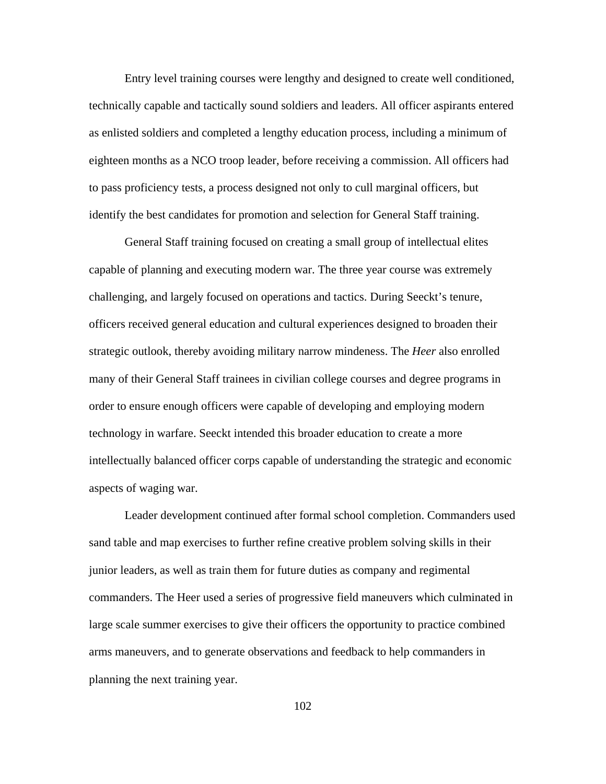Entry level training courses were lengthy and designed to create well conditioned, technically capable and tactically sound soldiers and leaders. All officer aspirants entered as enlisted soldiers and completed a lengthy education process, including a minimum of eighteen months as a NCO troop leader, before receiving a commission. All officers had to pass proficiency tests, a process designed not only to cull marginal officers, but identify the best candidates for promotion and selection for General Staff training.

General Staff training focused on creating a small group of intellectual elites capable of planning and executing modern war. The three year course was extremely challenging, and largely focused on operations and tactics. During Seeckt's tenure, officers received general education and cultural experiences designed to broaden their strategic outlook, thereby avoiding military narrow mindeness. The *Heer* also enrolled many of their General Staff trainees in civilian college courses and degree programs in order to ensure enough officers were capable of developing and employing modern technology in warfare. Seeckt intended this broader education to create a more intellectually balanced officer corps capable of understanding the strategic and economic aspects of waging war.

Leader development continued after formal school completion. Commanders used sand table and map exercises to further refine creative problem solving skills in their junior leaders, as well as train them for future duties as company and regimental commanders. The Heer used a series of progressive field maneuvers which culminated in large scale summer exercises to give their officers the opportunity to practice combined arms maneuvers, and to generate observations and feedback to help commanders in planning the next training year.

102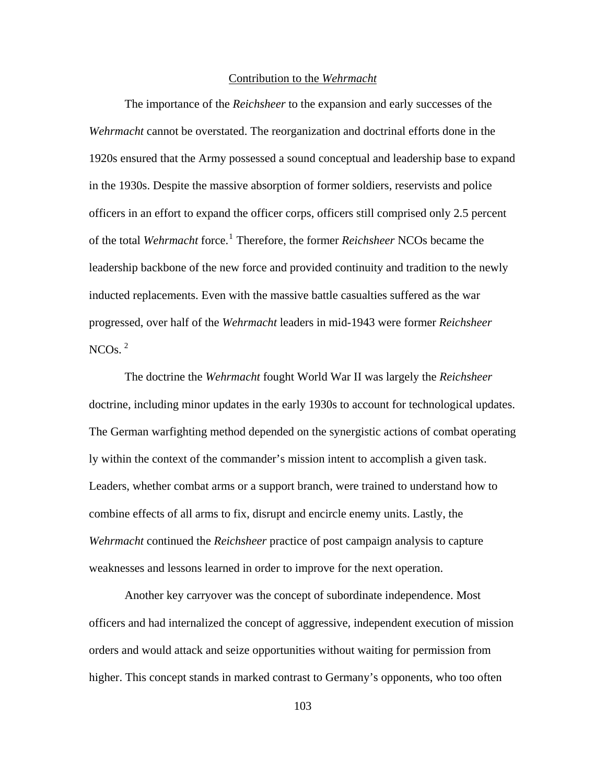### Contribution to the *Wehrmacht*

The importance of the *Reichsheer* to the expansion and early successes of the *Wehrmacht* cannot be overstated. The reorganization and doctrinal efforts done in the 1920s ensured that the Army possessed a sound conceptual and leadership base to expand in the 1930s. Despite the massive absorption of former soldiers, reservists and police officers in an effort to expand the officer corps, officers still comprised only 2.5 percent of the total *Wehrmacht* force.<sup>[1](#page-128-0)</sup> Therefore, the former *Reichsheer* NCOs became the leadership backbone of the new force and provided continuity and tradition to the newly inducted replacements. Even with the massive battle casualties suffered as the war progressed, over half of the *Wehrmacht* leaders in mid-1943 were former *Reichsheer* NCOs. $^2$  $^2$ 

The doctrine the *Wehrmacht* fought World War II was largely the *Reichsheer* doctrine, including minor updates in the early 1930s to account for technological updates. The German warfighting method depended on the synergistic actions of combat operating ly within the context of the commander's mission intent to accomplish a given task. Leaders, whether combat arms or a support branch, were trained to understand how to combine effects of all arms to fix, disrupt and encircle enemy units. Lastly, the *Wehrmacht* continued the *Reichsheer* practice of post campaign analysis to capture weaknesses and lessons learned in order to improve for the next operation.

Another key carryover was the concept of subordinate independence. Most officers and had internalized the concept of aggressive, independent execution of mission orders and would attack and seize opportunities without waiting for permission from higher. This concept stands in marked contrast to Germany's opponents, who too often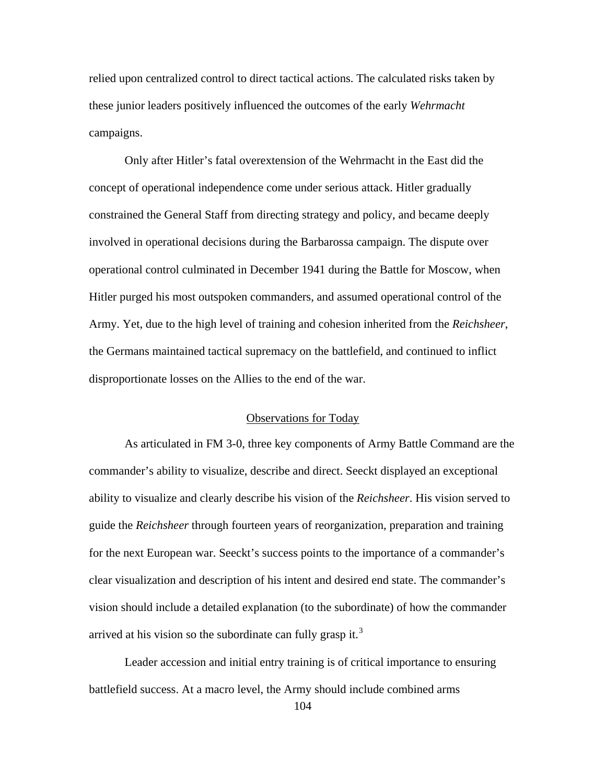relied upon centralized control to direct tactical actions. The calculated risks taken by these junior leaders positively influenced the outcomes of the early *Wehrmacht* campaigns.

Only after Hitler's fatal overextension of the Wehrmacht in the East did the concept of operational independence come under serious attack. Hitler gradually constrained the General Staff from directing strategy and policy, and became deeply involved in operational decisions during the Barbarossa campaign. The dispute over operational control culminated in December 1941 during the Battle for Moscow, when Hitler purged his most outspoken commanders, and assumed operational control of the Army. Yet, due to the high level of training and cohesion inherited from the *Reichsheer*, the Germans maintained tactical supremacy on the battlefield, and continued to inflict disproportionate losses on the Allies to the end of the war.

#### Observations for Today

As articulated in FM 3-0, three key components of Army Battle Command are the commander's ability to visualize, describe and direct. Seeckt displayed an exceptional ability to visualize and clearly describe his vision of the *Reichsheer*. His vision served to guide the *Reichsheer* through fourteen years of reorganization, preparation and training for the next European war. Seeckt's success points to the importance of a commander's clear visualization and description of his intent and desired end state. The commander's vision should include a detailed explanation (to the subordinate) of how the commander arrived at his vision so the subordinate can fully grasp it.<sup>[3](#page-128-0)</sup>

Leader accession and initial entry training is of critical importance to ensuring battlefield success. At a macro level, the Army should include combined arms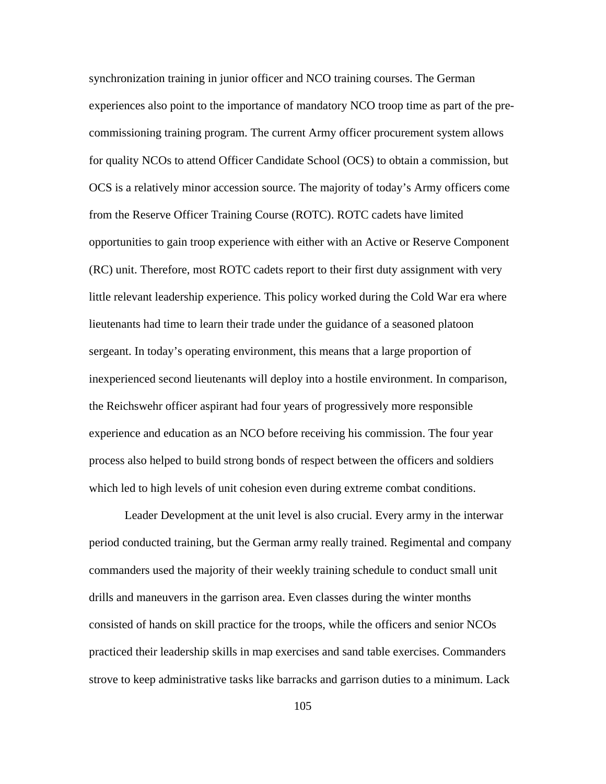synchronization training in junior officer and NCO training courses. The German experiences also point to the importance of mandatory NCO troop time as part of the precommissioning training program. The current Army officer procurement system allows for quality NCOs to attend Officer Candidate School (OCS) to obtain a commission, but OCS is a relatively minor accession source. The majority of today's Army officers come from the Reserve Officer Training Course (ROTC). ROTC cadets have limited opportunities to gain troop experience with either with an Active or Reserve Component (RC) unit. Therefore, most ROTC cadets report to their first duty assignment with very little relevant leadership experience. This policy worked during the Cold War era where lieutenants had time to learn their trade under the guidance of a seasoned platoon sergeant. In today's operating environment, this means that a large proportion of inexperienced second lieutenants will deploy into a hostile environment. In comparison, the Reichswehr officer aspirant had four years of progressively more responsible experience and education as an NCO before receiving his commission. The four year process also helped to build strong bonds of respect between the officers and soldiers which led to high levels of unit cohesion even during extreme combat conditions.

Leader Development at the unit level is also crucial. Every army in the interwar period conducted training, but the German army really trained. Regimental and company commanders used the majority of their weekly training schedule to conduct small unit drills and maneuvers in the garrison area. Even classes during the winter months consisted of hands on skill practice for the troops, while the officers and senior NCOs practiced their leadership skills in map exercises and sand table exercises. Commanders strove to keep administrative tasks like barracks and garrison duties to a minimum. Lack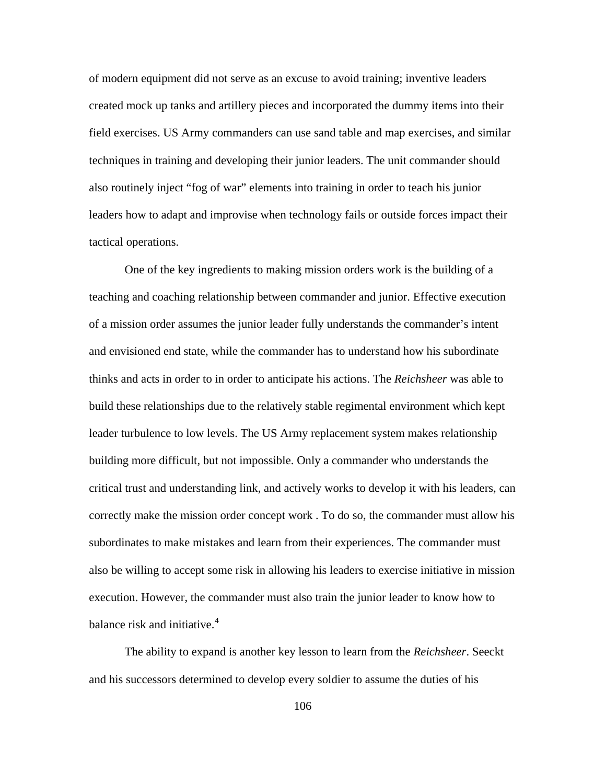of modern equipment did not serve as an excuse to avoid training; inventive leaders created mock up tanks and artillery pieces and incorporated the dummy items into their field exercises. US Army commanders can use sand table and map exercises, and similar techniques in training and developing their junior leaders. The unit commander should also routinely inject "fog of war" elements into training in order to teach his junior leaders how to adapt and improvise when technology fails or outside forces impact their tactical operations.

One of the key ingredients to making mission orders work is the building of a teaching and coaching relationship between commander and junior. Effective execution of a mission order assumes the junior leader fully understands the commander's intent and envisioned end state, while the commander has to understand how his subordinate thinks and acts in order to in order to anticipate his actions. The *Reichsheer* was able to build these relationships due to the relatively stable regimental environment which kept leader turbulence to low levels. The US Army replacement system makes relationship building more difficult, but not impossible. Only a commander who understands the critical trust and understanding link, and actively works to develop it with his leaders, can correctly make the mission order concept work . To do so, the commander must allow his subordinates to make mistakes and learn from their experiences. The commander must also be willing to accept some risk in allowing his leaders to exercise initiative in mission execution. However, the commander must also train the junior leader to know how to balance risk and initiative.<sup>[4](#page-128-0)</sup>

The ability to expand is another key lesson to learn from the *Reichsheer*. Seeckt and his successors determined to develop every soldier to assume the duties of his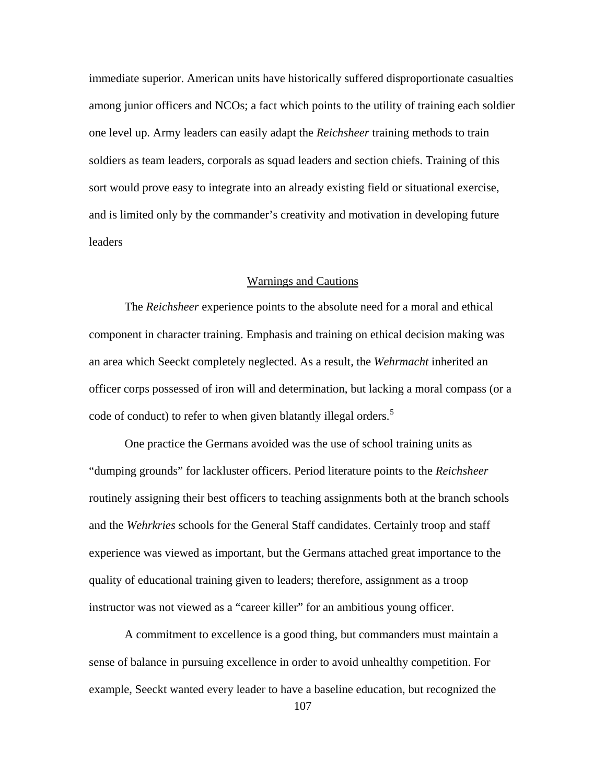immediate superior. American units have historically suffered disproportionate casualties among junior officers and NCOs; a fact which points to the utility of training each soldier one level up. Army leaders can easily adapt the *Reichsheer* training methods to train soldiers as team leaders, corporals as squad leaders and section chiefs. Training of this sort would prove easy to integrate into an already existing field or situational exercise, and is limited only by the commander's creativity and motivation in developing future leaders

### Warnings and Cautions

The *Reichsheer* experience points to the absolute need for a moral and ethical component in character training. Emphasis and training on ethical decision making was an area which Seeckt completely neglected. As a result, the *Wehrmacht* inherited an officer corps possessed of iron will and determination, but lacking a moral compass (or a code of conduct) to refer to when given blatantly illegal orders.<sup>[5](#page-128-0)</sup>

One practice the Germans avoided was the use of school training units as "dumping grounds" for lackluster officers. Period literature points to the *Reichsheer* routinely assigning their best officers to teaching assignments both at the branch schools and the *Wehrkries* schools for the General Staff candidates. Certainly troop and staff experience was viewed as important, but the Germans attached great importance to the quality of educational training given to leaders; therefore, assignment as a troop instructor was not viewed as a "career killer" for an ambitious young officer.

A commitment to excellence is a good thing, but commanders must maintain a sense of balance in pursuing excellence in order to avoid unhealthy competition. For example, Seeckt wanted every leader to have a baseline education, but recognized the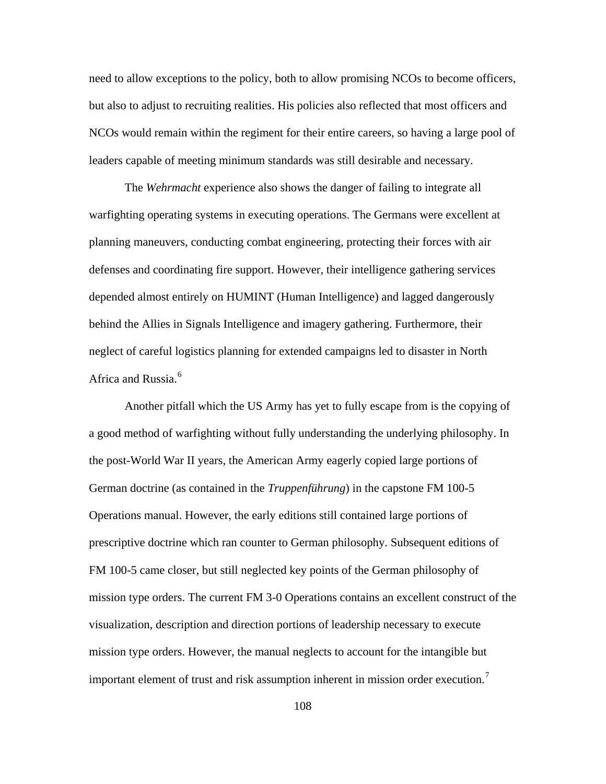need to allow exceptions to the policy, both to allow promising NCOs to become officers, but also to adjust to recruiting realities. His policies also reflected that most officers and NCOs would remain within the regiment for their entire careers, so having a large pool of leaders capable of meeting minimum standards was still desirable and necessary.

The *Wehrmacht* experience also shows the danger of failing to integrate all warfighting operating systems in executing operations. The Germans were excellent at planning maneuvers, conducting combat engineering, protecting their forces with air defenses and coordinating fire support. However, their intelligence gathering services depended almost entirely on HUMINT (Human Intelligence) and lagged dangerously behind the Allies in Signals Intelligence and imagery gathering. Furthermore, their neglect of careful logistics planning for extended campaigns led to disaster in North Africa and Russia.<sup>[6](#page-128-0)</sup>

Another pitfall which the US Army has yet to fully escape from is the copying of a good method of warfighting without fully understanding the underlying philosophy. In the post-World War II years, the American Army eagerly copied large portions of German doctrine (as contained in the *Truppenführung*) in the capstone FM 100-5 Operations manual. However, the early editions still contained large portions of prescriptive doctrine which ran counter to German philosophy. Subsequent editions of FM 100-5 came closer, but still neglected key points of the German philosophy of mission type orders. The current FM 3-0 Operations contains an excellent construct of the visualization, description and direction portions of leadership necessary to execute mission type orders. However, the manual neglects to account for the intangible but important element of trust and risk assumption inherent in mission order execution.<sup>[7](#page-128-0)</sup>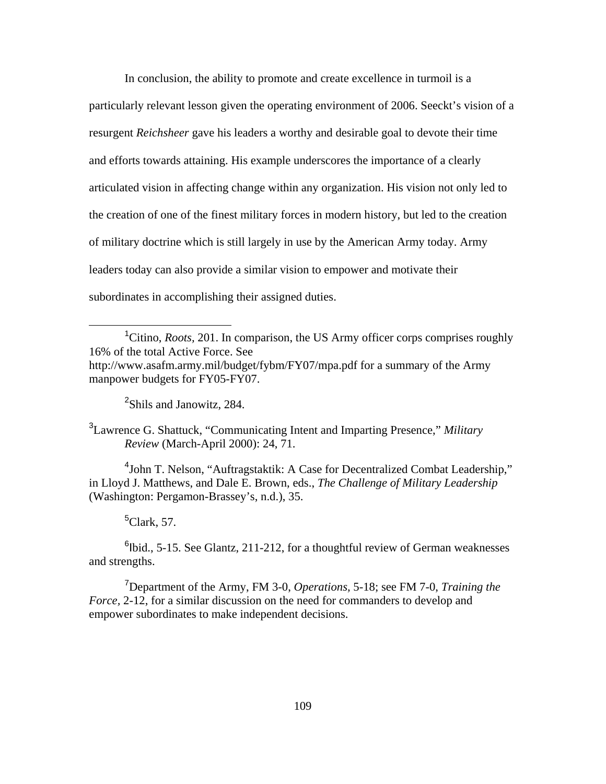In conclusion, the ability to promote and create excellence in turmoil is a particularly relevant lesson given the operating environment of 2006. Seeckt's vision of a resurgent *Reichsheer* gave his leaders a worthy and desirable goal to devote their time and efforts towards attaining. His example underscores the importance of a clearly articulated vision in affecting change within any organization. His vision not only led to the creation of one of the finest military forces in modern history, but led to the creation of military doctrine which is still largely in use by the American Army today. Army leaders today can also provide a similar vision to empower and motivate their subordinates in accomplishing their assigned duties.

<sup>2</sup>Shils and Janowitz, 284.

3 Lawrence G. Shattuck, "Communicating Intent and Imparting Presence," *Military Review* (March-April 2000): 24, 71.

<sup>4</sup>John T. Nelson, "Auftragstaktik: A Case for Decentralized Combat Leadership," in Lloyd J. Matthews, and Dale E. Brown, eds., *The Challenge of Military Leadership*  (Washington: Pergamon-Brassey's, n.d.), 35.

# 5 Clark, 57.

 $\overline{a}$ 

 $6$ lbid., 5-15. See Glantz, 211-212, for a thoughtful review of German weaknesses and strengths.

7 Department of the Army, FM 3-0, *Operations,* 5-18; see FM 7-0, *Training the Force,* 2-12, for a similar discussion on the need for commanders to develop and empower subordinates to make independent decisions.

<sup>&</sup>lt;sup>1</sup>Citino, *Roots*, 201. In comparison, the US Army officer corps comprises roughly 16% of the total Active Force. See <http://www.asafm.army.mil/budget/fybm/FY07/mpa.pdf> for a summary of the Army manpower budgets for FY05-FY07.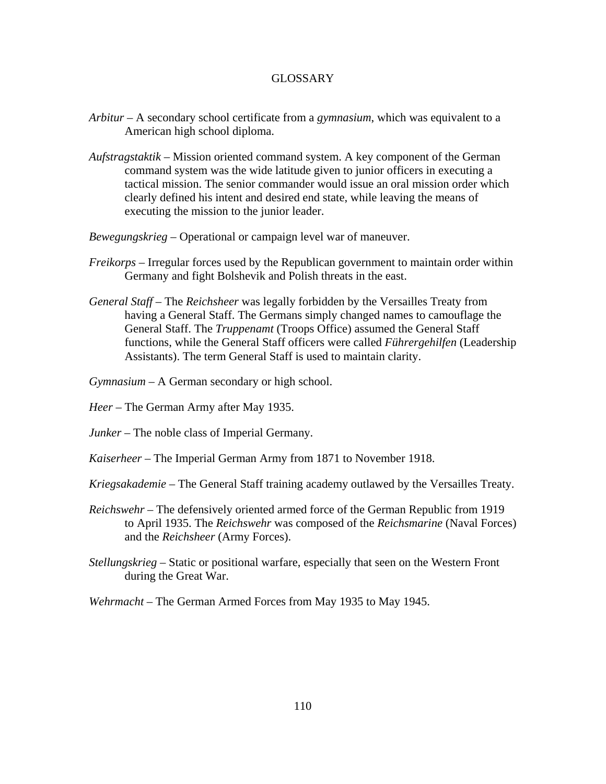### GLOSSARY

- *Arbitur*  A secondary school certificate from a *gymnasium*, which was equivalent to a American high school diploma.
- *Aufstragstaktik*  Mission oriented command system. A key component of the German command system was the wide latitude given to junior officers in executing a tactical mission. The senior commander would issue an oral mission order which clearly defined his intent and desired end state, while leaving the means of executing the mission to the junior leader.
- *Bewegungskrieg*  Operational or campaign level war of maneuver.
- *Freikorps*  Irregular forces used by the Republican government to maintain order within Germany and fight Bolshevik and Polish threats in the east.
- *General Staff*  The *Reichsheer* was legally forbidden by the Versailles Treaty from having a General Staff. The Germans simply changed names to camouflage the General Staff. The *Truppenamt* (Troops Office) assumed the General Staff functions, while the General Staff officers were called *Führergehilfen* (Leadership Assistants). The term General Staff is used to maintain clarity.

*Gymnasium* – A German secondary or high school.

- *Heer*  The German Army after May 1935.
- *Junker*  The noble class of Imperial Germany.
- *Kaiserheer*  The Imperial German Army from 1871 to November 1918.
- *Kriegsakademie*  The General Staff training academy outlawed by the Versailles Treaty.
- *Reichswehr*  The defensively oriented armed force of the German Republic from 1919 to April 1935. The *Reichswehr* was composed of the *Reichsmarine* (Naval Forces) and the *Reichsheer* (Army Forces).
- *Stellungskrieg*  Static or positional warfare, especially that seen on the Western Front during the Great War.

*Wehrmacht* – The German Armed Forces from May 1935 to May 1945.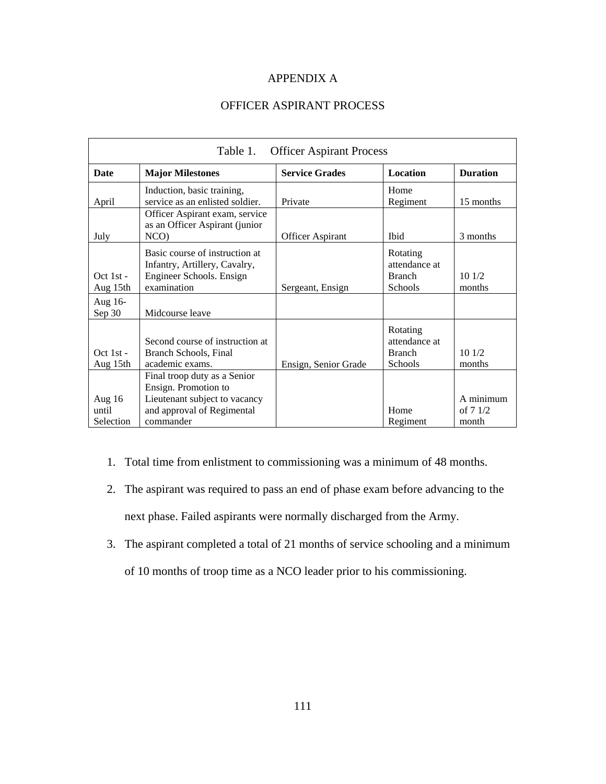## APPENDIX A

# OFFICER ASPIRANT PROCESS

| <b>Officer Aspirant Process</b><br>Table 1. |                                                                                                                                  |                         |                                                       |                                 |  |  |
|---------------------------------------------|----------------------------------------------------------------------------------------------------------------------------------|-------------------------|-------------------------------------------------------|---------------------------------|--|--|
| <b>Date</b>                                 | <b>Major Milestones</b>                                                                                                          | <b>Service Grades</b>   | Location                                              | <b>Duration</b>                 |  |  |
| April                                       | Induction, basic training,<br>service as an enlisted soldier.                                                                    | Private                 | Home<br>Regiment                                      | 15 months                       |  |  |
| July                                        | Officer Aspirant exam, service<br>as an Officer Aspirant (junior<br>NCO)                                                         | <b>Officer Aspirant</b> | <b>I</b> bid                                          | 3 months                        |  |  |
| $Oct 1st -$<br>Aug 15th                     | Basic course of instruction at<br>Infantry, Artillery, Cavalry,<br>Engineer Schools. Ensign<br>examination                       | Sergeant, Ensign        | Rotating<br>attendance at<br><b>Branch</b><br>Schools | 101/2<br>months                 |  |  |
| Aug 16-<br>Sep 30                           | Midcourse leave                                                                                                                  |                         |                                                       |                                 |  |  |
| $Oct 1st -$<br>Aug 15th                     | Second course of instruction at<br>Branch Schools, Final<br>academic exams.                                                      | Ensign, Senior Grade    | Rotating<br>attendance at<br><b>Branch</b><br>Schools | 101/2<br>months                 |  |  |
| Aug 16<br>until<br>Selection                | Final troop duty as a Senior<br>Ensign. Promotion to<br>Lieutenant subject to vacancy<br>and approval of Regimental<br>commander |                         | Home<br>Regiment                                      | A minimum<br>of $71/2$<br>month |  |  |

- 1. Total time from enlistment to commissioning was a minimum of 48 months.
- 2. The aspirant was required to pass an end of phase exam before advancing to the next phase. Failed aspirants were normally discharged from the Army.
- 3. The aspirant completed a total of 21 months of service schooling and a minimum
	- of 10 months of troop time as a NCO leader prior to his commissioning.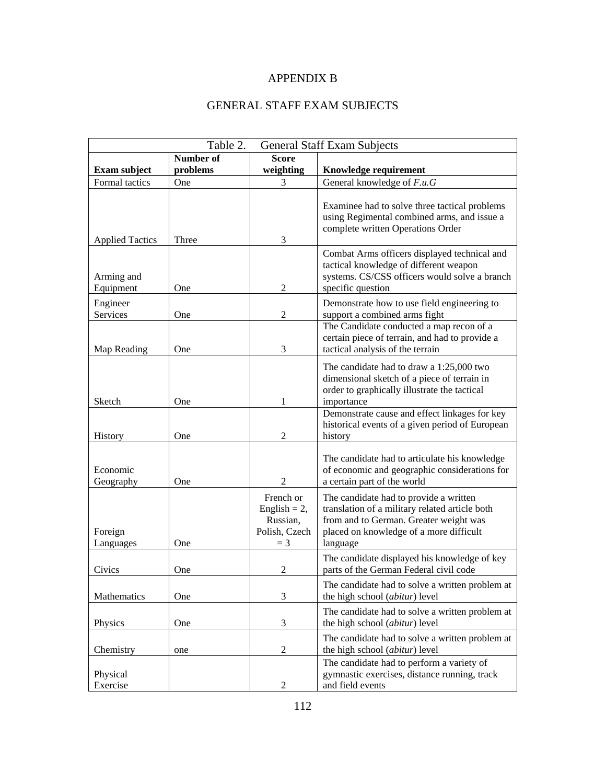# APPENDIX B

# GENERAL STAFF EXAM SUBJECTS

| Table 2.<br><b>General Staff Exam Subjects</b> |           |                                                                    |                                                                                                                                                                                           |  |
|------------------------------------------------|-----------|--------------------------------------------------------------------|-------------------------------------------------------------------------------------------------------------------------------------------------------------------------------------------|--|
|                                                | Number of | <b>Score</b>                                                       |                                                                                                                                                                                           |  |
| <b>Exam subject</b>                            | problems  | weighting                                                          | Knowledge requirement                                                                                                                                                                     |  |
| Formal tactics                                 | One       | 3                                                                  | General knowledge of F.u.G                                                                                                                                                                |  |
| <b>Applied Tactics</b>                         | Three     | 3                                                                  | Examinee had to solve three tactical problems<br>using Regimental combined arms, and issue a<br>complete written Operations Order                                                         |  |
| Arming and<br>Equipment                        | One       | $\overline{2}$                                                     | Combat Arms officers displayed technical and<br>tactical knowledge of different weapon<br>systems. CS/CSS officers would solve a branch<br>specific question                              |  |
| Engineer<br>Services                           | One       | $\overline{2}$                                                     | Demonstrate how to use field engineering to<br>support a combined arms fight                                                                                                              |  |
| Map Reading                                    | One       | 3                                                                  | The Candidate conducted a map recon of a<br>certain piece of terrain, and had to provide a<br>tactical analysis of the terrain                                                            |  |
| Sketch                                         | One       | 1                                                                  | The candidate had to draw a 1:25,000 two<br>dimensional sketch of a piece of terrain in<br>order to graphically illustrate the tactical<br>importance                                     |  |
| History                                        | One       | 2                                                                  | Demonstrate cause and effect linkages for key<br>historical events of a given period of European<br>history                                                                               |  |
| Economic<br>Geography                          | One       | $\overline{2}$                                                     | The candidate had to articulate his knowledge<br>of economic and geographic considerations for<br>a certain part of the world                                                             |  |
| Foreign<br>Languages                           | One       | French or<br>English = $2$ ,<br>Russian,<br>Polish, Czech<br>$=$ 3 | The candidate had to provide a written<br>translation of a military related article both<br>from and to German. Greater weight was<br>placed on knowledge of a more difficult<br>language |  |
| Civics                                         | One       | 2                                                                  | The candidate displayed his knowledge of key<br>parts of the German Federal civil code                                                                                                    |  |
| Mathematics                                    | One       | 3                                                                  | The candidate had to solve a written problem at<br>the high school (abitur) level                                                                                                         |  |
| Physics                                        | One       | $\mathfrak{Z}$                                                     | The candidate had to solve a written problem at<br>the high school (abitur) level                                                                                                         |  |
| Chemistry                                      | one       | $\sqrt{2}$                                                         | The candidate had to solve a written problem at<br>the high school (abitur) level                                                                                                         |  |
| Physical<br>Exercise                           |           | $\boldsymbol{2}$                                                   | The candidate had to perform a variety of<br>gymnastic exercises, distance running, track<br>and field events                                                                             |  |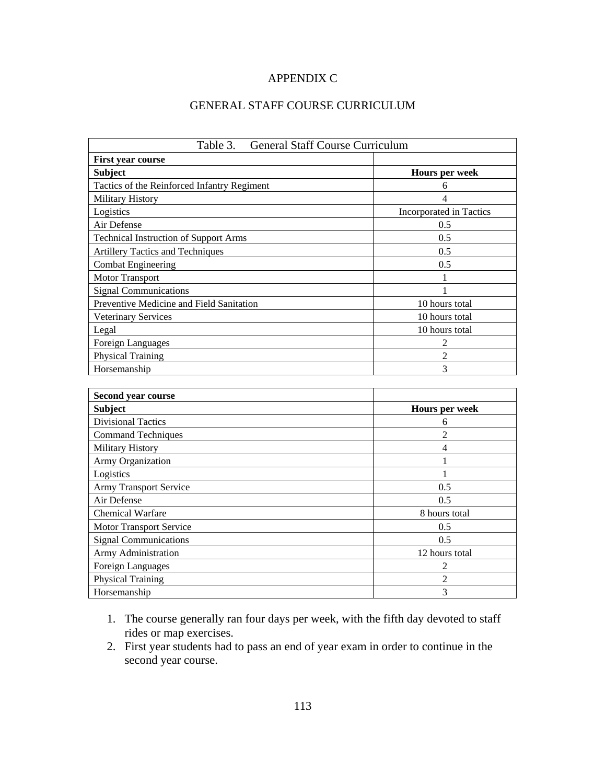## APPENDIX C

# GENERAL STAFF COURSE CURRICULUM

| <b>General Staff Course Curriculum</b><br>Table 3. |                          |  |  |  |
|----------------------------------------------------|--------------------------|--|--|--|
| <b>First year course</b>                           |                          |  |  |  |
| <b>Subject</b>                                     | Hours per week           |  |  |  |
| Tactics of the Reinforced Infantry Regiment        | 6                        |  |  |  |
| Military History                                   | $\overline{\mathcal{L}}$ |  |  |  |
| Logistics                                          | Incorporated in Tactics  |  |  |  |
| Air Defense                                        | 0.5                      |  |  |  |
| <b>Technical Instruction of Support Arms</b>       | 0.5                      |  |  |  |
| <b>Artillery Tactics and Techniques</b>            | 0.5                      |  |  |  |
| <b>Combat Engineering</b>                          | 0.5                      |  |  |  |
| Motor Transport                                    | 1                        |  |  |  |
| <b>Signal Communications</b>                       | $\mathbf{1}$             |  |  |  |
| Preventive Medicine and Field Sanitation           | 10 hours total           |  |  |  |
| <b>Veterinary Services</b>                         | 10 hours total           |  |  |  |
| Legal                                              | 10 hours total           |  |  |  |
| <b>Foreign Languages</b>                           | $\overline{2}$           |  |  |  |
| <b>Physical Training</b>                           | $\overline{2}$           |  |  |  |
| Horsemanship                                       | 3                        |  |  |  |
|                                                    |                          |  |  |  |
| Second year course                                 |                          |  |  |  |
| <b>Subject</b>                                     | Hours per week           |  |  |  |
| <b>Divisional Tactics</b>                          | 6                        |  |  |  |
| <b>Command Techniques</b>                          | $\overline{2}$           |  |  |  |
| Military History                                   | 4                        |  |  |  |
| Army Organization                                  | $\mathbf{1}$             |  |  |  |
| Logistics                                          | 1                        |  |  |  |
| <b>Army Transport Service</b>                      | 0.5                      |  |  |  |
| Air Defense                                        | 0.5                      |  |  |  |
| <b>Chemical Warfare</b>                            | 8 hours total            |  |  |  |
| Motor Transport Service                            | 0.5                      |  |  |  |
| <b>Signal Communications</b>                       | 0.5                      |  |  |  |
| Army Administration                                | 12 hours total           |  |  |  |
| Foreign Languages                                  | $\overline{2}$           |  |  |  |
| <b>Physical Training</b>                           | $\overline{2}$           |  |  |  |
| Horsemanship                                       | $\overline{3}$           |  |  |  |

- 1. The course generally ran four days per week, with the fifth day devoted to staff rides or map exercises.
- 2. First year students had to pass an end of year exam in order to continue in the second year course.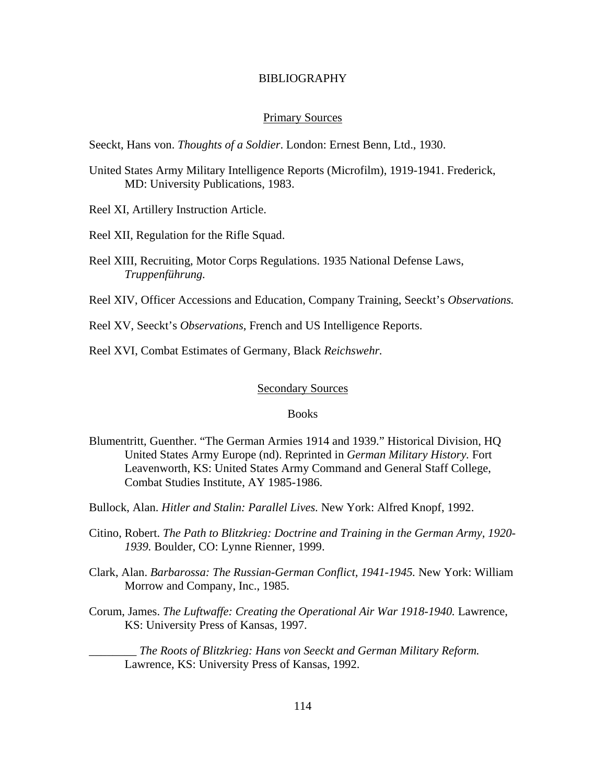#### BIBLIOGRAPHY

#### Primary Sources

Seeckt, Hans von. *Thoughts of a Soldier*. London: Ernest Benn, Ltd., 1930.

- United States Army Military Intelligence Reports (Microfilm), 1919-1941. Frederick, MD: University Publications, 1983.
- Reel XI, Artillery Instruction Article.
- Reel XII, Regulation for the Rifle Squad.
- Reel XIII, Recruiting, Motor Corps Regulations. 1935 National Defense Laws, *Truppenführung.*

Reel XIV, Officer Accessions and Education, Company Training, Seeckt's *Observations.*

Reel XV, Seeckt's *Observations*, French and US Intelligence Reports.

Reel XVI, Combat Estimates of Germany, Black *Reichswehr.*

### Secondary Sources

### Books

- Blumentritt, Guenther. "The German Armies 1914 and 1939." Historical Division, HQ United States Army Europe (nd). Reprinted in *German Military History.* Fort Leavenworth, KS: United States Army Command and General Staff College, Combat Studies Institute, AY 1985-1986.
- Bullock, Alan. *Hitler and Stalin: Parallel Lives.* New York: Alfred Knopf, 1992.
- Citino, Robert. *The Path to Blitzkrieg: Doctrine and Training in the German Army, 1920- 1939.* Boulder, CO: Lynne Rienner, 1999.
- Clark, Alan. *Barbarossa: The Russian-German Conflict, 1941-1945.* New York: William Morrow and Company, Inc., 1985.
- Corum, James. *The Luftwaffe: Creating the Operational Air War 1918-1940.* Lawrence, KS: University Press of Kansas, 1997.

\_\_\_\_\_\_\_\_ *The Roots of Blitzkrieg: Hans von Seeckt and German Military Reform.*  Lawrence, KS: University Press of Kansas, 1992.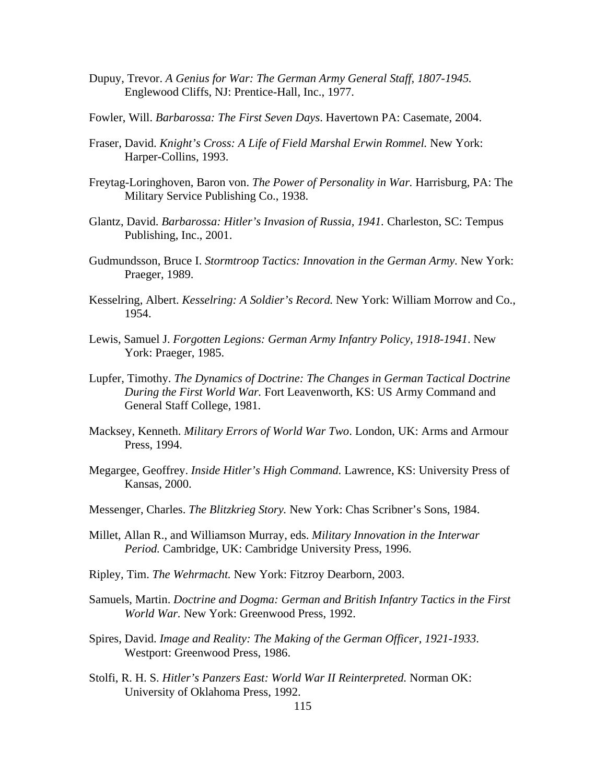- Dupuy, Trevor. *A Genius for War: The German Army General Staff, 1807-1945.*  Englewood Cliffs, NJ: Prentice-Hall, Inc., 1977.
- Fowler, Will. *Barbarossa: The First Seven Days*. Havertown PA: Casemate, 2004.
- Fraser, David. *Knight's Cross: A Life of Field Marshal Erwin Rommel.* New York: Harper-Collins, 1993.
- Freytag-Loringhoven, Baron von. *The Power of Personality in War.* Harrisburg, PA: The Military Service Publishing Co., 1938.
- Glantz, David. *Barbarossa: Hitler's Invasion of Russia, 1941.* Charleston, SC: Tempus Publishing, Inc., 2001.
- Gudmundsson, Bruce I. *Stormtroop Tactics: Innovation in the German Army.* New York: Praeger, 1989.
- Kesselring, Albert. *Kesselring: A Soldier's Record.* New York: William Morrow and Co., 1954.
- Lewis, Samuel J. *Forgotten Legions: German Army Infantry Policy, 1918-1941*. New York: Praeger, 1985.
- Lupfer, Timothy. *The Dynamics of Doctrine: The Changes in German Tactical Doctrine During the First World War.* Fort Leavenworth, KS: US Army Command and General Staff College, 1981.
- Macksey, Kenneth. *Military Errors of World War Two*. London, UK: Arms and Armour Press, 1994.
- Megargee, Geoffrey. *Inside Hitler's High Command.* Lawrence, KS: University Press of Kansas, 2000.
- Messenger, Charles. *The Blitzkrieg Story.* New York: Chas Scribner's Sons, 1984.
- Millet, Allan R., and Williamson Murray, eds. *Military Innovation in the Interwar Period.* Cambridge, UK: Cambridge University Press, 1996.
- Ripley, Tim. *The Wehrmacht.* New York: Fitzroy Dearborn, 2003.
- Samuels, Martin. *Doctrine and Dogma: German and British Infantry Tactics in the First World War.* New York: Greenwood Press, 1992.
- Spires, David. *Image and Reality: The Making of the German Officer, 1921-1933*. Westport: Greenwood Press, 1986.
- Stolfi, R. H. S. *Hitler's Panzers East: World War II Reinterpreted.* Norman OK: University of Oklahoma Press, 1992.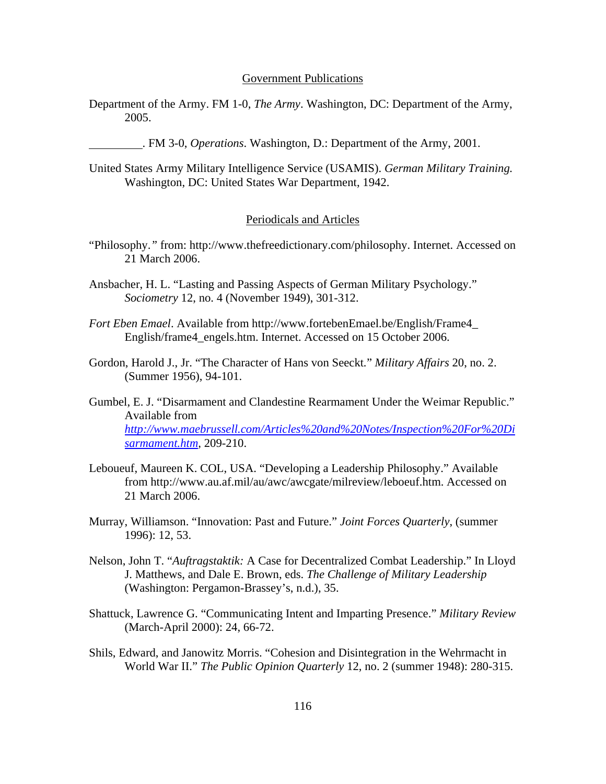#### Government Publications

Department of the Army. FM 1-0, *The Army*. Washington, DC: Department of the Army, 2005.

. FM 3-0, *Operations*. Washington, D.: Department of the Army, 2001.

United States Army Military Intelligence Service (USAMIS). *German Military Training.*  Washington, DC: United States War Department, 1942.

### Periodicals and Articles

- "Philosophy.*"* from: http://www.thefreedictionary.com/philosophy. Internet. Accessed on 21 March 2006.
- Ansbacher, H. L. "Lasting and Passing Aspects of German Military Psychology." *Sociometry* 12, no. 4 (November 1949), 301-312.
- *Fort Eben Emael*. Available from http://www.fortebenEmael.be/English/Frame4\_ English/frame4\_engels.htm. Internet. Accessed on 15 October 2006.
- Gordon, Harold J., Jr. "The Character of Hans von Seeckt*.*" *Military Affairs* 20, no. 2. (Summer 1956), 94-101.
- Gumbel, E. J. "Disarmament and Clandestine Rearmament Under the Weimar Republic." Available from *[http://www.maebrussell.com/Articles%20and%20Notes/Inspection%20For%20Di](http://www.maebrussell.com/Articles%20and%20Notes/Inspection%20For%20Disarmament.htm) [sarmament.htm](http://www.maebrussell.com/Articles%20and%20Notes/Inspection%20For%20Disarmament.htm),* 209-210.
- Leboueuf, Maureen K. COL, USA. "Developing a Leadership Philosophy." Available from http://www.au.af.mil/au/awc/awcgate/milreview/leboeuf.htm. Accessed on 21 March 2006.
- Murray, Williamson. "Innovation: Past and Future." *Joint Forces Quarterly*, (summer 1996): 12, 53.
- Nelson, John T. "*Auftragstaktik:* A Case for Decentralized Combat Leadership." In Lloyd J. Matthews, and Dale E. Brown, eds. *The Challenge of Military Leadership*  (Washington: Pergamon-Brassey's, n.d.), 35.
- Shattuck, Lawrence G. "Communicating Intent and Imparting Presence." *Military Review* (March-April 2000): 24, 66-72.
- Shils, Edward, and Janowitz Morris. "Cohesion and Disintegration in the Wehrmacht in World War II." *The Public Opinion Quarterly* 12, no. 2 (summer 1948): 280-315.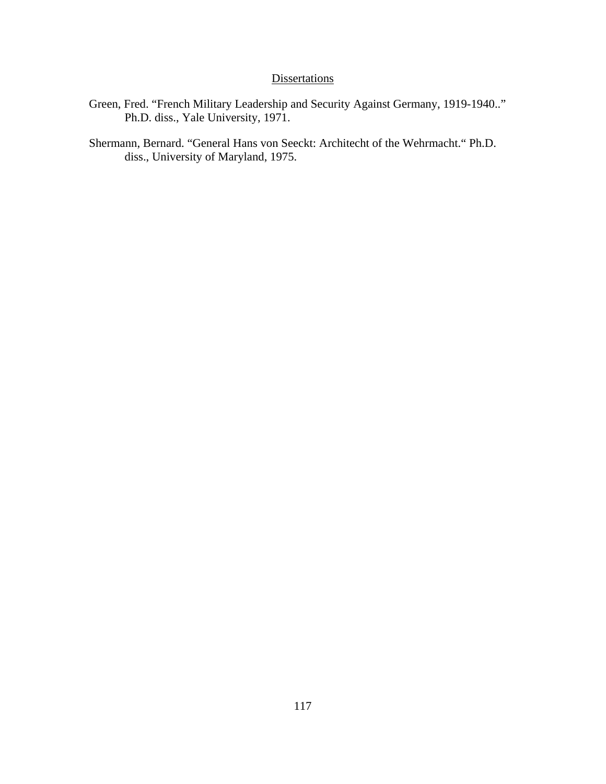# **Dissertations**

- Green, Fred. "French Military Leadership and Security Against Germany, 1919-1940.." Ph.D. diss., Yale University, 1971.
- Shermann, Bernard. "General Hans von Seeckt: Architecht of the Wehrmacht." Ph.D. diss., University of Maryland, 1975.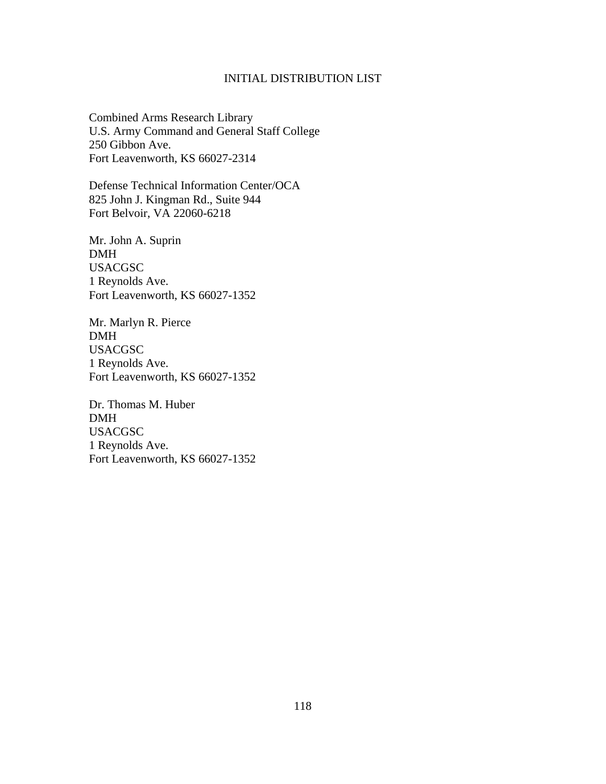## INITIAL DISTRIBUTION LIST

Combined Arms Research Library U.S. Army Command and General Staff College 250 Gibbon Ave. Fort Leavenworth, KS 66027-2314

Defense Technical Information Center/OCA 825 John J. Kingman Rd., Suite 944 Fort Belvoir, VA 22060-6218

Mr. John A. Suprin DMH USACGSC 1 Reynolds Ave. Fort Leavenworth, KS 66027-1352

Mr. Marlyn R. Pierce DMH USACGSC 1 Reynolds Ave. Fort Leavenworth, KS 66027-1352

Dr. Thomas M. Huber DMH USACGSC 1 Reynolds Ave. Fort Leavenworth, KS 66027-1352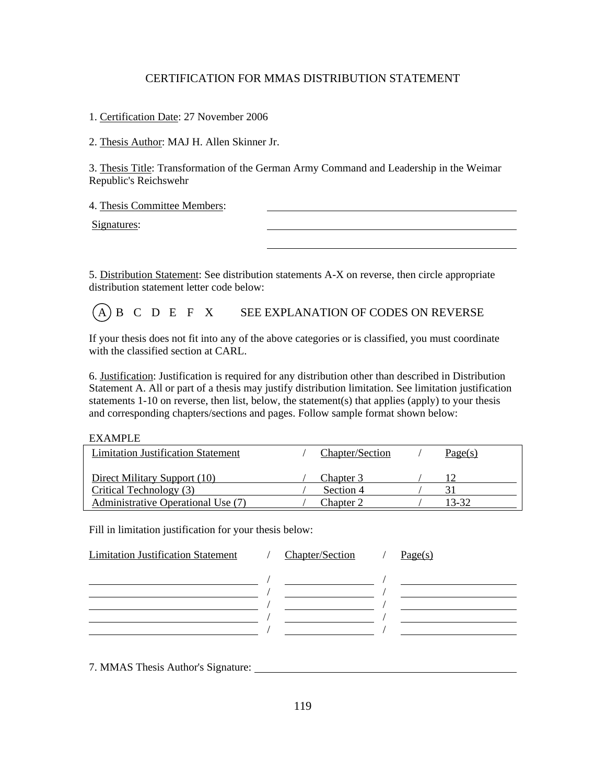## CERTIFICATION FOR MMAS DISTRIBUTION STATEMENT

1. Certification Date: 27 November 2006

2. Thesis Author: MAJ H. Allen Skinner Jr.

3. Thesis Title: Transformation of the German Army Command and Leadership in the Weimar Republic's Reichswehr

4. Thesis Committee Members:

Signatures:

5. Distribution Statement: See distribution statements A-X on reverse, then circle appropriate distribution statement letter code below:

 $(A)$  B C D E F X SEE EXPLANATION OF CODES ON REVERSE

If your thesis does not fit into any of the above categories or is classified, you must coordinate with the classified section at CARL.

6. Justification: Justification is required for any distribution other than described in Distribution Statement A. All or part of a thesis may justify distribution limitation. See limitation justification statements 1-10 on reverse, then list, below, the statement(s) that applies (apply) to your thesis and corresponding chapters/sections and pages. Follow sample format shown below:

#### EXAMPLE

| <b>Limitation Justification Statement</b> | Chapter/Section | Page(s) |
|-------------------------------------------|-----------------|---------|
| Direct Military Support (10)              | Chapter 3       |         |
| Critical Technology (3)                   | Section 4       |         |
| Administrative Operational Use (7)        | Chapter 2       | 13-32   |

Fill in limitation justification for your thesis below:

| <b>Limitation Justification Statement</b> | <b>Chapter/Section</b> | Page(s) |
|-------------------------------------------|------------------------|---------|
|                                           |                        |         |
|                                           |                        |         |
|                                           |                        |         |
|                                           |                        |         |
|                                           |                        |         |
|                                           |                        |         |

7. MMAS Thesis Author's Signature: